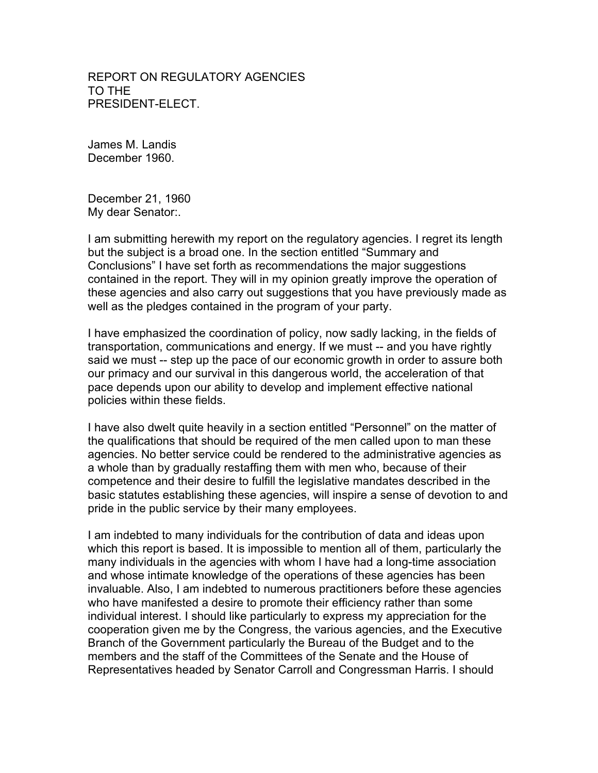REPORT ON REGULATORY AGENCIES TO THE PRESIDENT-ELECT.

James M. Landis December 1960.

December 21, 1960 My dear Senator:.

I am submitting herewith my report on the regulatory agencies. I regret its length but the subject is a broad one. In the section entitled "Summary and Conclusions" I have set forth as recommendations the major suggestions contained in the report. They will in my opinion greatly improve the operation of these agencies and also carry out suggestions that you have previously made as well as the pledges contained in the program of your party.

I have emphasized the coordination of policy, now sadly lacking, in the fields of transportation, communications and energy. If we must -- and you have rightly said we must -- step up the pace of our economic growth in order to assure both our primacy and our survival in this dangerous world, the acceleration of that pace depends upon our ability to develop and implement effective national policies within these fields.

I have also dwelt quite heavily in a section entitled "Personnel" on the matter of the qualifications that should be required of the men called upon to man these agencies. No better service could be rendered to the administrative agencies as a whole than by gradually restaffing them with men who, because of their competence and their desire to fulfill the legislative mandates described in the basic statutes establishing these agencies, will inspire a sense of devotion to and pride in the public service by their many employees.

I am indebted to many individuals for the contribution of data and ideas upon which this report is based. It is impossible to mention all of them, particularly the many individuals in the agencies with whom I have had a long-time association and whose intimate knowledge of the operations of these agencies has been invaluable. Also, I am indebted to numerous practitioners before these agencies who have manifested a desire to promote their efficiency rather than some individual interest. I should like particularly to express my appreciation for the cooperation given me by the Congress, the various agencies, and the Executive Branch of the Government particularly the Bureau of the Budget and to the members and the staff of the Committees of the Senate and the House of Representatives headed by Senator Carroll and Congressman Harris. I should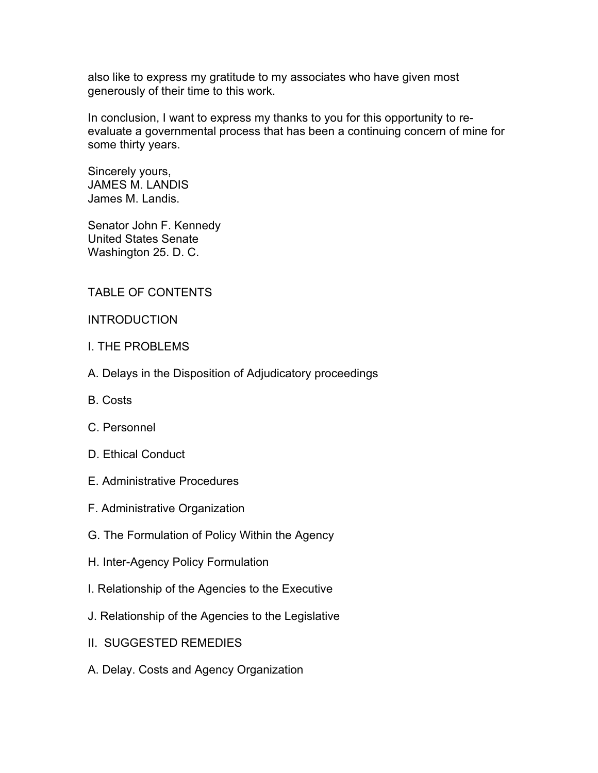also like to express my gratitude to my associates who have given most generously of their time to this work.

In conclusion, I want to express my thanks to you for this opportunity to reevaluate a governmental process that has been a continuing concern of mine for some thirty years.

Sincerely yours, JAMES M. LANDIS James M. Landis.

Senator John F. Kennedy United States Senate Washington 25. D. C.

TABLE OF CONTENTS

## **INTRODUCTION**

- I. THE PROBLEMS
- A. Delays in the Disposition of Adjudicatory proceedings
- B. Costs
- C. Personnel
- D. Ethical Conduct
- E. Administrative Procedures
- F. Administrative Organization
- G. The Formulation of Policy Within the Agency
- H. Inter-Agency Policy Formulation
- I. Relationship of the Agencies to the Executive
- J. Relationship of the Agencies to the Legislative
- II. SUGGESTED REMEDIES
- A. Delay. Costs and Agency Organization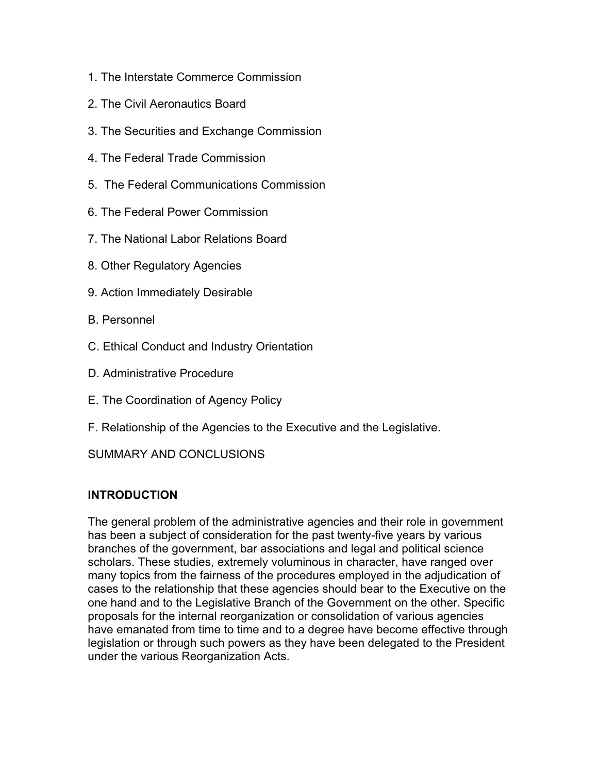- 1. The Interstate Commerce Commission
- 2. The Civil Aeronautics Board
- 3. The Securities and Exchange Commission
- 4. The Federal Trade Commission
- 5. The Federal Communications Commission
- 6. The Federal Power Commission
- 7. The National Labor Relations Board
- 8. Other Regulatory Agencies
- 9. Action Immediately Desirable
- B. Personnel
- C. Ethical Conduct and Industry Orientation
- D. Administrative Procedure
- E. The Coordination of Agency Policy
- F. Relationship of the Agencies to the Executive and the Legislative.

## SUMMARY AND CONCLUSIONS

# **INTRODUCTION**

The general problem of the administrative agencies and their role in government has been a subject of consideration for the past twenty-five years by various branches of the government, bar associations and legal and political science scholars. These studies, extremely voluminous in character, have ranged over many topics from the fairness of the procedures employed in the adjudication of cases to the relationship that these agencies should bear to the Executive on the one hand and to the Legislative Branch of the Government on the other. Specific proposals for the internal reorganization or consolidation of various agencies have emanated from time to time and to a degree have become effective through legislation or through such powers as they have been delegated to the President under the various Reorganization Acts.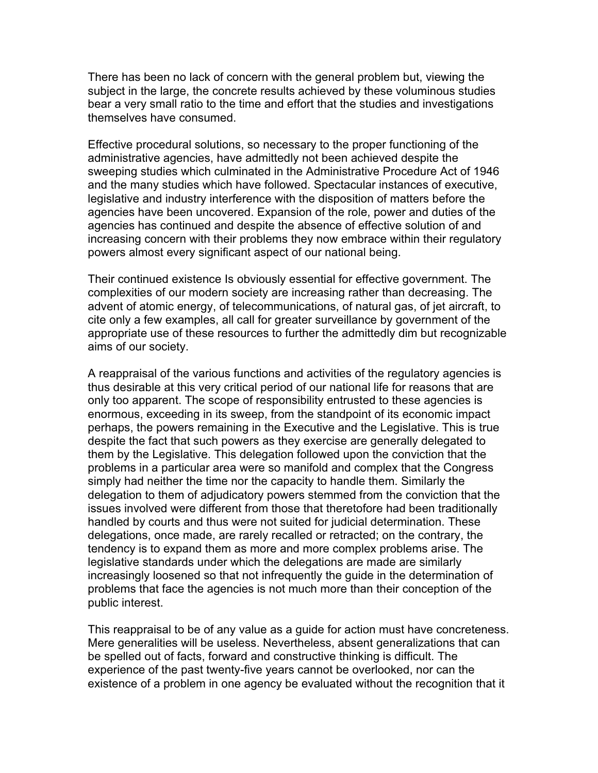There has been no lack of concern with the general problem but, viewing the subject in the large, the concrete results achieved by these voluminous studies bear a very small ratio to the time and effort that the studies and investigations themselves have consumed.

Effective procedural solutions, so necessary to the proper functioning of the administrative agencies, have admittedly not been achieved despite the sweeping studies which culminated in the Administrative Procedure Act of 1946 and the many studies which have followed. Spectacular instances of executive, legislative and industry interference with the disposition of matters before the agencies have been uncovered. Expansion of the role, power and duties of the agencies has continued and despite the absence of effective solution of and increasing concern with their problems they now embrace within their regulatory powers almost every significant aspect of our national being.

Their continued existence Is obviously essential for effective government. The complexities of our modern society are increasing rather than decreasing. The advent of atomic energy, of telecommunications, of natural gas, of jet aircraft, to cite only a few examples, all call for greater surveillance by government of the appropriate use of these resources to further the admittedly dim but recognizable aims of our society.

A reappraisal of the various functions and activities of the regulatory agencies is thus desirable at this very critical period of our national life for reasons that are only too apparent. The scope of responsibility entrusted to these agencies is enormous, exceeding in its sweep, from the standpoint of its economic impact perhaps, the powers remaining in the Executive and the Legislative. This is true despite the fact that such powers as they exercise are generally delegated to them by the Legislative. This delegation followed upon the conviction that the problems in a particular area were so manifold and complex that the Congress simply had neither the time nor the capacity to handle them. Similarly the delegation to them of adjudicatory powers stemmed from the conviction that the issues involved were different from those that theretofore had been traditionally handled by courts and thus were not suited for judicial determination. These delegations, once made, are rarely recalled or retracted; on the contrary, the tendency is to expand them as more and more complex problems arise. The legislative standards under which the delegations are made are similarly increasingly loosened so that not infrequently the guide in the determination of problems that face the agencies is not much more than their conception of the public interest.

This reappraisal to be of any value as a guide for action must have concreteness. Mere generalities will be useless. Nevertheless, absent generalizations that can be spelled out of facts, forward and constructive thinking is difficult. The experience of the past twenty-five years cannot be overlooked, nor can the existence of a problem in one agency be evaluated without the recognition that it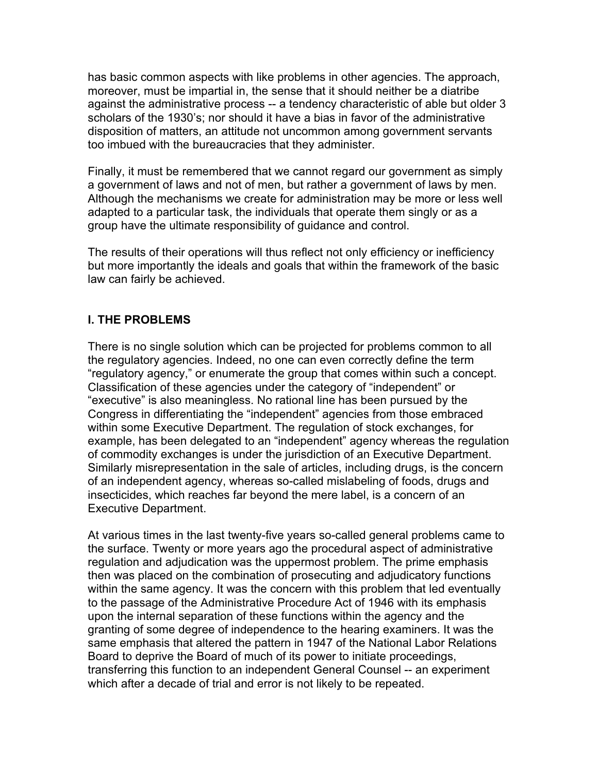has basic common aspects with like problems in other agencies. The approach, moreover, must be impartial in, the sense that it should neither be a diatribe against the administrative process -- a tendency characteristic of able but older 3 scholars of the 1930's; nor should it have a bias in favor of the administrative disposition of matters, an attitude not uncommon among government servants too imbued with the bureaucracies that they administer.

Finally, it must be remembered that we cannot regard our government as simply a government of laws and not of men, but rather a government of laws by men. Although the mechanisms we create for administration may be more or less well adapted to a particular task, the individuals that operate them singly or as a group have the ultimate responsibility of guidance and control.

The results of their operations will thus reflect not only efficiency or inefficiency but more importantly the ideals and goals that within the framework of the basic law can fairly be achieved.

# **I. THE PROBLEMS**

There is no single solution which can be projected for problems common to all the regulatory agencies. Indeed, no one can even correctly define the term "regulatory agency," or enumerate the group that comes within such a concept. Classification of these agencies under the category of "independent" or "executive" is also meaningless. No rational line has been pursued by the Congress in differentiating the "independent" agencies from those embraced within some Executive Department. The regulation of stock exchanges, for example, has been delegated to an "independent" agency whereas the regulation of commodity exchanges is under the jurisdiction of an Executive Department. Similarly misrepresentation in the sale of articles, including drugs, is the concern of an independent agency, whereas so-called mislabeling of foods, drugs and insecticides, which reaches far beyond the mere label, is a concern of an Executive Department.

At various times in the last twenty-five years so-called general problems came to the surface. Twenty or more years ago the procedural aspect of administrative regulation and adjudication was the uppermost problem. The prime emphasis then was placed on the combination of prosecuting and adjudicatory functions within the same agency. It was the concern with this problem that led eventually to the passage of the Administrative Procedure Act of 1946 with its emphasis upon the internal separation of these functions within the agency and the granting of some degree of independence to the hearing examiners. It was the same emphasis that altered the pattern in 1947 of the National Labor Relations Board to deprive the Board of much of its power to initiate proceedings, transferring this function to an independent General Counsel -- an experiment which after a decade of trial and error is not likely to be repeated.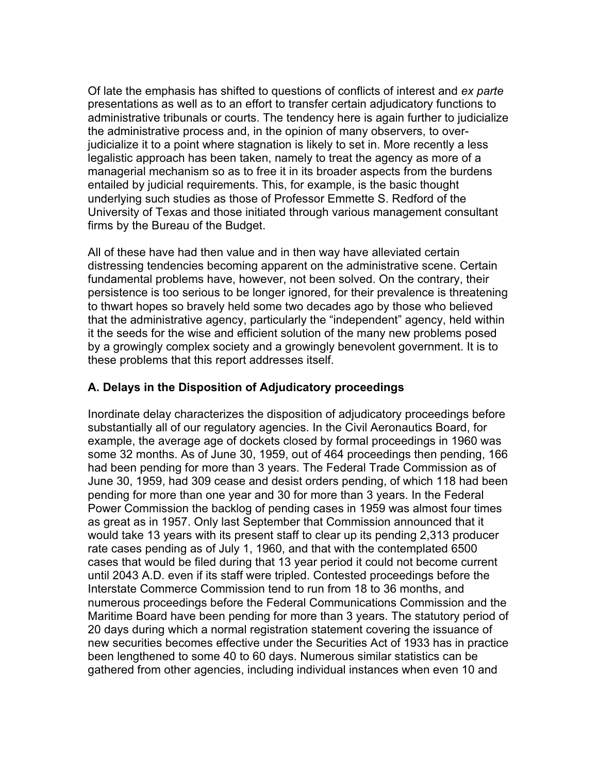Of late the emphasis has shifted to questions of conflicts of interest and *ex parte* presentations as well as to an effort to transfer certain adjudicatory functions to administrative tribunals or courts. The tendency here is again further to judicialize the administrative process and, in the opinion of many observers, to overjudicialize it to a point where stagnation is likely to set in. More recently a less legalistic approach has been taken, namely to treat the agency as more of a managerial mechanism so as to free it in its broader aspects from the burdens entailed by judicial requirements. This, for example, is the basic thought underlying such studies as those of Professor Emmette S. Redford of the University of Texas and those initiated through various management consultant firms by the Bureau of the Budget.

All of these have had then value and in then way have alleviated certain distressing tendencies becoming apparent on the administrative scene. Certain fundamental problems have, however, not been solved. On the contrary, their persistence is too serious to be longer ignored, for their prevalence is threatening to thwart hopes so bravely held some two decades ago by those who believed that the administrative agency, particularly the "independent" agency, held within it the seeds for the wise and efficient solution of the many new problems posed by a growingly complex society and a growingly benevolent government. It is to these problems that this report addresses itself.

## **A. Delays in the Disposition of Adjudicatory proceedings**

Inordinate delay characterizes the disposition of adjudicatory proceedings before substantially all of our regulatory agencies. In the Civil Aeronautics Board, for example, the average age of dockets closed by formal proceedings in 1960 was some 32 months. As of June 30, 1959, out of 464 proceedings then pending, 166 had been pending for more than 3 years. The Federal Trade Commission as of June 30, 1959, had 309 cease and desist orders pending, of which 118 had been pending for more than one year and 30 for more than 3 years. In the Federal Power Commission the backlog of pending cases in 1959 was almost four times as great as in 1957. Only last September that Commission announced that it would take 13 years with its present staff to clear up its pending 2,313 producer rate cases pending as of July 1, 1960, and that with the contemplated 6500 cases that would be filed during that 13 year period it could not become current until 2043 A.D. even if its staff were tripled. Contested proceedings before the Interstate Commerce Commission tend to run from 18 to 36 months, and numerous proceedings before the Federal Communications Commission and the Maritime Board have been pending for more than 3 years. The statutory period of 20 days during which a normal registration statement covering the issuance of new securities becomes effective under the Securities Act of 1933 has in practice been lengthened to some 40 to 60 days. Numerous similar statistics can be gathered from other agencies, including individual instances when even 10 and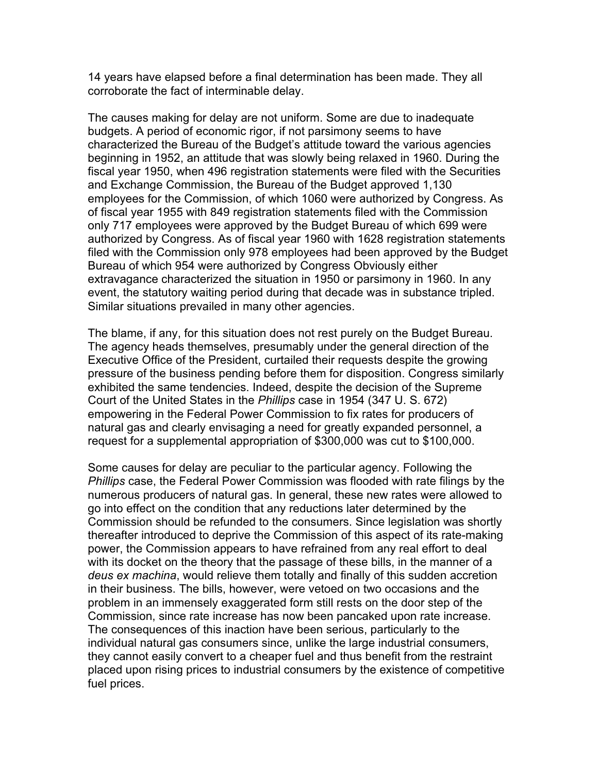14 years have elapsed before a final determination has been made. They all corroborate the fact of interminable delay.

The causes making for delay are not uniform. Some are due to inadequate budgets. A period of economic rigor, if not parsimony seems to have characterized the Bureau of the Budget's attitude toward the various agencies beginning in 1952, an attitude that was slowly being relaxed in 1960. During the fiscal year 1950, when 496 registration statements were filed with the Securities and Exchange Commission, the Bureau of the Budget approved 1,130 employees for the Commission, of which 1060 were authorized by Congress. As of fiscal year 1955 with 849 registration statements filed with the Commission only 717 employees were approved by the Budget Bureau of which 699 were authorized by Congress. As of fiscal year 1960 with 1628 registration statements filed with the Commission only 978 employees had been approved by the Budget Bureau of which 954 were authorized by Congress Obviously either extravagance characterized the situation in 1950 or parsimony in 1960. In any event, the statutory waiting period during that decade was in substance tripled. Similar situations prevailed in many other agencies.

The blame, if any, for this situation does not rest purely on the Budget Bureau. The agency heads themselves, presumably under the general direction of the Executive Office of the President, curtailed their requests despite the growing pressure of the business pending before them for disposition. Congress similarly exhibited the same tendencies. Indeed, despite the decision of the Supreme Court of the United States in the *Phillips* case in 1954 (347 U. S. 672) empowering in the Federal Power Commission to fix rates for producers of natural gas and clearly envisaging a need for greatly expanded personnel, a request for a supplemental appropriation of \$300,000 was cut to \$100,000.

Some causes for delay are peculiar to the particular agency. Following the *Phillips* case, the Federal Power Commission was flooded with rate filings by the numerous producers of natural gas. In general, these new rates were allowed to go into effect on the condition that any reductions later determined by the Commission should be refunded to the consumers. Since legislation was shortly thereafter introduced to deprive the Commission of this aspect of its rate-making power, the Commission appears to have refrained from any real effort to deal with its docket on the theory that the passage of these bills, in the manner of a *deus ex machina*, would relieve them totally and finally of this sudden accretion in their business. The bills, however, were vetoed on two occasions and the problem in an immensely exaggerated form still rests on the door step of the Commission, since rate increase has now been pancaked upon rate increase. The consequences of this inaction have been serious, particularly to the individual natural gas consumers since, unlike the large industrial consumers, they cannot easily convert to a cheaper fuel and thus benefit from the restraint placed upon rising prices to industrial consumers by the existence of competitive fuel prices.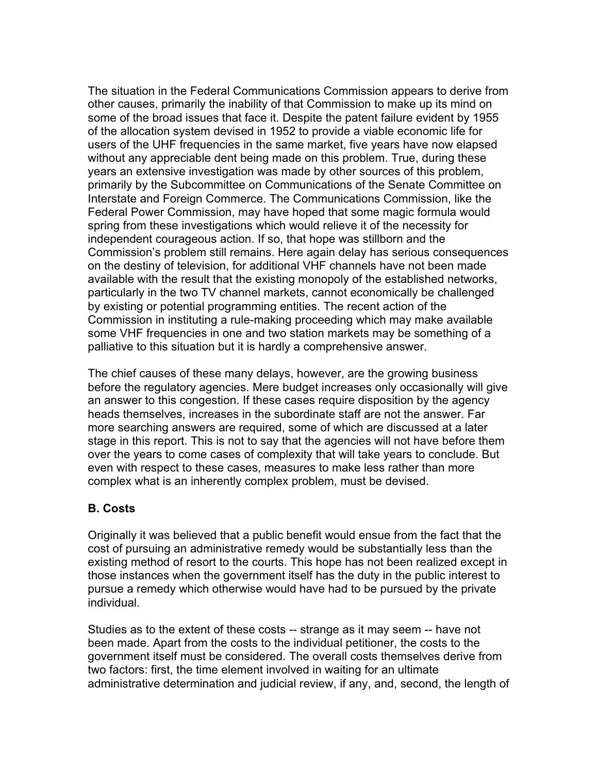The situation in the Federal Communications Commission appears to derive from other causes, primarily the inability of that Commission to make up its mind on some of the broad issues that face it. Despite the patent failure evident by 1955 of the allocation system devised in 1952 to provide a viable economic life for users of the UHF frequencies in the same market, five years have now elapsed without any appreciable dent being made on this problem. True, during these years an extensive investigation was made by other sources of this problem, primarily by the Subcommittee on Communications of the Senate Committee on Interstate and Foreign Commerce. The Communications Commission, like the Federal Power Commission, may have hoped that some magic formula would spring from these investigations which would relieve it of the necessity for independent courageous action. If so, that hope was stillborn and the Commission's problem still remains. Here again delay has serious consequences on the destiny of television, for additional VHF channels have not been made available with the result that the existing monopoly of the established networks, particularly in the two TV channel markets, cannot economically be challenged by existing or potential programming entities. The recent action of the Commission in instituting a rule-making proceeding which may make available some VHF frequencies in one and two station markets may be something of a palliative to this situation but it is hardly a comprehensive answer.

The chief causes of these many delays, however, are the growing business before the regulatory agencies. Mere budget increases only occasionally will give an answer to this congestion. If these cases require disposition by the agency heads themselves, increases in the subordinate staff are not the answer. Far more searching answers are required, some of which are discussed at a later stage in this report. This is not to say that the agencies will not have before them over the years to come cases of complexity that will take years to conclude. But even with respect to these cases, measures to make less rather than more complex what is an inherently complex problem, must be devised.

## **B. Costs**

Originally it was believed that a public benefit would ensue from the fact that the cost of pursuing an administrative remedy would be substantially less than the existing method of resort to the courts. This hope has not been realized except in those instances when the government itself has the duty in the public interest to pursue a remedy which otherwise would have had to be pursued by the private individual.

Studies as to the extent of these costs -- strange as it may seem -- have not been made. Apart from the costs to the individual petitioner, the costs to the government itself must be considered. The overall costs themselves derive from two factors: first, the time element involved in waiting for an ultimate administrative determination and judicial review, if any, and, second, the length of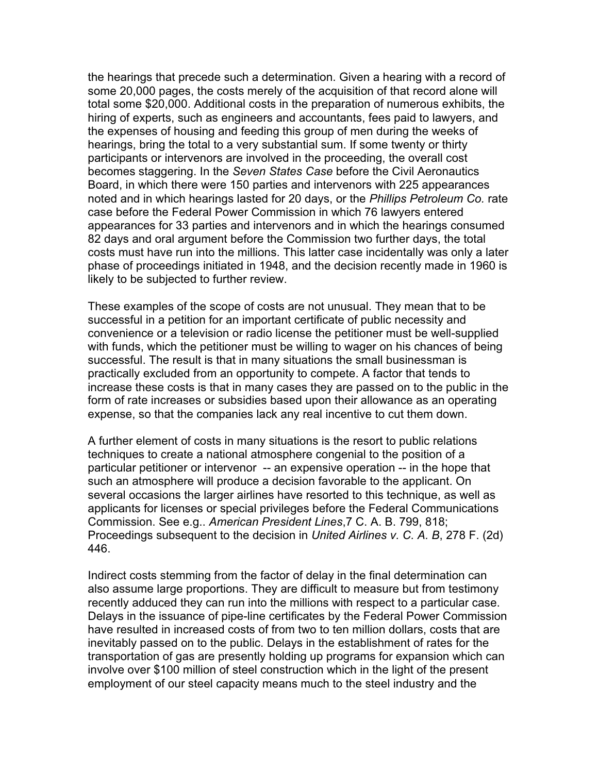the hearings that precede such a determination. Given a hearing with a record of some 20,000 pages, the costs merely of the acquisition of that record alone will total some \$20,000. Additional costs in the preparation of numerous exhibits, the hiring of experts, such as engineers and accountants, fees paid to lawyers, and the expenses of housing and feeding this group of men during the weeks of hearings, bring the total to a very substantial sum. If some twenty or thirty participants or intervenors are involved in the proceeding, the overall cost becomes staggering. In the *Seven States Case* before the Civil Aeronautics Board, in which there were 150 parties and intervenors with 225 appearances noted and in which hearings lasted for 20 days, or the *Phillips Petroleum Co.* rate case before the Federal Power Commission in which 76 lawyers entered appearances for 33 parties and intervenors and in which the hearings consumed 82 days and oral argument before the Commission two further days, the total costs must have run into the millions. This latter case incidentally was only a later phase of proceedings initiated in 1948, and the decision recently made in 1960 is likely to be subjected to further review.

These examples of the scope of costs are not unusual. They mean that to be successful in a petition for an important certificate of public necessity and convenience or a television or radio license the petitioner must be well-supplied with funds, which the petitioner must be willing to wager on his chances of being successful. The result is that in many situations the small businessman is practically excluded from an opportunity to compete. A factor that tends to increase these costs is that in many cases they are passed on to the public in the form of rate increases or subsidies based upon their allowance as an operating expense, so that the companies lack any real incentive to cut them down.

A further element of costs in many situations is the resort to public relations techniques to create a national atmosphere congenial to the position of a particular petitioner or intervenor -- an expensive operation -- in the hope that such an atmosphere will produce a decision favorable to the applicant. On several occasions the larger airlines have resorted to this technique, as well as applicants for licenses or special privileges before the Federal Communications Commission. See e.g.. *American President Lines*,7 C. A. B. 799, 818; Proceedings subsequent to the decision in *United Airlines v. C. A. B*, 278 F. (2d) 446.

Indirect costs stemming from the factor of delay in the final determination can also assume large proportions. They are difficult to measure but from testimony recently adduced they can run into the millions with respect to a particular case. Delays in the issuance of pipe-line certificates by the Federal Power Commission have resulted in increased costs of from two to ten million dollars, costs that are inevitably passed on to the public. Delays in the establishment of rates for the transportation of gas are presently holding up programs for expansion which can involve over \$100 million of steel construction which in the light of the present employment of our steel capacity means much to the steel industry and the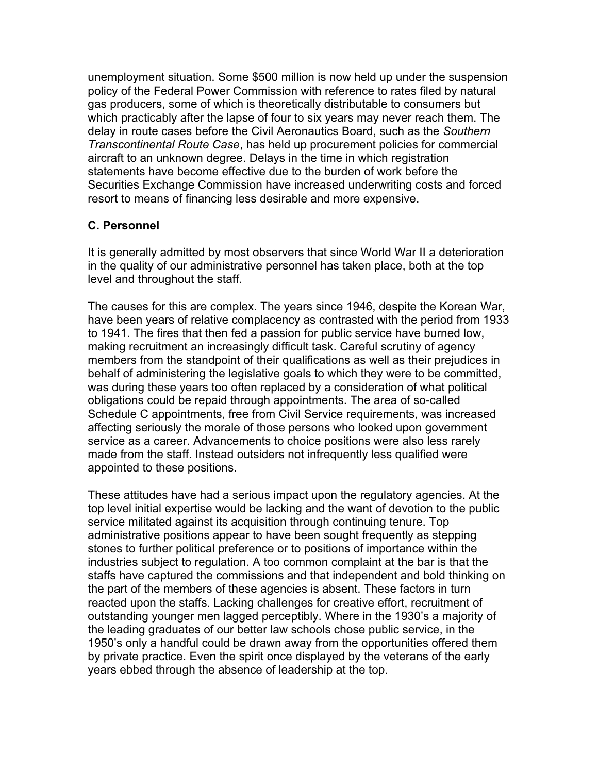unemployment situation. Some \$500 million is now held up under the suspension policy of the Federal Power Commission with reference to rates filed by natural gas producers, some of which is theoretically distributable to consumers but which practicably after the lapse of four to six years may never reach them. The delay in route cases before the Civil Aeronautics Board, such as the *Southern Transcontinental Route Case*, has held up procurement policies for commercial aircraft to an unknown degree. Delays in the time in which registration statements have become effective due to the burden of work before the Securities Exchange Commission have increased underwriting costs and forced resort to means of financing less desirable and more expensive.

# **C. Personnel**

It is generally admitted by most observers that since World War II a deterioration in the quality of our administrative personnel has taken place, both at the top level and throughout the staff.

The causes for this are complex. The years since 1946, despite the Korean War, have been years of relative complacency as contrasted with the period from 1933 to 1941. The fires that then fed a passion for public service have burned low, making recruitment an increasingly difficult task. Careful scrutiny of agency members from the standpoint of their qualifications as well as their prejudices in behalf of administering the legislative goals to which they were to be committed, was during these years too often replaced by a consideration of what political obligations could be repaid through appointments. The area of so-called Schedule C appointments, free from Civil Service requirements, was increased affecting seriously the morale of those persons who looked upon government service as a career. Advancements to choice positions were also less rarely made from the staff. Instead outsiders not infrequently less qualified were appointed to these positions.

These attitudes have had a serious impact upon the regulatory agencies. At the top level initial expertise would be lacking and the want of devotion to the public service militated against its acquisition through continuing tenure. Top administrative positions appear to have been sought frequently as stepping stones to further political preference or to positions of importance within the industries subject to regulation. A too common complaint at the bar is that the staffs have captured the commissions and that independent and bold thinking on the part of the members of these agencies is absent. These factors in turn reacted upon the staffs. Lacking challenges for creative effort, recruitment of outstanding younger men lagged perceptibly. Where in the 1930's a majority of the leading graduates of our better law schools chose public service, in the 1950's only a handful could be drawn away from the opportunities offered them by private practice. Even the spirit once displayed by the veterans of the early years ebbed through the absence of leadership at the top.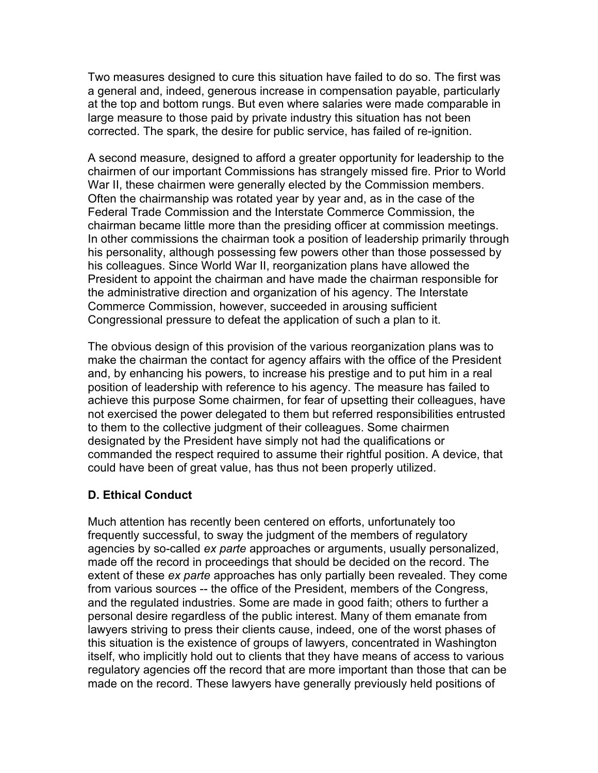Two measures designed to cure this situation have failed to do so. The first was a general and, indeed, generous increase in compensation payable, particularly at the top and bottom rungs. But even where salaries were made comparable in large measure to those paid by private industry this situation has not been corrected. The spark, the desire for public service, has failed of re-ignition.

A second measure, designed to afford a greater opportunity for leadership to the chairmen of our important Commissions has strangely missed fire. Prior to World War II, these chairmen were generally elected by the Commission members. Often the chairmanship was rotated year by year and, as in the case of the Federal Trade Commission and the Interstate Commerce Commission, the chairman became little more than the presiding officer at commission meetings. In other commissions the chairman took a position of leadership primarily through his personality, although possessing few powers other than those possessed by his colleagues. Since World War II, reorganization plans have allowed the President to appoint the chairman and have made the chairman responsible for the administrative direction and organization of his agency. The Interstate Commerce Commission, however, succeeded in arousing sufficient Congressional pressure to defeat the application of such a plan to it.

The obvious design of this provision of the various reorganization plans was to make the chairman the contact for agency affairs with the office of the President and, by enhancing his powers, to increase his prestige and to put him in a real position of leadership with reference to his agency. The measure has failed to achieve this purpose Some chairmen, for fear of upsetting their colleagues, have not exercised the power delegated to them but referred responsibilities entrusted to them to the collective judgment of their colleagues. Some chairmen designated by the President have simply not had the qualifications or commanded the respect required to assume their rightful position. A device, that could have been of great value, has thus not been properly utilized.

## **D. Ethical Conduct**

Much attention has recently been centered on efforts, unfortunately too frequently successful, to sway the judgment of the members of regulatory agencies by so-called *ex parte* approaches or arguments, usually personalized, made off the record in proceedings that should be decided on the record. The extent of these *ex parte* approaches has only partially been revealed. They come from various sources -- the office of the President, members of the Congress, and the regulated industries. Some are made in good faith; others to further a personal desire regardless of the public interest. Many of them emanate from lawyers striving to press their clients cause, indeed, one of the worst phases of this situation is the existence of groups of lawyers, concentrated in Washington itself, who implicitly hold out to clients that they have means of access to various regulatory agencies off the record that are more important than those that can be made on the record. These lawyers have generally previously held positions of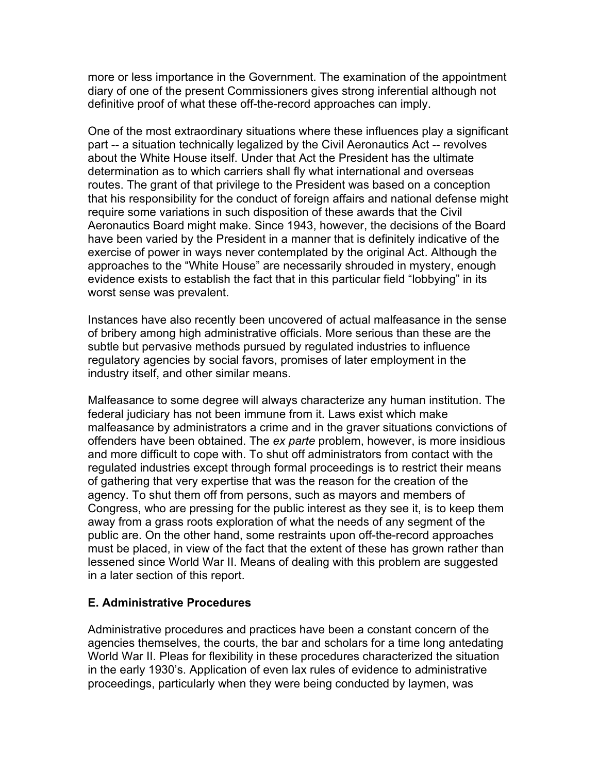more or less importance in the Government. The examination of the appointment diary of one of the present Commissioners gives strong inferential although not definitive proof of what these off-the-record approaches can imply.

One of the most extraordinary situations where these influences play a significant part -- a situation technically legalized by the Civil Aeronautics Act -- revolves about the White House itself. Under that Act the President has the ultimate determination as to which carriers shall fly what international and overseas routes. The grant of that privilege to the President was based on a conception that his responsibility for the conduct of foreign affairs and national defense might require some variations in such disposition of these awards that the Civil Aeronautics Board might make. Since 1943, however, the decisions of the Board have been varied by the President in a manner that is definitely indicative of the exercise of power in ways never contemplated by the original Act. Although the approaches to the "White House" are necessarily shrouded in mystery, enough evidence exists to establish the fact that in this particular field "lobbying" in its worst sense was prevalent.

Instances have also recently been uncovered of actual malfeasance in the sense of bribery among high administrative officials. More serious than these are the subtle but pervasive methods pursued by regulated industries to influence regulatory agencies by social favors, promises of later employment in the industry itself, and other similar means.

Malfeasance to some degree will always characterize any human institution. The federal judiciary has not been immune from it. Laws exist which make malfeasance by administrators a crime and in the graver situations convictions of offenders have been obtained. The *ex parte* problem, however, is more insidious and more difficult to cope with. To shut off administrators from contact with the regulated industries except through formal proceedings is to restrict their means of gathering that very expertise that was the reason for the creation of the agency. To shut them off from persons, such as mayors and members of Congress, who are pressing for the public interest as they see it, is to keep them away from a grass roots exploration of what the needs of any segment of the public are. On the other hand, some restraints upon off-the-record approaches must be placed, in view of the fact that the extent of these has grown rather than lessened since World War II. Means of dealing with this problem are suggested in a later section of this report.

## **E. Administrative Procedures**

Administrative procedures and practices have been a constant concern of the agencies themselves, the courts, the bar and scholars for a time long antedating World War II. Pleas for flexibility in these procedures characterized the situation in the early 1930's. Application of even lax rules of evidence to administrative proceedings, particularly when they were being conducted by laymen, was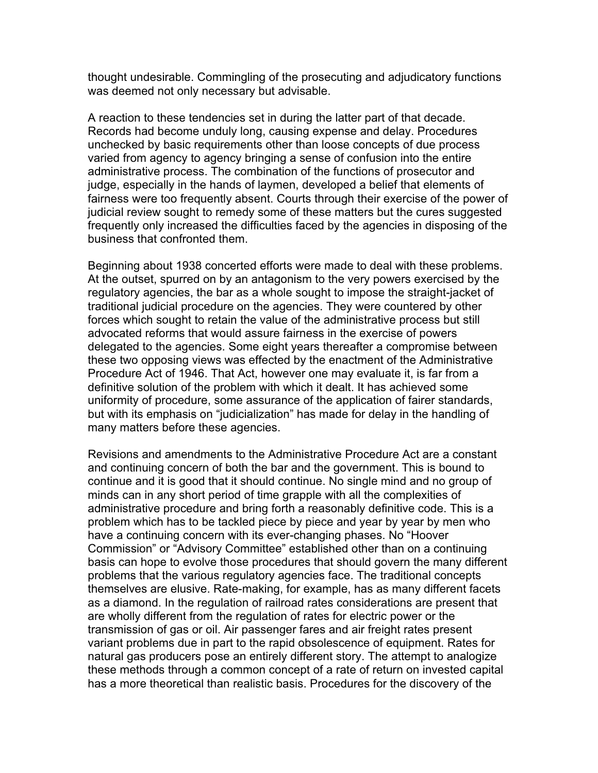thought undesirable. Commingling of the prosecuting and adjudicatory functions was deemed not only necessary but advisable.

A reaction to these tendencies set in during the latter part of that decade. Records had become unduly long, causing expense and delay. Procedures unchecked by basic requirements other than loose concepts of due process varied from agency to agency bringing a sense of confusion into the entire administrative process. The combination of the functions of prosecutor and judge, especially in the hands of laymen, developed a belief that elements of fairness were too frequently absent. Courts through their exercise of the power of judicial review sought to remedy some of these matters but the cures suggested frequently only increased the difficulties faced by the agencies in disposing of the business that confronted them.

Beginning about 1938 concerted efforts were made to deal with these problems. At the outset, spurred on by an antagonism to the very powers exercised by the regulatory agencies, the bar as a whole sought to impose the straight-jacket of traditional judicial procedure on the agencies. They were countered by other forces which sought to retain the value of the administrative process but still advocated reforms that would assure fairness in the exercise of powers delegated to the agencies. Some eight years thereafter a compromise between these two opposing views was effected by the enactment of the Administrative Procedure Act of 1946. That Act, however one may evaluate it, is far from a definitive solution of the problem with which it dealt. It has achieved some uniformity of procedure, some assurance of the application of fairer standards, but with its emphasis on "judicialization" has made for delay in the handling of many matters before these agencies.

Revisions and amendments to the Administrative Procedure Act are a constant and continuing concern of both the bar and the government. This is bound to continue and it is good that it should continue. No single mind and no group of minds can in any short period of time grapple with all the complexities of administrative procedure and bring forth a reasonably definitive code. This is a problem which has to be tackled piece by piece and year by year by men who have a continuing concern with its ever-changing phases. No "Hoover Commission" or "Advisory Committee" established other than on a continuing basis can hope to evolve those procedures that should govern the many different problems that the various regulatory agencies face. The traditional concepts themselves are elusive. Rate-making, for example, has as many different facets as a diamond. In the regulation of railroad rates considerations are present that are wholly different from the regulation of rates for electric power or the transmission of gas or oil. Air passenger fares and air freight rates present variant problems due in part to the rapid obsolescence of equipment. Rates for natural gas producers pose an entirely different story. The attempt to analogize these methods through a common concept of a rate of return on invested capital has a more theoretical than realistic basis. Procedures for the discovery of the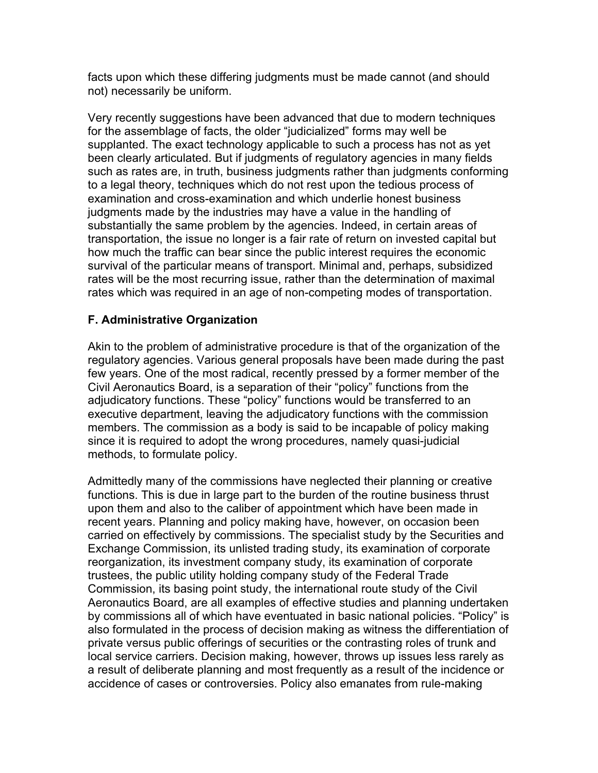facts upon which these differing judgments must be made cannot (and should not) necessarily be uniform.

Very recently suggestions have been advanced that due to modern techniques for the assemblage of facts, the older "judicialized" forms may well be supplanted. The exact technology applicable to such a process has not as yet been clearly articulated. But if judgments of regulatory agencies in many fields such as rates are, in truth, business judgments rather than judgments conforming to a legal theory, techniques which do not rest upon the tedious process of examination and cross-examination and which underlie honest business judgments made by the industries may have a value in the handling of substantially the same problem by the agencies. Indeed, in certain areas of transportation, the issue no longer is a fair rate of return on invested capital but how much the traffic can bear since the public interest requires the economic survival of the particular means of transport. Minimal and, perhaps, subsidized rates will be the most recurring issue, rather than the determination of maximal rates which was required in an age of non-competing modes of transportation.

# **F. Administrative Organization**

Akin to the problem of administrative procedure is that of the organization of the regulatory agencies. Various general proposals have been made during the past few years. One of the most radical, recently pressed by a former member of the Civil Aeronautics Board, is a separation of their "policy" functions from the adjudicatory functions. These "policy" functions would be transferred to an executive department, leaving the adjudicatory functions with the commission members. The commission as a body is said to be incapable of policy making since it is required to adopt the wrong procedures, namely quasi-judicial methods, to formulate policy.

Admittedly many of the commissions have neglected their planning or creative functions. This is due in large part to the burden of the routine business thrust upon them and also to the caliber of appointment which have been made in recent years. Planning and policy making have, however, on occasion been carried on effectively by commissions. The specialist study by the Securities and Exchange Commission, its unlisted trading study, its examination of corporate reorganization, its investment company study, its examination of corporate trustees, the public utility holding company study of the Federal Trade Commission, its basing point study, the international route study of the Civil Aeronautics Board, are all examples of effective studies and planning undertaken by commissions all of which have eventuated in basic national policies. "Policy" is also formulated in the process of decision making as witness the differentiation of private versus public offerings of securities or the contrasting roles of trunk and local service carriers. Decision making, however, throws up issues less rarely as a result of deliberate planning and most frequently as a result of the incidence or accidence of cases or controversies. Policy also emanates from rule-making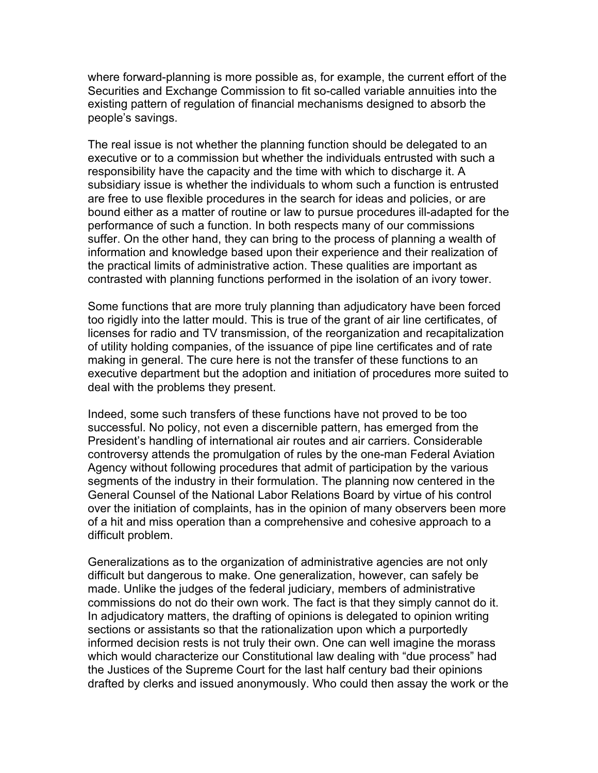where forward-planning is more possible as, for example, the current effort of the Securities and Exchange Commission to fit so-called variable annuities into the existing pattern of regulation of financial mechanisms designed to absorb the people's savings.

The real issue is not whether the planning function should be delegated to an executive or to a commission but whether the individuals entrusted with such a responsibility have the capacity and the time with which to discharge it. A subsidiary issue is whether the individuals to whom such a function is entrusted are free to use flexible procedures in the search for ideas and policies, or are bound either as a matter of routine or law to pursue procedures ill-adapted for the performance of such a function. In both respects many of our commissions suffer. On the other hand, they can bring to the process of planning a wealth of information and knowledge based upon their experience and their realization of the practical limits of administrative action. These qualities are important as contrasted with planning functions performed in the isolation of an ivory tower.

Some functions that are more truly planning than adjudicatory have been forced too rigidly into the latter mould. This is true of the grant of air line certificates, of licenses for radio and TV transmission, of the reorganization and recapitalization of utility holding companies, of the issuance of pipe line certificates and of rate making in general. The cure here is not the transfer of these functions to an executive department but the adoption and initiation of procedures more suited to deal with the problems they present.

Indeed, some such transfers of these functions have not proved to be too successful. No policy, not even a discernible pattern, has emerged from the President's handling of international air routes and air carriers. Considerable controversy attends the promulgation of rules by the one-man Federal Aviation Agency without following procedures that admit of participation by the various segments of the industry in their formulation. The planning now centered in the General Counsel of the National Labor Relations Board by virtue of his control over the initiation of complaints, has in the opinion of many observers been more of a hit and miss operation than a comprehensive and cohesive approach to a difficult problem.

Generalizations as to the organization of administrative agencies are not only difficult but dangerous to make. One generalization, however, can safely be made. Unlike the judges of the federal judiciary, members of administrative commissions do not do their own work. The fact is that they simply cannot do it. In adjudicatory matters, the drafting of opinions is delegated to opinion writing sections or assistants so that the rationalization upon which a purportedly informed decision rests is not truly their own. One can well imagine the morass which would characterize our Constitutional law dealing with "due process" had the Justices of the Supreme Court for the last half century bad their opinions drafted by clerks and issued anonymously. Who could then assay the work or the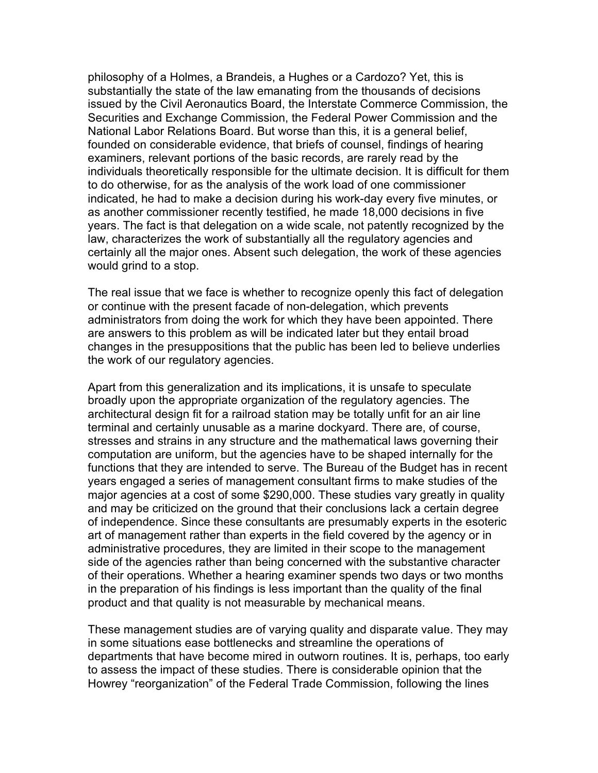philosophy of a Holmes, a Brandeis, a Hughes or a Cardozo? Yet, this is substantially the state of the law emanating from the thousands of decisions issued by the Civil Aeronautics Board, the Interstate Commerce Commission, the Securities and Exchange Commission, the Federal Power Commission and the National Labor Relations Board. But worse than this, it is a general belief, founded on considerable evidence, that briefs of counsel, findings of hearing examiners, relevant portions of the basic records, are rarely read by the individuals theoretically responsible for the ultimate decision. It is difficult for them to do otherwise, for as the analysis of the work load of one commissioner indicated, he had to make a decision during his work-day every five minutes, or as another commissioner recently testified, he made 18,000 decisions in five years. The fact is that delegation on a wide scale, not patently recognized by the law, characterizes the work of substantially all the regulatory agencies and certainly all the major ones. Absent such delegation, the work of these agencies would grind to a stop.

The real issue that we face is whether to recognize openly this fact of delegation or continue with the present facade of non-delegation, which prevents administrators from doing the work for which they have been appointed. There are answers to this problem as will be indicated later but they entail broad changes in the presuppositions that the public has been led to believe underlies the work of our regulatory agencies.

Apart from this generalization and its implications, it is unsafe to speculate broadly upon the appropriate organization of the regulatory agencies. The architectural design fit for a railroad station may be totally unfit for an air line terminal and certainly unusable as a marine dockyard. There are, of course, stresses and strains in any structure and the mathematical laws governing their computation are uniform, but the agencies have to be shaped internally for the functions that they are intended to serve. The Bureau of the Budget has in recent years engaged a series of management consultant firms to make studies of the major agencies at a cost of some \$290,000. These studies vary greatly in quality and may be criticized on the ground that their conclusions lack a certain degree of independence. Since these consultants are presumably experts in the esoteric art of management rather than experts in the field covered by the agency or in administrative procedures, they are limited in their scope to the management side of the agencies rather than being concerned with the substantive character of their operations. Whether a hearing examiner spends two days or two months in the preparation of his findings is less important than the quality of the final product and that quality is not measurable by mechanical means.

These management studies are of varying quality and disparate value. They may in some situations ease bottlenecks and streamline the operations of departments that have become mired in outworn routines. It is, perhaps, too early to assess the impact of these studies. There is considerable opinion that the Howrey "reorganization" of the Federal Trade Commission, following the lines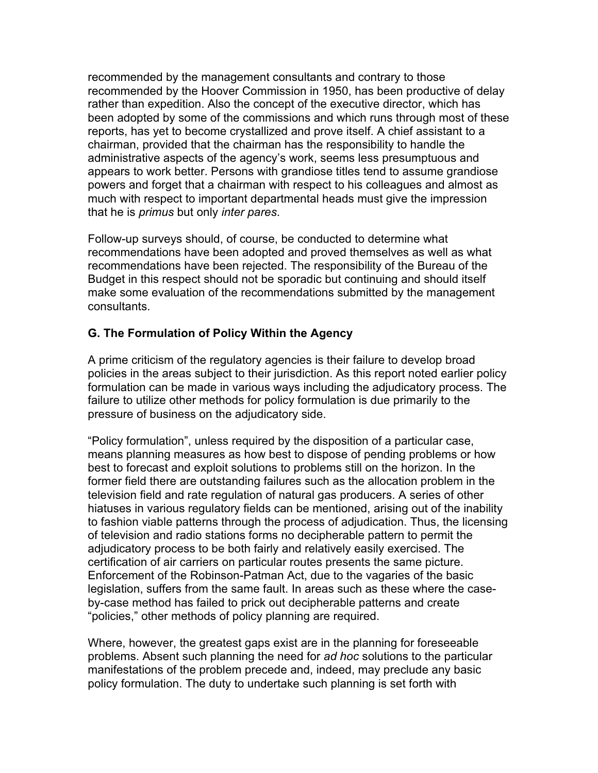recommended by the management consultants and contrary to those recommended by the Hoover Commission in 1950, has been productive of delay rather than expedition. Also the concept of the executive director, which has been adopted by some of the commissions and which runs through most of these reports, has yet to become crystallized and prove itself. A chief assistant to a chairman, provided that the chairman has the responsibility to handle the administrative aspects of the agency's work, seems less presumptuous and appears to work better. Persons with grandiose titles tend to assume grandiose powers and forget that a chairman with respect to his colleagues and almost as much with respect to important departmental heads must give the impression that he is *primus* but only *inter pares*.

Follow-up surveys should, of course, be conducted to determine what recommendations have been adopted and proved themselves as well as what recommendations have been rejected. The responsibility of the Bureau of the Budget in this respect should not be sporadic but continuing and should itself make some evaluation of the recommendations submitted by the management consultants.

# **G. The Formulation of Policy Within the Agency**

A prime criticism of the regulatory agencies is their failure to develop broad policies in the areas subject to their jurisdiction. As this report noted earlier policy formulation can be made in various ways including the adjudicatory process. The failure to utilize other methods for policy formulation is due primarily to the pressure of business on the adjudicatory side.

"Policy formulation", unless required by the disposition of a particular case, means planning measures as how best to dispose of pending problems or how best to forecast and exploit solutions to problems still on the horizon. In the former field there are outstanding failures such as the allocation problem in the television field and rate regulation of natural gas producers. A series of other hiatuses in various regulatory fields can be mentioned, arising out of the inability to fashion viable patterns through the process of adjudication. Thus, the licensing of television and radio stations forms no decipherable pattern to permit the adjudicatory process to be both fairly and relatively easily exercised. The certification of air carriers on particular routes presents the same picture. Enforcement of the Robinson-Patman Act, due to the vagaries of the basic legislation, suffers from the same fault. In areas such as these where the caseby-case method has failed to prick out decipherable patterns and create "policies," other methods of policy planning are required.

Where, however, the greatest gaps exist are in the planning for foreseeable problems. Absent such planning the need for *ad hoc* solutions to the particular manifestations of the problem precede and, indeed, may preclude any basic policy formulation. The duty to undertake such planning is set forth with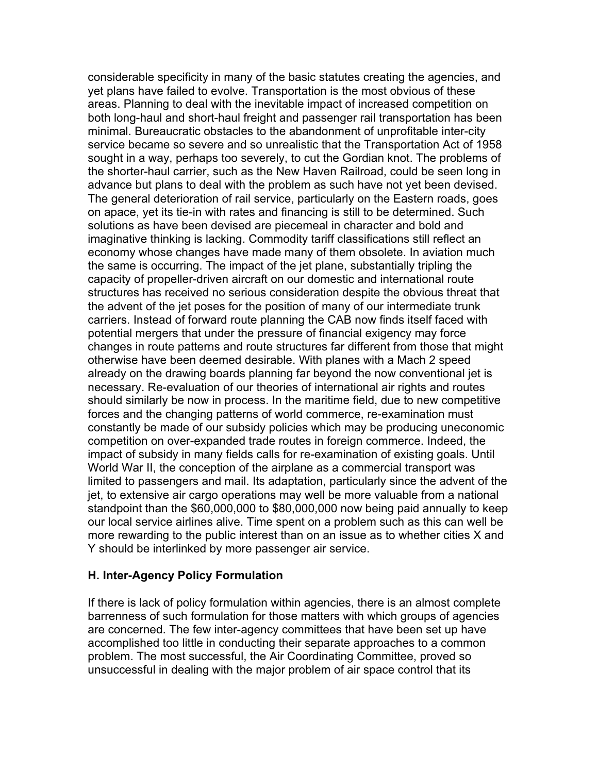considerable specificity in many of the basic statutes creating the agencies, and yet plans have failed to evolve. Transportation is the most obvious of these areas. Planning to deal with the inevitable impact of increased competition on both long-haul and short-haul freight and passenger rail transportation has been minimal. Bureaucratic obstacles to the abandonment of unprofitable inter-city service became so severe and so unrealistic that the Transportation Act of 1958 sought in a way, perhaps too severely, to cut the Gordian knot. The problems of the shorter-haul carrier, such as the New Haven Railroad, could be seen long in advance but plans to deal with the problem as such have not yet been devised. The general deterioration of rail service, particularly on the Eastern roads, goes on apace, yet its tie-in with rates and financing is still to be determined. Such solutions as have been devised are piecemeal in character and bold and imaginative thinking is lacking. Commodity tariff classifications still reflect an economy whose changes have made many of them obsolete. In aviation much the same is occurring. The impact of the jet plane, substantially tripling the capacity of propeller-driven aircraft on our domestic and international route structures has received no serious consideration despite the obvious threat that the advent of the jet poses for the position of many of our intermediate trunk carriers. Instead of forward route planning the CAB now finds itself faced with potential mergers that under the pressure of financial exigency may force changes in route patterns and route structures far different from those that might otherwise have been deemed desirable. With planes with a Mach 2 speed already on the drawing boards planning far beyond the now conventional jet is necessary. Re-evaluation of our theories of international air rights and routes should similarly be now in process. In the maritime field, due to new competitive forces and the changing patterns of world commerce, re-examination must constantly be made of our subsidy policies which may be producing uneconomic competition on over-expanded trade routes in foreign commerce. Indeed, the impact of subsidy in many fields calls for re-examination of existing goals. Until World War II, the conception of the airplane as a commercial transport was limited to passengers and mail. Its adaptation, particularly since the advent of the jet, to extensive air cargo operations may well be more valuable from a national standpoint than the \$60,000,000 to \$80,000,000 now being paid annually to keep our local service airlines alive. Time spent on a problem such as this can well be more rewarding to the public interest than on an issue as to whether cities X and Y should be interlinked by more passenger air service.

## **H. Inter-Agency Policy Formulation**

If there is lack of policy formulation within agencies, there is an almost complete barrenness of such formulation for those matters with which groups of agencies are concerned. The few inter-agency committees that have been set up have accomplished too little in conducting their separate approaches to a common problem. The most successful, the Air Coordinating Committee, proved so unsuccessful in dealing with the major problem of air space control that its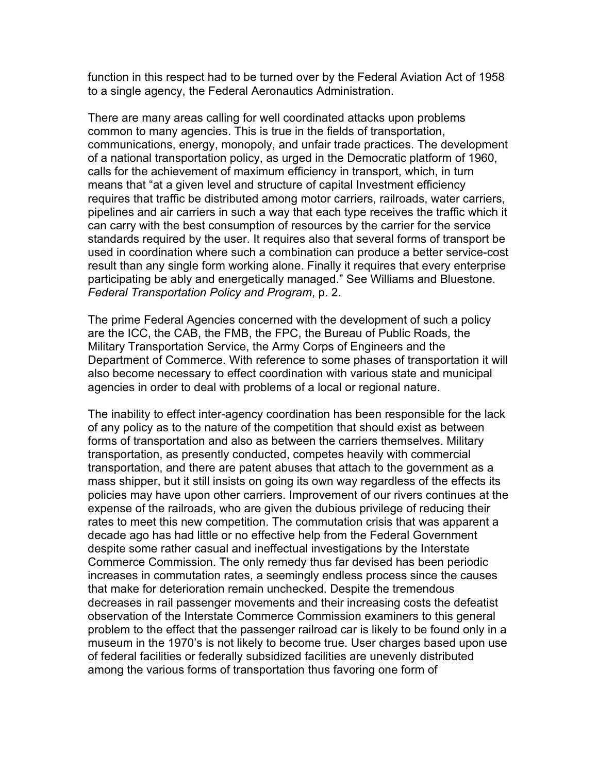function in this respect had to be turned over by the Federal Aviation Act of 1958 to a single agency, the Federal Aeronautics Administration.

There are many areas calling for well coordinated attacks upon problems common to many agencies. This is true in the fields of transportation, communications, energy, monopoly, and unfair trade practices. The development of a national transportation policy, as urged in the Democratic platform of 1960, calls for the achievement of maximum efficiency in transport, which, in turn means that "at a given level and structure of capital Investment efficiency requires that traffic be distributed among motor carriers, railroads, water carriers, pipelines and air carriers in such a way that each type receives the traffic which it can carry with the best consumption of resources by the carrier for the service standards required by the user. It requires also that several forms of transport be used in coordination where such a combination can produce a better service-cost result than any single form working alone. Finally it requires that every enterprise participating be ably and energetically managed." See Williams and Bluestone. *Federal Transportation Policy and Program*, p. 2.

The prime Federal Agencies concerned with the development of such a policy are the ICC, the CAB, the FMB, the FPC, the Bureau of Public Roads, the Military Transportation Service, the Army Corps of Engineers and the Department of Commerce. With reference to some phases of transportation it will also become necessary to effect coordination with various state and municipal agencies in order to deal with problems of a local or regional nature.

The inability to effect inter-agency coordination has been responsible for the lack of any policy as to the nature of the competition that should exist as between forms of transportation and also as between the carriers themselves. Military transportation, as presently conducted, competes heavily with commercial transportation, and there are patent abuses that attach to the government as a mass shipper, but it still insists on going its own way regardless of the effects its policies may have upon other carriers. Improvement of our rivers continues at the expense of the railroads, who are given the dubious privilege of reducing their rates to meet this new competition. The commutation crisis that was apparent a decade ago has had little or no effective help from the Federal Government despite some rather casual and ineffectual investigations by the Interstate Commerce Commission. The only remedy thus far devised has been periodic increases in commutation rates, a seemingly endless process since the causes that make for deterioration remain unchecked. Despite the tremendous decreases in rail passenger movements and their increasing costs the defeatist observation of the Interstate Commerce Commission examiners to this general problem to the effect that the passenger railroad car is likely to be found only in a museum in the 1970's is not likely to become true. User charges based upon use of federal facilities or federally subsidized facilities are unevenly distributed among the various forms of transportation thus favoring one form of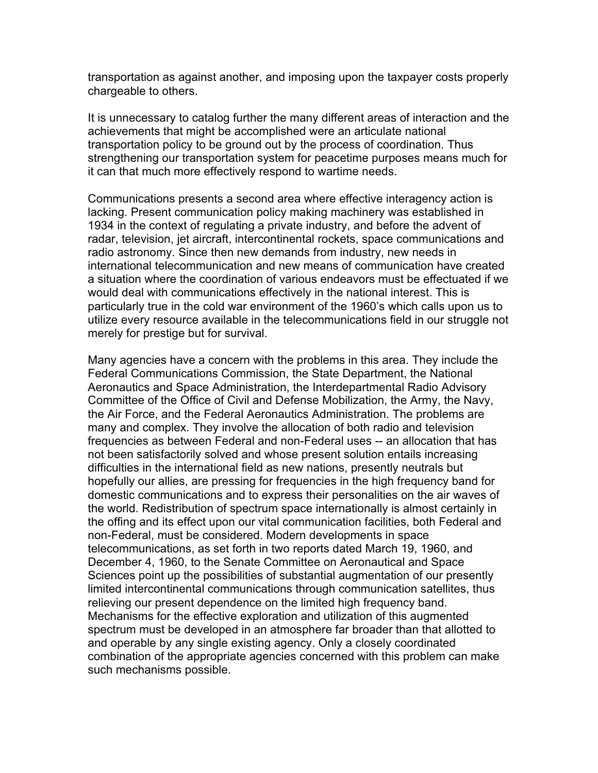transportation as against another, and imposing upon the taxpayer costs properly chargeable to others.

It is unnecessary to catalog further the many different areas of interaction and the achievements that might be accomplished were an articulate national transportation policy to be ground out by the process of coordination. Thus strengthening our transportation system for peacetime purposes means much for it can that much more effectively respond to wartime needs.

Communications presents a second area where effective interagency action is lacking. Present communication policy making machinery was established in 1934 in the context of regulating a private industry, and before the advent of radar, television, jet aircraft, intercontinental rockets, space communications and radio astronomy. Since then new demands from industry, new needs in international telecommunication and new means of communication have created a situation where the coordination of various endeavors must be effectuated if we would deal with communications effectively in the national interest. This is particularly true in the cold war environment of the 1960's which calls upon us to utilize every resource available in the telecommunications field in our struggle not merely for prestige but for survival.

Many agencies have a concern with the problems in this area. They include the Federal Communications Commission, the State Department, the National Aeronautics and Space Administration, the Interdepartmental Radio Advisory Committee of the Office of Civil and Defense Mobilization, the Army, the Navy, the Air Force, and the Federal Aeronautics Administration. The problems are many and complex. They involve the allocation of both radio and television frequencies as between Federal and non-Federal uses -- an allocation that has not been satisfactorily solved and whose present solution entails increasing difficulties in the international field as new nations, presently neutrals but hopefully our allies, are pressing for frequencies in the high frequency band for domestic communications and to express their personalities on the air waves of the world. Redistribution of spectrum space internationally is almost certainly in the offing and its effect upon our vital communication facilities, both Federal and non-Federal, must be considered. Modern developments in space telecommunications, as set forth in two reports dated March 19, 1960, and December 4, 1960, to the Senate Committee on Aeronautical and Space Sciences point up the possibilities of substantial augmentation of our presently limited intercontinental communications through communication satellites, thus relieving our present dependence on the limited high frequency band. Mechanisms for the effective exploration and utilization of this augmented spectrum must be developed in an atmosphere far broader than that allotted to and operable by any single existing agency. Only a closely coordinated combination of the appropriate agencies concerned with this problem can make such mechanisms possible.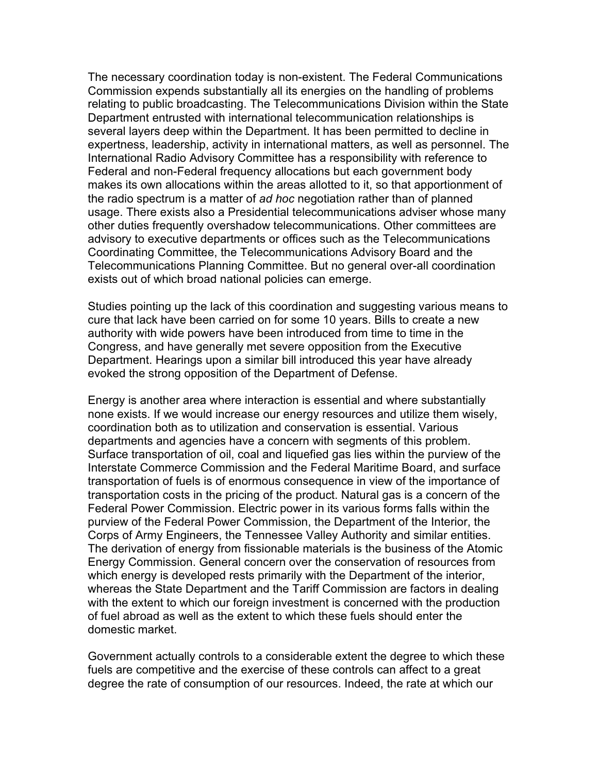The necessary coordination today is non-existent. The Federal Communications Commission expends substantially all its energies on the handling of problems relating to public broadcasting. The Telecommunications Division within the State Department entrusted with international telecommunication relationships is several layers deep within the Department. It has been permitted to decline in expertness, leadership, activity in international matters, as well as personnel. The International Radio Advisory Committee has a responsibility with reference to Federal and non-Federal frequency allocations but each government body makes its own allocations within the areas allotted to it, so that apportionment of the radio spectrum is a matter of *ad hoc* negotiation rather than of planned usage. There exists also a Presidential telecommunications adviser whose many other duties frequently overshadow telecommunications. Other committees are advisory to executive departments or offices such as the Telecommunications Coordinating Committee, the Telecommunications Advisory Board and the Telecommunications Planning Committee. But no general over-all coordination exists out of which broad national policies can emerge.

Studies pointing up the lack of this coordination and suggesting various means to cure that lack have been carried on for some 10 years. Bills to create a new authority with wide powers have been introduced from time to time in the Congress, and have generally met severe opposition from the Executive Department. Hearings upon a similar bill introduced this year have already evoked the strong opposition of the Department of Defense.

Energy is another area where interaction is essential and where substantially none exists. If we would increase our energy resources and utilize them wisely, coordination both as to utilization and conservation is essential. Various departments and agencies have a concern with segments of this problem. Surface transportation of oil, coal and liquefied gas lies within the purview of the Interstate Commerce Commission and the Federal Maritime Board, and surface transportation of fuels is of enormous consequence in view of the importance of transportation costs in the pricing of the product. Natural gas is a concern of the Federal Power Commission. Electric power in its various forms falls within the purview of the Federal Power Commission, the Department of the Interior, the Corps of Army Engineers, the Tennessee Valley Authority and similar entities. The derivation of energy from fissionable materials is the business of the Atomic Energy Commission. General concern over the conservation of resources from which energy is developed rests primarily with the Department of the interior, whereas the State Department and the Tariff Commission are factors in dealing with the extent to which our foreign investment is concerned with the production of fuel abroad as well as the extent to which these fuels should enter the domestic market.

Government actually controls to a considerable extent the degree to which these fuels are competitive and the exercise of these controls can affect to a great degree the rate of consumption of our resources. Indeed, the rate at which our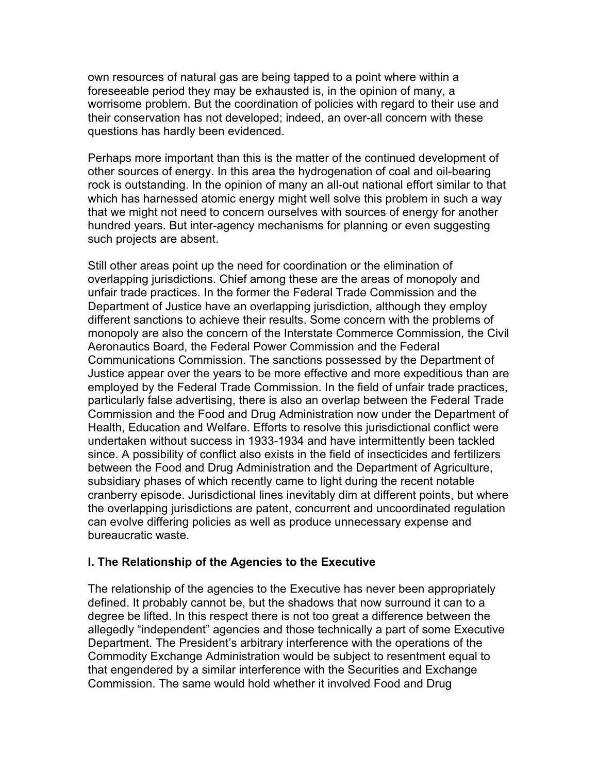own resources of natural gas are being tapped to a point where within a foreseeable period they may be exhausted is, in the opinion of many, a worrisome problem. But the coordination of policies with regard to their use and their conservation has not developed; indeed, an over-all concern with these questions has hardly been evidenced.

Perhaps more important than this is the matter of the continued development of other sources of energy. In this area the hydrogenation of coal and oil-bearing rock is outstanding. In the opinion of many an all-out national effort similar to that which has harnessed atomic energy might well solve this problem in such a way that we might not need to concern ourselves with sources of energy for another hundred years. But inter-agency mechanisms for planning or even suggesting such projects are absent.

Still other areas point up the need for coordination or the elimination of overlapping jurisdictions. Chief among these are the areas of monopoly and unfair trade practices. In the former the Federal Trade Commission and the Department of Justice have an overlapping jurisdiction, although they employ different sanctions to achieve their results. Some concern with the problems of monopoly are also the concern of the Interstate Commerce Commission, the Civil Aeronautics Board, the Federal Power Commission and the Federal Communications Commission. The sanctions possessed by the Department of Justice appear over the years to be more effective and more expeditious than are employed by the Federal Trade Commission. In the field of unfair trade practices, particularly false advertising, there is also an overlap between the Federal Trade Commission and the Food and Drug Administration now under the Department of Health, Education and Welfare. Efforts to resolve this jurisdictional conflict were undertaken without success in 1933-1934 and have intermittently been tackled since. A possibility of conflict also exists in the field of insecticides and fertilizers between the Food and Drug Administration and the Department of Agriculture, subsidiary phases of which recently came to light during the recent notable cranberry episode. Jurisdictional lines inevitably dim at different points, but where the overlapping jurisdictions are patent, concurrent and uncoordinated regulation can evolve differing policies as well as produce unnecessary expense and bureaucratic waste.

## **I. The Relationship of the Agencies to the Executive**

The relationship of the agencies to the Executive has never been appropriately defined. It probably cannot be, but the shadows that now surround it can to a degree be lifted. In this respect there is not too great a difference between the allegedly "independent" agencies and those technically a part of some Executive Department. The President's arbitrary interference with the operations of the Commodity Exchange Administration would be subject to resentment equal to that engendered by a similar interference with the Securities and Exchange Commission. The same would hold whether it involved Food and Drug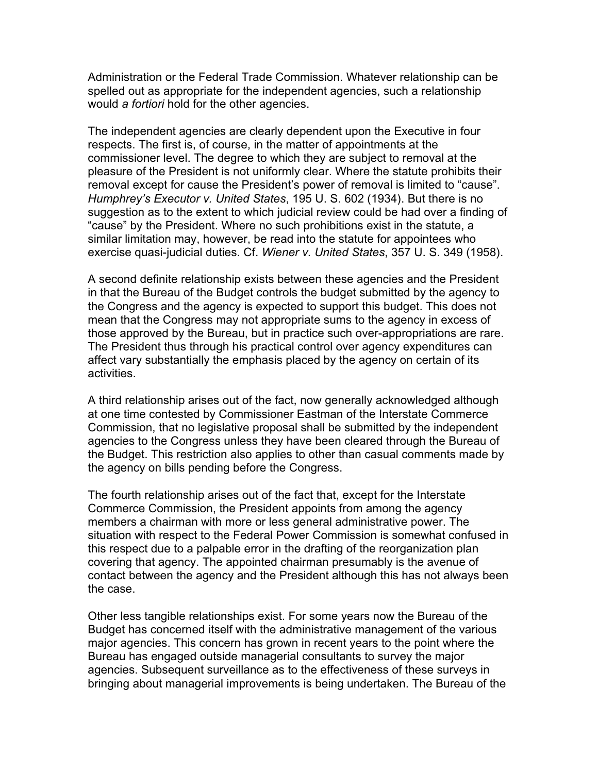Administration or the Federal Trade Commission. Whatever relationship can be spelled out as appropriate for the independent agencies, such a relationship would *a fortiori* hold for the other agencies.

The independent agencies are clearly dependent upon the Executive in four respects. The first is, of course, in the matter of appointments at the commissioner level. The degree to which they are subject to removal at the pleasure of the President is not uniformly clear. Where the statute prohibits their removal except for cause the President's power of removal is limited to "cause". *Humphrey's Executor v. United States*, 195 U. S. 602 (1934). But there is no suggestion as to the extent to which judicial review could be had over a finding of "cause" by the President. Where no such prohibitions exist in the statute, a similar limitation may, however, be read into the statute for appointees who exercise quasi-judicial duties. Cf. *Wiener v. United States*, 357 U. S. 349 (1958).

A second definite relationship exists between these agencies and the President in that the Bureau of the Budget controls the budget submitted by the agency to the Congress and the agency is expected to support this budget. This does not mean that the Congress may not appropriate sums to the agency in excess of those approved by the Bureau, but in practice such over-appropriations are rare. The President thus through his practical control over agency expenditures can affect vary substantially the emphasis placed by the agency on certain of its activities.

A third relationship arises out of the fact, now generally acknowledged although at one time contested by Commissioner Eastman of the Interstate Commerce Commission, that no legislative proposal shall be submitted by the independent agencies to the Congress unless they have been cleared through the Bureau of the Budget. This restriction also applies to other than casual comments made by the agency on bills pending before the Congress.

The fourth relationship arises out of the fact that, except for the Interstate Commerce Commission, the President appoints from among the agency members a chairman with more or less general administrative power. The situation with respect to the Federal Power Commission is somewhat confused in this respect due to a palpable error in the drafting of the reorganization plan covering that agency. The appointed chairman presumably is the avenue of contact between the agency and the President although this has not always been the case.

Other less tangible relationships exist. For some years now the Bureau of the Budget has concerned itself with the administrative management of the various major agencies. This concern has grown in recent years to the point where the Bureau has engaged outside managerial consultants to survey the major agencies. Subsequent surveillance as to the effectiveness of these surveys in bringing about managerial improvements is being undertaken. The Bureau of the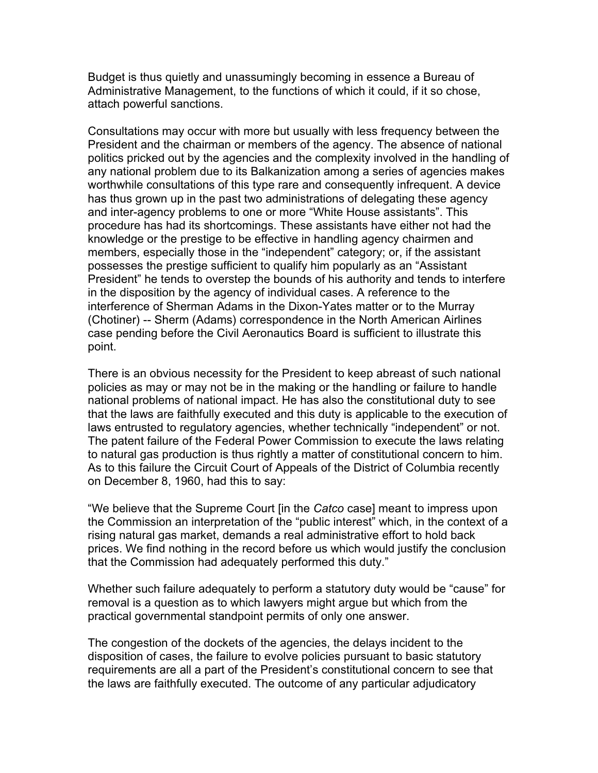Budget is thus quietly and unassumingly becoming in essence a Bureau of Administrative Management, to the functions of which it could, if it so chose, attach powerful sanctions.

Consultations may occur with more but usually with less frequency between the President and the chairman or members of the agency. The absence of national politics pricked out by the agencies and the complexity involved in the handling of any national problem due to its Balkanization among a series of agencies makes worthwhile consultations of this type rare and consequently infrequent. A device has thus grown up in the past two administrations of delegating these agency and inter-agency problems to one or more "White House assistants". This procedure has had its shortcomings. These assistants have either not had the knowledge or the prestige to be effective in handling agency chairmen and members, especially those in the "independent" category; or, if the assistant possesses the prestige sufficient to qualify him popularly as an "Assistant President" he tends to overstep the bounds of his authority and tends to interfere in the disposition by the agency of individual cases. A reference to the interference of Sherman Adams in the Dixon-Yates matter or to the Murray (Chotiner) -- Sherm (Adams) correspondence in the North American Airlines case pending before the Civil Aeronautics Board is sufficient to illustrate this point.

There is an obvious necessity for the President to keep abreast of such national policies as may or may not be in the making or the handling or failure to handle national problems of national impact. He has also the constitutional duty to see that the laws are faithfully executed and this duty is applicable to the execution of laws entrusted to regulatory agencies, whether technically "independent" or not. The patent failure of the Federal Power Commission to execute the laws relating to natural gas production is thus rightly a matter of constitutional concern to him. As to this failure the Circuit Court of Appeals of the District of Columbia recently on December 8, 1960, had this to say:

"We believe that the Supreme Court [in the *Catco* case] meant to impress upon the Commission an interpretation of the "public interest" which, in the context of a rising natural gas market, demands a real administrative effort to hold back prices. We find nothing in the record before us which would justify the conclusion that the Commission had adequately performed this duty."

Whether such failure adequately to perform a statutory duty would be "cause" for removal is a question as to which lawyers might argue but which from the practical governmental standpoint permits of only one answer.

The congestion of the dockets of the agencies, the delays incident to the disposition of cases, the failure to evolve policies pursuant to basic statutory requirements are all a part of the President's constitutional concern to see that the laws are faithfully executed. The outcome of any particular adjudicatory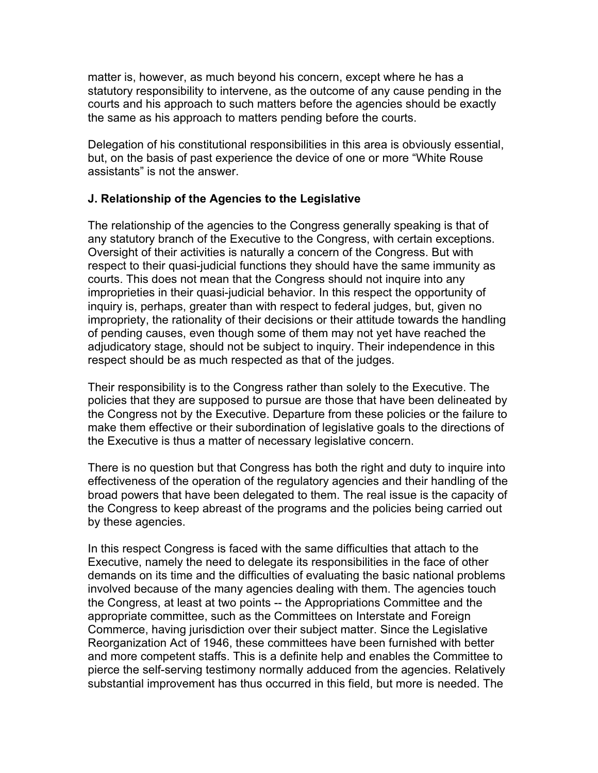matter is, however, as much beyond his concern, except where he has a statutory responsibility to intervene, as the outcome of any cause pending in the courts and his approach to such matters before the agencies should be exactly the same as his approach to matters pending before the courts.

Delegation of his constitutional responsibilities in this area is obviously essential, but, on the basis of past experience the device of one or more "White Rouse assistants" is not the answer.

## **J. Relationship of the Agencies to the Legislative**

The relationship of the agencies to the Congress generally speaking is that of any statutory branch of the Executive to the Congress, with certain exceptions. Oversight of their activities is naturally a concern of the Congress. But with respect to their quasi-judicial functions they should have the same immunity as courts. This does not mean that the Congress should not inquire into any improprieties in their quasi-judicial behavior. In this respect the opportunity of inquiry is, perhaps, greater than with respect to federal judges, but, given no impropriety, the rationality of their decisions or their attitude towards the handling of pending causes, even though some of them may not yet have reached the adjudicatory stage, should not be subject to inquiry. Their independence in this respect should be as much respected as that of the judges.

Their responsibility is to the Congress rather than solely to the Executive. The policies that they are supposed to pursue are those that have been delineated by the Congress not by the Executive. Departure from these policies or the failure to make them effective or their subordination of legislative goals to the directions of the Executive is thus a matter of necessary legislative concern.

There is no question but that Congress has both the right and duty to inquire into effectiveness of the operation of the regulatory agencies and their handling of the broad powers that have been delegated to them. The real issue is the capacity of the Congress to keep abreast of the programs and the policies being carried out by these agencies.

In this respect Congress is faced with the same difficulties that attach to the Executive, namely the need to delegate its responsibilities in the face of other demands on its time and the difficulties of evaluating the basic national problems involved because of the many agencies dealing with them. The agencies touch the Congress, at least at two points -- the Appropriations Committee and the appropriate committee, such as the Committees on Interstate and Foreign Commerce, having jurisdiction over their subject matter. Since the Legislative Reorganization Act of 1946, these committees have been furnished with better and more competent staffs. This is a definite help and enables the Committee to pierce the self-serving testimony normally adduced from the agencies. Relatively substantial improvement has thus occurred in this field, but more is needed. The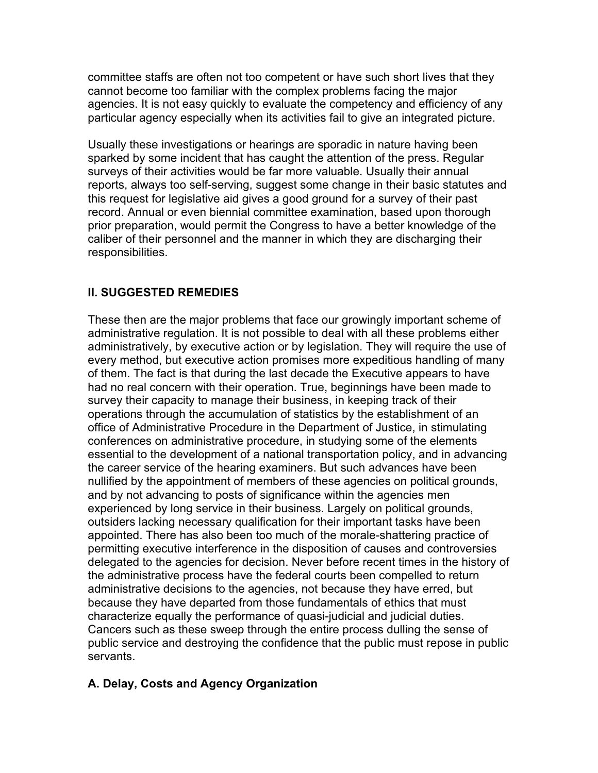committee staffs are often not too competent or have such short lives that they cannot become too familiar with the complex problems facing the major agencies. It is not easy quickly to evaluate the competency and efficiency of any particular agency especially when its activities fail to give an integrated picture.

Usually these investigations or hearings are sporadic in nature having been sparked by some incident that has caught the attention of the press. Regular surveys of their activities would be far more valuable. Usually their annual reports, always too self-serving, suggest some change in their basic statutes and this request for legislative aid gives a good ground for a survey of their past record. Annual or even biennial committee examination, based upon thorough prior preparation, would permit the Congress to have a better knowledge of the caliber of their personnel and the manner in which they are discharging their responsibilities.

# **II. SUGGESTED REMEDIES**

These then are the major problems that face our growingly important scheme of administrative regulation. It is not possible to deal with all these problems either administratively, by executive action or by legislation. They will require the use of every method, but executive action promises more expeditious handling of many of them. The fact is that during the last decade the Executive appears to have had no real concern with their operation. True, beginnings have been made to survey their capacity to manage their business, in keeping track of their operations through the accumulation of statistics by the establishment of an office of Administrative Procedure in the Department of Justice, in stimulating conferences on administrative procedure, in studying some of the elements essential to the development of a national transportation policy, and in advancing the career service of the hearing examiners. But such advances have been nullified by the appointment of members of these agencies on political grounds, and by not advancing to posts of significance within the agencies men experienced by long service in their business. Largely on political grounds, outsiders lacking necessary qualification for their important tasks have been appointed. There has also been too much of the morale-shattering practice of permitting executive interference in the disposition of causes and controversies delegated to the agencies for decision. Never before recent times in the history of the administrative process have the federal courts been compelled to return administrative decisions to the agencies, not because they have erred, but because they have departed from those fundamentals of ethics that must characterize equally the performance of quasi-judicial and judicial duties. Cancers such as these sweep through the entire process dulling the sense of public service and destroying the confidence that the public must repose in public servants.

# **A. Delay, Costs and Agency Organization**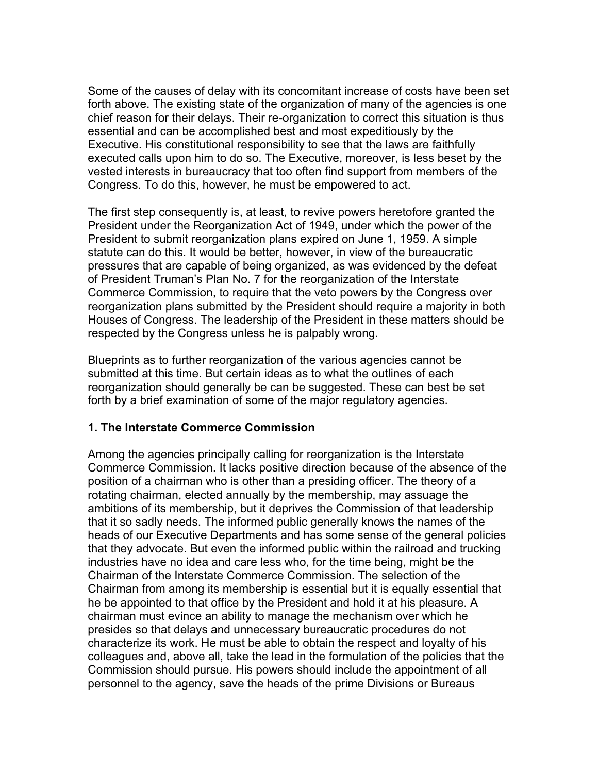Some of the causes of delay with its concomitant increase of costs have been set forth above. The existing state of the organization of many of the agencies is one chief reason for their delays. Their re-organization to correct this situation is thus essential and can be accomplished best and most expeditiously by the Executive. His constitutional responsibility to see that the laws are faithfully executed calls upon him to do so. The Executive, moreover, is less beset by the vested interests in bureaucracy that too often find support from members of the Congress. To do this, however, he must be empowered to act.

The first step consequently is, at least, to revive powers heretofore granted the President under the Reorganization Act of 1949, under which the power of the President to submit reorganization plans expired on June 1, 1959. A simple statute can do this. It would be better, however, in view of the bureaucratic pressures that are capable of being organized, as was evidenced by the defeat of President Truman's Plan No. 7 for the reorganization of the Interstate Commerce Commission, to require that the veto powers by the Congress over reorganization plans submitted by the President should require a majority in both Houses of Congress. The leadership of the President in these matters should be respected by the Congress unless he is palpably wrong.

Blueprints as to further reorganization of the various agencies cannot be submitted at this time. But certain ideas as to what the outlines of each reorganization should generally be can be suggested. These can best be set forth by a brief examination of some of the major regulatory agencies.

#### **1. The Interstate Commerce Commission**

Among the agencies principally calling for reorganization is the Interstate Commerce Commission. It lacks positive direction because of the absence of the position of a chairman who is other than a presiding officer. The theory of a rotating chairman, elected annually by the membership, may assuage the ambitions of its membership, but it deprives the Commission of that leadership that it so sadly needs. The informed public generally knows the names of the heads of our Executive Departments and has some sense of the general policies that they advocate. But even the informed public within the railroad and trucking industries have no idea and care less who, for the time being, might be the Chairman of the Interstate Commerce Commission. The selection of the Chairman from among its membership is essential but it is equally essential that he be appointed to that office by the President and hold it at his pleasure. A chairman must evince an ability to manage the mechanism over which he presides so that delays and unnecessary bureaucratic procedures do not characterize its work. He must be able to obtain the respect and loyalty of his colleagues and, above all, take the lead in the formulation of the policies that the Commission should pursue. His powers should include the appointment of all personnel to the agency, save the heads of the prime Divisions or Bureaus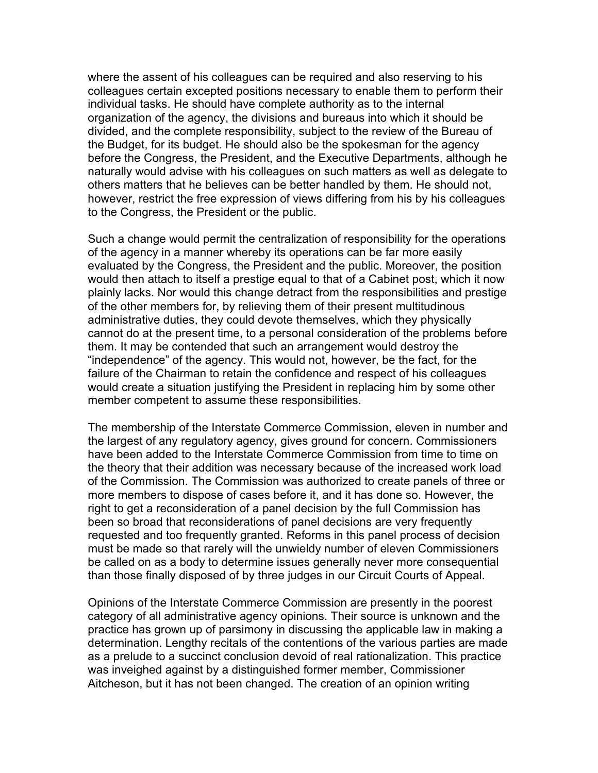where the assent of his colleagues can be required and also reserving to his colleagues certain excepted positions necessary to enable them to perform their individual tasks. He should have complete authority as to the internal organization of the agency, the divisions and bureaus into which it should be divided, and the complete responsibility, subject to the review of the Bureau of the Budget, for its budget. He should also be the spokesman for the agency before the Congress, the President, and the Executive Departments, although he naturally would advise with his colleagues on such matters as well as delegate to others matters that he believes can be better handled by them. He should not, however, restrict the free expression of views differing from his by his colleagues to the Congress, the President or the public.

Such a change would permit the centralization of responsibility for the operations of the agency in a manner whereby its operations can be far more easily evaluated by the Congress, the President and the public. Moreover, the position would then attach to itself a prestige equal to that of a Cabinet post, which it now plainly lacks. Nor would this change detract from the responsibilities and prestige of the other members for, by relieving them of their present multitudinous administrative duties, they could devote themselves, which they physically cannot do at the present time, to a personal consideration of the problems before them. It may be contended that such an arrangement would destroy the "independence" of the agency. This would not, however, be the fact, for the failure of the Chairman to retain the confidence and respect of his colleagues would create a situation justifying the President in replacing him by some other member competent to assume these responsibilities.

The membership of the Interstate Commerce Commission, eleven in number and the largest of any regulatory agency, gives ground for concern. Commissioners have been added to the Interstate Commerce Commission from time to time on the theory that their addition was necessary because of the increased work load of the Commission. The Commission was authorized to create panels of three or more members to dispose of cases before it, and it has done so. However, the right to get a reconsideration of a panel decision by the full Commission has been so broad that reconsiderations of panel decisions are very frequently requested and too frequently granted. Reforms in this panel process of decision must be made so that rarely will the unwieldy number of eleven Commissioners be called on as a body to determine issues generally never more consequential than those finally disposed of by three judges in our Circuit Courts of Appeal.

Opinions of the Interstate Commerce Commission are presently in the poorest category of all administrative agency opinions. Their source is unknown and the practice has grown up of parsimony in discussing the applicable law in making a determination. Lengthy recitals of the contentions of the various parties are made as a prelude to a succinct conclusion devoid of real rationalization. This practice was inveighed against by a distinguished former member, Commissioner Aitcheson, but it has not been changed. The creation of an opinion writing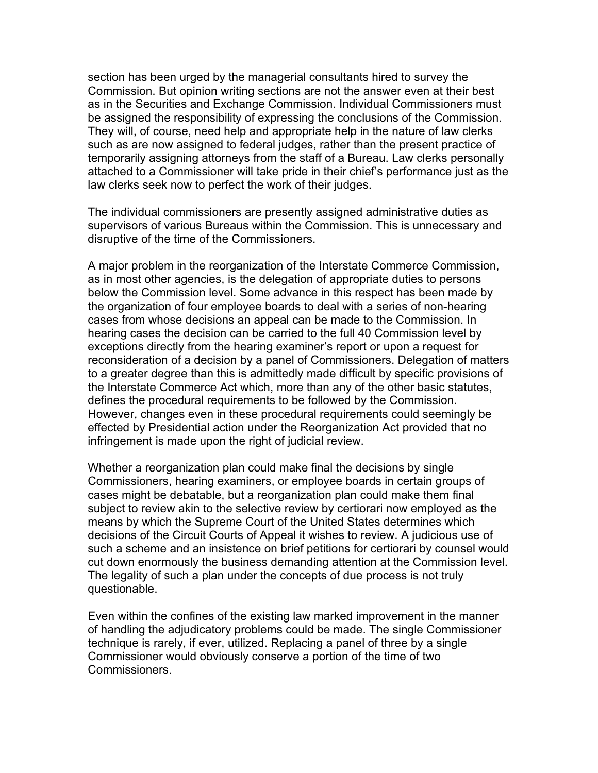section has been urged by the managerial consultants hired to survey the Commission. But opinion writing sections are not the answer even at their best as in the Securities and Exchange Commission. Individual Commissioners must be assigned the responsibility of expressing the conclusions of the Commission. They will, of course, need help and appropriate help in the nature of law clerks such as are now assigned to federal judges, rather than the present practice of temporarily assigning attorneys from the staff of a Bureau. Law clerks personally attached to a Commissioner will take pride in their chief's performance just as the law clerks seek now to perfect the work of their judges.

The individual commissioners are presently assigned administrative duties as supervisors of various Bureaus within the Commission. This is unnecessary and disruptive of the time of the Commissioners.

A major problem in the reorganization of the Interstate Commerce Commission, as in most other agencies, is the delegation of appropriate duties to persons below the Commission level. Some advance in this respect has been made by the organization of four employee boards to deal with a series of non-hearing cases from whose decisions an appeal can be made to the Commission. In hearing cases the decision can be carried to the full 40 Commission level by exceptions directly from the hearing examiner's report or upon a request for reconsideration of a decision by a panel of Commissioners. Delegation of matters to a greater degree than this is admittedly made difficult by specific provisions of the Interstate Commerce Act which, more than any of the other basic statutes, defines the procedural requirements to be followed by the Commission. However, changes even in these procedural requirements could seemingly be effected by Presidential action under the Reorganization Act provided that no infringement is made upon the right of judicial review.

Whether a reorganization plan could make final the decisions by single Commissioners, hearing examiners, or employee boards in certain groups of cases might be debatable, but a reorganization plan could make them final subject to review akin to the selective review by certiorari now employed as the means by which the Supreme Court of the United States determines which decisions of the Circuit Courts of Appeal it wishes to review. A judicious use of such a scheme and an insistence on brief petitions for certiorari by counsel would cut down enormously the business demanding attention at the Commission level. The legality of such a plan under the concepts of due process is not truly questionable.

Even within the confines of the existing law marked improvement in the manner of handling the adjudicatory problems could be made. The single Commissioner technique is rarely, if ever, utilized. Replacing a panel of three by a single Commissioner would obviously conserve a portion of the time of two Commissioners.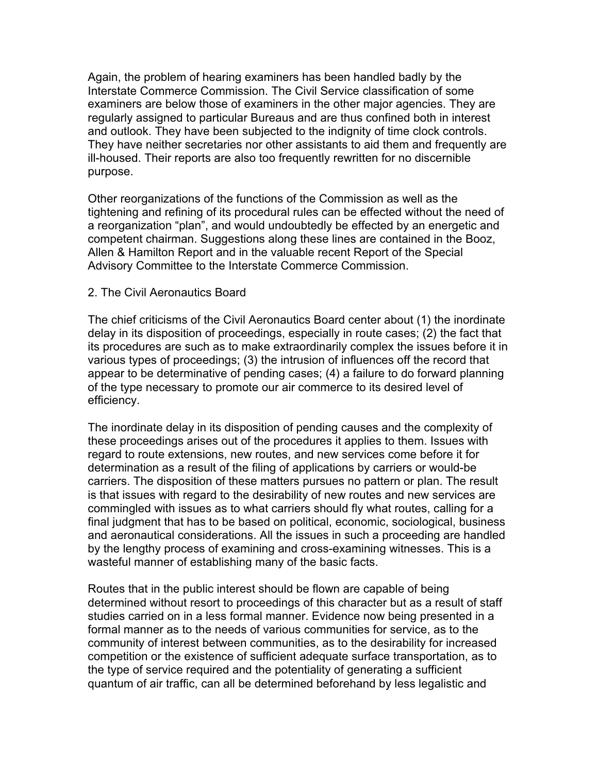Again, the problem of hearing examiners has been handled badly by the Interstate Commerce Commission. The Civil Service classification of some examiners are below those of examiners in the other major agencies. They are regularly assigned to particular Bureaus and are thus confined both in interest and outlook. They have been subjected to the indignity of time clock controls. They have neither secretaries nor other assistants to aid them and frequently are ill-housed. Their reports are also too frequently rewritten for no discernible purpose.

Other reorganizations of the functions of the Commission as well as the tightening and refining of its procedural rules can be effected without the need of a reorganization "plan", and would undoubtedly be effected by an energetic and competent chairman. Suggestions along these lines are contained in the Booz, Allen & Hamilton Report and in the valuable recent Report of the Special Advisory Committee to the Interstate Commerce Commission.

#### 2. The Civil Aeronautics Board

The chief criticisms of the Civil Aeronautics Board center about (1) the inordinate delay in its disposition of proceedings, especially in route cases; (2) the fact that its procedures are such as to make extraordinarily complex the issues before it in various types of proceedings; (3) the intrusion of influences off the record that appear to be determinative of pending cases; (4) a failure to do forward planning of the type necessary to promote our air commerce to its desired level of efficiency.

The inordinate delay in its disposition of pending causes and the complexity of these proceedings arises out of the procedures it applies to them. Issues with regard to route extensions, new routes, and new services come before it for determination as a result of the filing of applications by carriers or would-be carriers. The disposition of these matters pursues no pattern or plan. The result is that issues with regard to the desirability of new routes and new services are commingled with issues as to what carriers should fly what routes, calling for a final judgment that has to be based on political, economic, sociological, business and aeronautical considerations. All the issues in such a proceeding are handled by the lengthy process of examining and cross-examining witnesses. This is a wasteful manner of establishing many of the basic facts.

Routes that in the public interest should be flown are capable of being determined without resort to proceedings of this character but as a result of staff studies carried on in a less formal manner. Evidence now being presented in a formal manner as to the needs of various communities for service, as to the community of interest between communities, as to the desirability for increased competition or the existence of sufficient adequate surface transportation, as to the type of service required and the potentiality of generating a sufficient quantum of air traffic, can all be determined beforehand by less legalistic and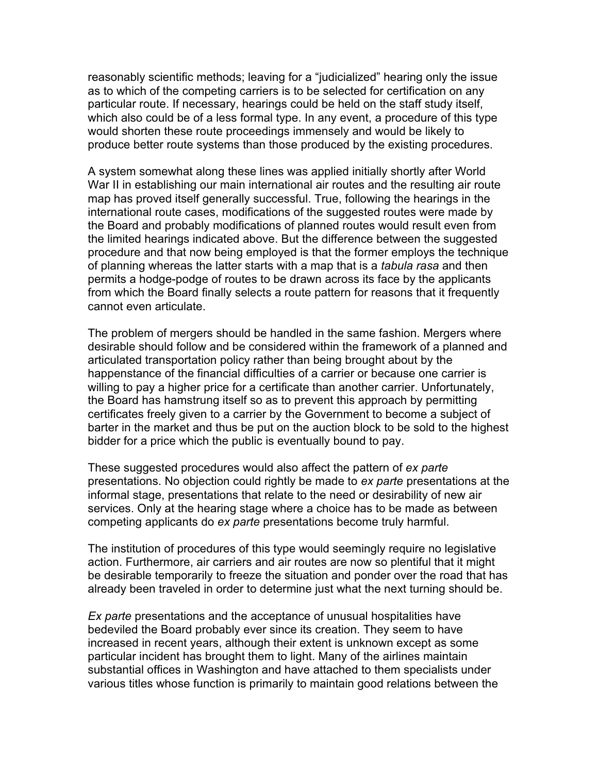reasonably scientific methods; leaving for a "judicialized" hearing only the issue as to which of the competing carriers is to be selected for certification on any particular route. If necessary, hearings could be held on the staff study itself, which also could be of a less formal type. In any event, a procedure of this type would shorten these route proceedings immensely and would be likely to produce better route systems than those produced by the existing procedures.

A system somewhat along these lines was applied initially shortly after World War II in establishing our main international air routes and the resulting air route map has proved itself generally successful. True, following the hearings in the international route cases, modifications of the suggested routes were made by the Board and probably modifications of planned routes would result even from the limited hearings indicated above. But the difference between the suggested procedure and that now being employed is that the former employs the technique of planning whereas the latter starts with a map that is a *tabula rasa* and then permits a hodge-podge of routes to be drawn across its face by the applicants from which the Board finally selects a route pattern for reasons that it frequently cannot even articulate.

The problem of mergers should be handled in the same fashion. Mergers where desirable should follow and be considered within the framework of a planned and articulated transportation policy rather than being brought about by the happenstance of the financial difficulties of a carrier or because one carrier is willing to pay a higher price for a certificate than another carrier. Unfortunately, the Board has hamstrung itself so as to prevent this approach by permitting certificates freely given to a carrier by the Government to become a subject of barter in the market and thus be put on the auction block to be sold to the highest bidder for a price which the public is eventually bound to pay.

These suggested procedures would also affect the pattern of *ex parte* presentations. No objection could rightly be made to *ex parte* presentations at the informal stage, presentations that relate to the need or desirability of new air services. Only at the hearing stage where a choice has to be made as between competing applicants do *ex parte* presentations become truly harmful.

The institution of procedures of this type would seemingly require no legislative action. Furthermore, air carriers and air routes are now so plentiful that it might be desirable temporarily to freeze the situation and ponder over the road that has already been traveled in order to determine just what the next turning should be.

*Ex parte* presentations and the acceptance of unusual hospitalities have bedeviled the Board probably ever since its creation. They seem to have increased in recent years, although their extent is unknown except as some particular incident has brought them to light. Many of the airlines maintain substantial offices in Washington and have attached to them specialists under various titles whose function is primarily to maintain good relations between the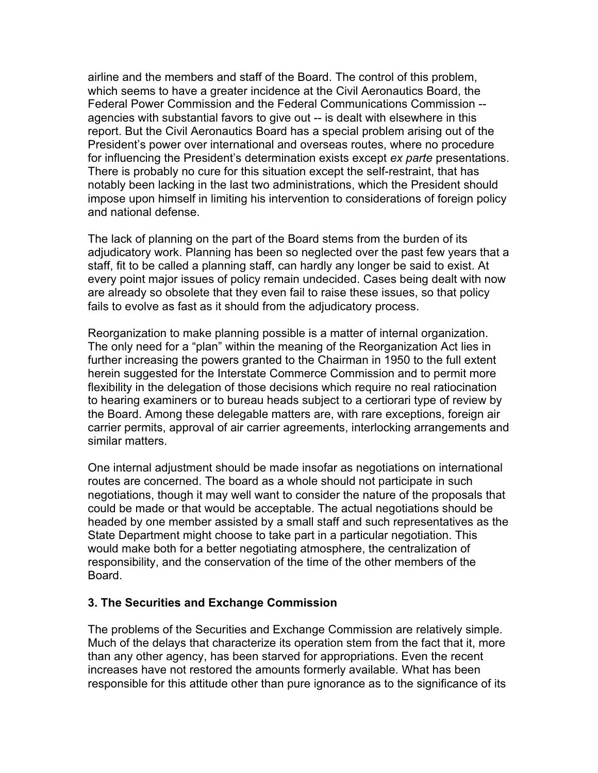airline and the members and staff of the Board. The control of this problem, which seems to have a greater incidence at the Civil Aeronautics Board, the Federal Power Commission and the Federal Communications Commission - agencies with substantial favors to give out -- is dealt with elsewhere in this report. But the Civil Aeronautics Board has a special problem arising out of the President's power over international and overseas routes, where no procedure for influencing the President's determination exists except *ex parte* presentations. There is probably no cure for this situation except the self-restraint, that has notably been lacking in the last two administrations, which the President should impose upon himself in limiting his intervention to considerations of foreign policy and national defense.

The lack of planning on the part of the Board stems from the burden of its adjudicatory work. Planning has been so neglected over the past few years that a staff, fit to be called a planning staff, can hardly any longer be said to exist. At every point major issues of policy remain undecided. Cases being dealt with now are already so obsolete that they even fail to raise these issues, so that policy fails to evolve as fast as it should from the adjudicatory process.

Reorganization to make planning possible is a matter of internal organization. The only need for a "plan" within the meaning of the Reorganization Act lies in further increasing the powers granted to the Chairman in 1950 to the full extent herein suggested for the Interstate Commerce Commission and to permit more flexibility in the delegation of those decisions which require no real ratiocination to hearing examiners or to bureau heads subject to a certiorari type of review by the Board. Among these delegable matters are, with rare exceptions, foreign air carrier permits, approval of air carrier agreements, interlocking arrangements and similar matters.

One internal adjustment should be made insofar as negotiations on international routes are concerned. The board as a whole should not participate in such negotiations, though it may well want to consider the nature of the proposals that could be made or that would be acceptable. The actual negotiations should be headed by one member assisted by a small staff and such representatives as the State Department might choose to take part in a particular negotiation. This would make both for a better negotiating atmosphere, the centralization of responsibility, and the conservation of the time of the other members of the Board.

#### **3. The Securities and Exchange Commission**

The problems of the Securities and Exchange Commission are relatively simple. Much of the delays that characterize its operation stem from the fact that it, more than any other agency, has been starved for appropriations. Even the recent increases have not restored the amounts formerly available. What has been responsible for this attitude other than pure ignorance as to the significance of its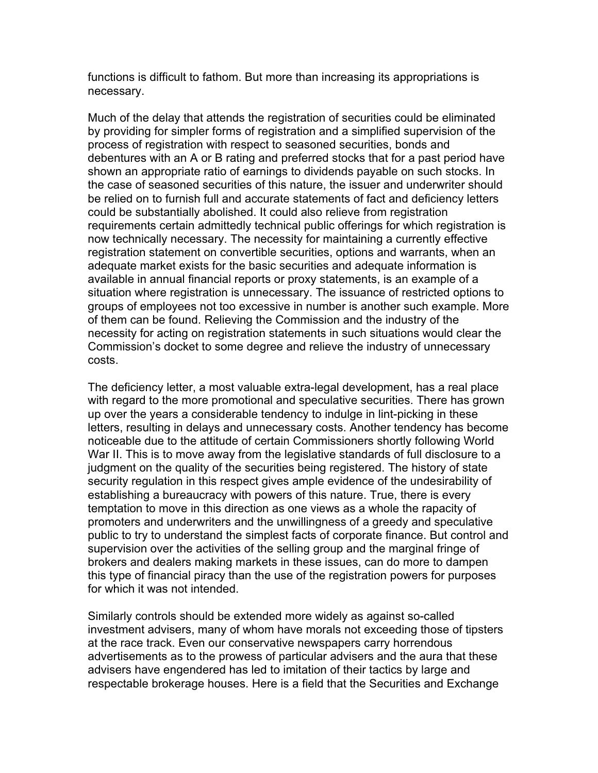functions is difficult to fathom. But more than increasing its appropriations is necessary.

Much of the delay that attends the registration of securities could be eliminated by providing for simpler forms of registration and a simplified supervision of the process of registration with respect to seasoned securities, bonds and debentures with an A or B rating and preferred stocks that for a past period have shown an appropriate ratio of earnings to dividends payable on such stocks. In the case of seasoned securities of this nature, the issuer and underwriter should be relied on to furnish full and accurate statements of fact and deficiency letters could be substantially abolished. It could also relieve from registration requirements certain admittedly technical public offerings for which registration is now technically necessary. The necessity for maintaining a currently effective registration statement on convertible securities, options and warrants, when an adequate market exists for the basic securities and adequate information is available in annual financial reports or proxy statements, is an example of a situation where registration is unnecessary. The issuance of restricted options to groups of employees not too excessive in number is another such example. More of them can be found. Relieving the Commission and the industry of the necessity for acting on registration statements in such situations would clear the Commission's docket to some degree and relieve the industry of unnecessary costs.

The deficiency letter, a most valuable extra-legal development, has a real place with regard to the more promotional and speculative securities. There has grown up over the years a considerable tendency to indulge in lint-picking in these letters, resulting in delays and unnecessary costs. Another tendency has become noticeable due to the attitude of certain Commissioners shortly following World War II. This is to move away from the legislative standards of full disclosure to a judgment on the quality of the securities being registered. The history of state security regulation in this respect gives ample evidence of the undesirability of establishing a bureaucracy with powers of this nature. True, there is every temptation to move in this direction as one views as a whole the rapacity of promoters and underwriters and the unwillingness of a greedy and speculative public to try to understand the simplest facts of corporate finance. But control and supervision over the activities of the selling group and the marginal fringe of brokers and dealers making markets in these issues, can do more to dampen this type of financial piracy than the use of the registration powers for purposes for which it was not intended.

Similarly controls should be extended more widely as against so-called investment advisers, many of whom have morals not exceeding those of tipsters at the race track. Even our conservative newspapers carry horrendous advertisements as to the prowess of particular advisers and the aura that these advisers have engendered has led to imitation of their tactics by large and respectable brokerage houses. Here is a field that the Securities and Exchange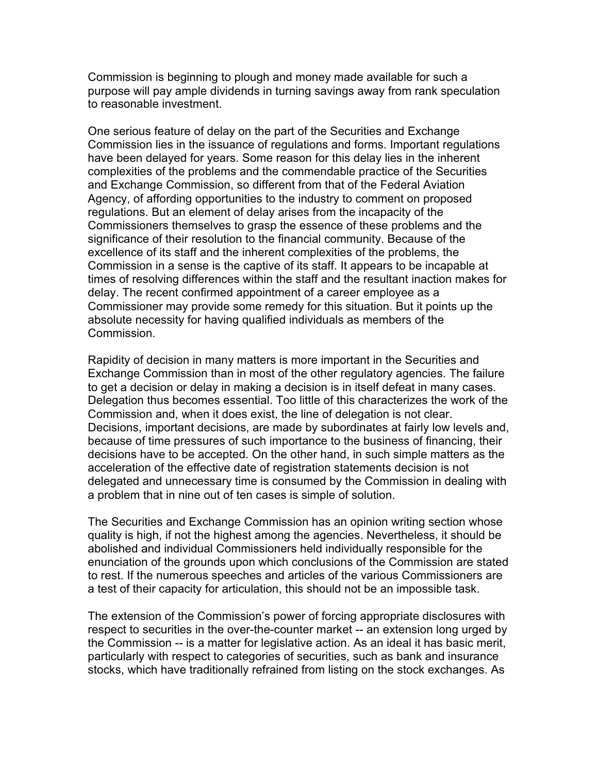Commission is beginning to plough and money made available for such a purpose will pay ample dividends in turning savings away from rank speculation to reasonable investment.

One serious feature of delay on the part of the Securities and Exchange Commission lies in the issuance of regulations and forms. Important regulations have been delayed for years. Some reason for this delay lies in the inherent complexities of the problems and the commendable practice of the Securities and Exchange Commission, so different from that of the Federal Aviation Agency, of affording opportunities to the industry to comment on proposed regulations. But an element of delay arises from the incapacity of the Commissioners themselves to grasp the essence of these problems and the significance of their resolution to the financial community. Because of the excellence of its staff and the inherent complexities of the problems, the Commission in a sense is the captive of its staff. It appears to be incapable at times of resolving differences within the staff and the resultant inaction makes for delay. The recent confirmed appointment of a career employee as a Commissioner may provide some remedy for this situation. But it points up the absolute necessity for having qualified individuals as members of the Commission.

Rapidity of decision in many matters is more important in the Securities and Exchange Commission than in most of the other regulatory agencies. The failure to get a decision or delay in making a decision is in itself defeat in many cases. Delegation thus becomes essential. Too little of this characterizes the work of the Commission and, when it does exist, the line of delegation is not clear. Decisions, important decisions, are made by subordinates at fairly low levels and, because of time pressures of such importance to the business of financing, their decisions have to be accepted. On the other hand, in such simple matters as the acceleration of the effective date of registration statements decision is not delegated and unnecessary time is consumed by the Commission in dealing with a problem that in nine out of ten cases is simple of solution.

The Securities and Exchange Commission has an opinion writing section whose quality is high, if not the highest among the agencies. Nevertheless, it should be abolished and individual Commissioners held individually responsible for the enunciation of the grounds upon which conclusions of the Commission are stated to rest. If the numerous speeches and articles of the various Commissioners are a test of their capacity for articulation, this should not be an impossible task.

The extension of the Commission's power of forcing appropriate disclosures with respect to securities in the over-the-counter market -- an extension long urged by the Commission -- is a matter for legislative action. As an ideal it has basic merit, particularly with respect to categories of securities, such as bank and insurance stocks, which have traditionally refrained from listing on the stock exchanges. As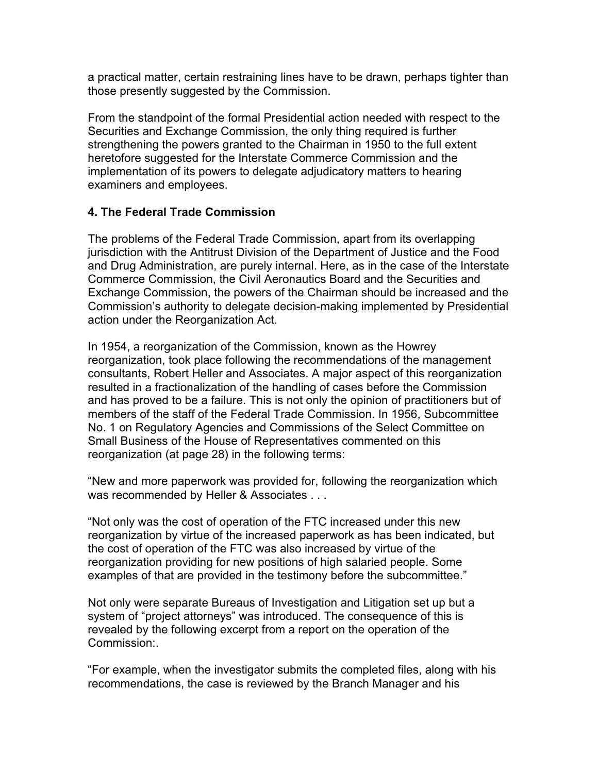a practical matter, certain restraining lines have to be drawn, perhaps tighter than those presently suggested by the Commission.

From the standpoint of the formal Presidential action needed with respect to the Securities and Exchange Commission, the only thing required is further strengthening the powers granted to the Chairman in 1950 to the full extent heretofore suggested for the Interstate Commerce Commission and the implementation of its powers to delegate adjudicatory matters to hearing examiners and employees.

# **4. The Federal Trade Commission**

The problems of the Federal Trade Commission, apart from its overlapping jurisdiction with the Antitrust Division of the Department of Justice and the Food and Drug Administration, are purely internal. Here, as in the case of the Interstate Commerce Commission, the Civil Aeronautics Board and the Securities and Exchange Commission, the powers of the Chairman should be increased and the Commission's authority to delegate decision-making implemented by Presidential action under the Reorganization Act.

In 1954, a reorganization of the Commission, known as the Howrey reorganization, took place following the recommendations of the management consultants, Robert Heller and Associates. A major aspect of this reorganization resulted in a fractionalization of the handling of cases before the Commission and has proved to be a failure. This is not only the opinion of practitioners but of members of the staff of the Federal Trade Commission. In 1956, Subcommittee No. 1 on Regulatory Agencies and Commissions of the Select Committee on Small Business of the House of Representatives commented on this reorganization (at page 28) in the following terms:

"New and more paperwork was provided for, following the reorganization which was recommended by Heller & Associates . . .

"Not only was the cost of operation of the FTC increased under this new reorganization by virtue of the increased paperwork as has been indicated, but the cost of operation of the FTC was also increased by virtue of the reorganization providing for new positions of high salaried people. Some examples of that are provided in the testimony before the subcommittee."

Not only were separate Bureaus of Investigation and Litigation set up but a system of "project attorneys" was introduced. The consequence of this is revealed by the following excerpt from a report on the operation of the Commission:.

"For example, when the investigator submits the completed files, along with his recommendations, the case is reviewed by the Branch Manager and his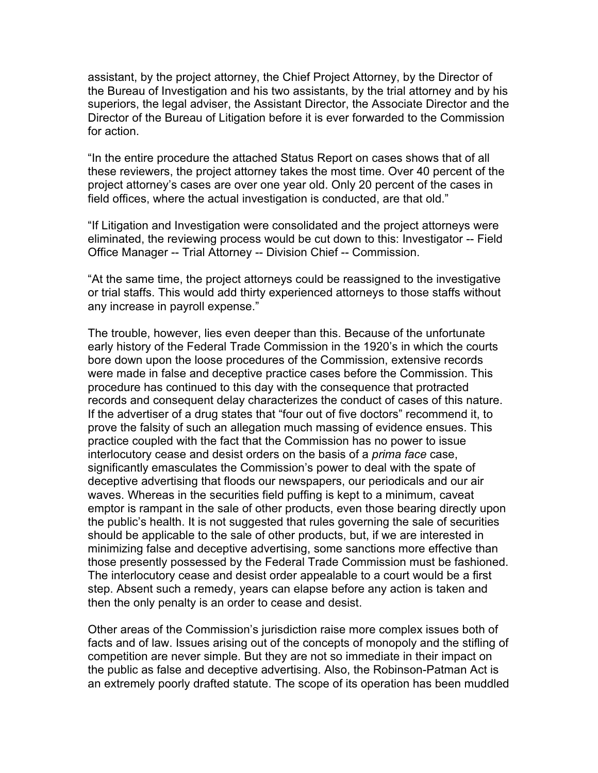assistant, by the project attorney, the Chief Project Attorney, by the Director of the Bureau of Investigation and his two assistants, by the trial attorney and by his superiors, the legal adviser, the Assistant Director, the Associate Director and the Director of the Bureau of Litigation before it is ever forwarded to the Commission for action.

"In the entire procedure the attached Status Report on cases shows that of all these reviewers, the project attorney takes the most time. Over 40 percent of the project attorney's cases are over one year old. Only 20 percent of the cases in field offices, where the actual investigation is conducted, are that old."

"If Litigation and Investigation were consolidated and the project attorneys were eliminated, the reviewing process would be cut down to this: Investigator -- Field Office Manager -- Trial Attorney -- Division Chief -- Commission.

"At the same time, the project attorneys could be reassigned to the investigative or trial staffs. This would add thirty experienced attorneys to those staffs without any increase in payroll expense."

The trouble, however, lies even deeper than this. Because of the unfortunate early history of the Federal Trade Commission in the 1920's in which the courts bore down upon the loose procedures of the Commission, extensive records were made in false and deceptive practice cases before the Commission. This procedure has continued to this day with the consequence that protracted records and consequent delay characterizes the conduct of cases of this nature. If the advertiser of a drug states that "four out of five doctors" recommend it, to prove the falsity of such an allegation much massing of evidence ensues. This practice coupled with the fact that the Commission has no power to issue interlocutory cease and desist orders on the basis of a *prima face* case, significantly emasculates the Commission's power to deal with the spate of deceptive advertising that floods our newspapers, our periodicals and our air waves. Whereas in the securities field puffing is kept to a minimum, caveat emptor is rampant in the sale of other products, even those bearing directly upon the public's health. It is not suggested that rules governing the sale of securities should be applicable to the sale of other products, but, if we are interested in minimizing false and deceptive advertising, some sanctions more effective than those presently possessed by the Federal Trade Commission must be fashioned. The interlocutory cease and desist order appealable to a court would be a first step. Absent such a remedy, years can elapse before any action is taken and then the only penalty is an order to cease and desist.

Other areas of the Commission's jurisdiction raise more complex issues both of facts and of law. Issues arising out of the concepts of monopoly and the stifling of competition are never simple. But they are not so immediate in their impact on the public as false and deceptive advertising. Also, the Robinson-Patman Act is an extremely poorly drafted statute. The scope of its operation has been muddled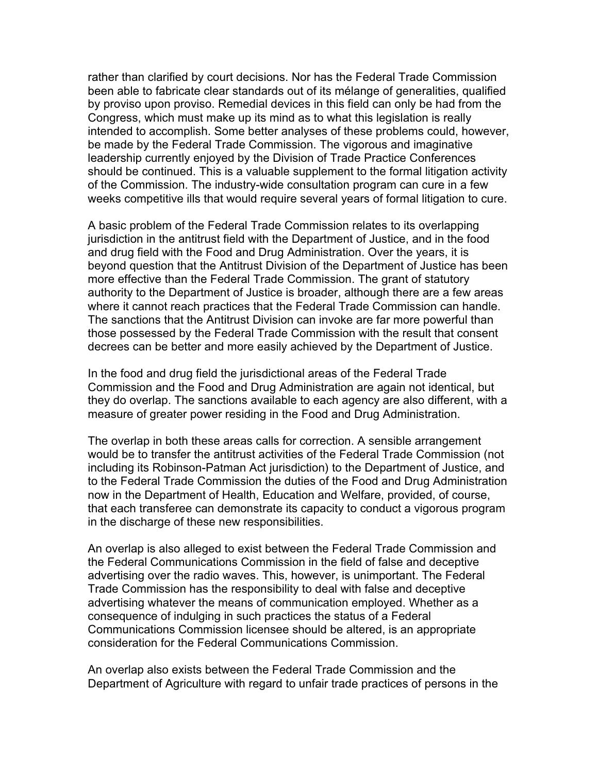rather than clarified by court decisions. Nor has the Federal Trade Commission been able to fabricate clear standards out of its mélange of generalities, qualified by proviso upon proviso. Remedial devices in this field can only be had from the Congress, which must make up its mind as to what this legislation is really intended to accomplish. Some better analyses of these problems could, however, be made by the Federal Trade Commission. The vigorous and imaginative leadership currently enjoyed by the Division of Trade Practice Conferences should be continued. This is a valuable supplement to the formal litigation activity of the Commission. The industry-wide consultation program can cure in a few weeks competitive ills that would require several years of formal litigation to cure.

A basic problem of the Federal Trade Commission relates to its overlapping jurisdiction in the antitrust field with the Department of Justice, and in the food and drug field with the Food and Drug Administration. Over the years, it is beyond question that the Antitrust Division of the Department of Justice has been more effective than the Federal Trade Commission. The grant of statutory authority to the Department of Justice is broader, although there are a few areas where it cannot reach practices that the Federal Trade Commission can handle. The sanctions that the Antitrust Division can invoke are far more powerful than those possessed by the Federal Trade Commission with the result that consent decrees can be better and more easily achieved by the Department of Justice.

In the food and drug field the jurisdictional areas of the Federal Trade Commission and the Food and Drug Administration are again not identical, but they do overlap. The sanctions available to each agency are also different, with a measure of greater power residing in the Food and Drug Administration.

The overlap in both these areas calls for correction. A sensible arrangement would be to transfer the antitrust activities of the Federal Trade Commission (not including its Robinson-Patman Act jurisdiction) to the Department of Justice, and to the Federal Trade Commission the duties of the Food and Drug Administration now in the Department of Health, Education and Welfare, provided, of course, that each transferee can demonstrate its capacity to conduct a vigorous program in the discharge of these new responsibilities.

An overlap is also alleged to exist between the Federal Trade Commission and the Federal Communications Commission in the field of false and deceptive advertising over the radio waves. This, however, is unimportant. The Federal Trade Commission has the responsibility to deal with false and deceptive advertising whatever the means of communication employed. Whether as a consequence of indulging in such practices the status of a Federal Communications Commission licensee should be altered, is an appropriate consideration for the Federal Communications Commission.

An overlap also exists between the Federal Trade Commission and the Department of Agriculture with regard to unfair trade practices of persons in the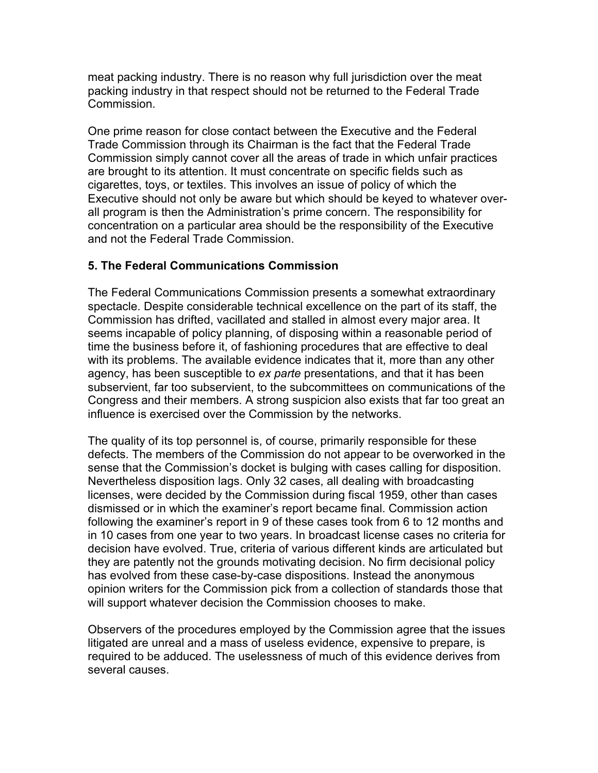meat packing industry. There is no reason why full jurisdiction over the meat packing industry in that respect should not be returned to the Federal Trade Commission.

One prime reason for close contact between the Executive and the Federal Trade Commission through its Chairman is the fact that the Federal Trade Commission simply cannot cover all the areas of trade in which unfair practices are brought to its attention. It must concentrate on specific fields such as cigarettes, toys, or textiles. This involves an issue of policy of which the Executive should not only be aware but which should be keyed to whatever overall program is then the Administration's prime concern. The responsibility for concentration on a particular area should be the responsibility of the Executive and not the Federal Trade Commission.

## **5. The Federal Communications Commission**

The Federal Communications Commission presents a somewhat extraordinary spectacle. Despite considerable technical excellence on the part of its staff, the Commission has drifted, vacillated and stalled in almost every major area. It seems incapable of policy planning, of disposing within a reasonable period of time the business before it, of fashioning procedures that are effective to deal with its problems. The available evidence indicates that it, more than any other agency, has been susceptible to *ex parte* presentations, and that it has been subservient, far too subservient, to the subcommittees on communications of the Congress and their members. A strong suspicion also exists that far too great an influence is exercised over the Commission by the networks.

The quality of its top personnel is, of course, primarily responsible for these defects. The members of the Commission do not appear to be overworked in the sense that the Commission's docket is bulging with cases calling for disposition. Nevertheless disposition lags. Only 32 cases, all dealing with broadcasting licenses, were decided by the Commission during fiscal 1959, other than cases dismissed or in which the examiner's report became final. Commission action following the examiner's report in 9 of these cases took from 6 to 12 months and in 10 cases from one year to two years. In broadcast license cases no criteria for decision have evolved. True, criteria of various different kinds are articulated but they are patently not the grounds motivating decision. No firm decisional policy has evolved from these case-by-case dispositions. Instead the anonymous opinion writers for the Commission pick from a collection of standards those that will support whatever decision the Commission chooses to make.

Observers of the procedures employed by the Commission agree that the issues litigated are unreal and a mass of useless evidence, expensive to prepare, is required to be adduced. The uselessness of much of this evidence derives from several causes.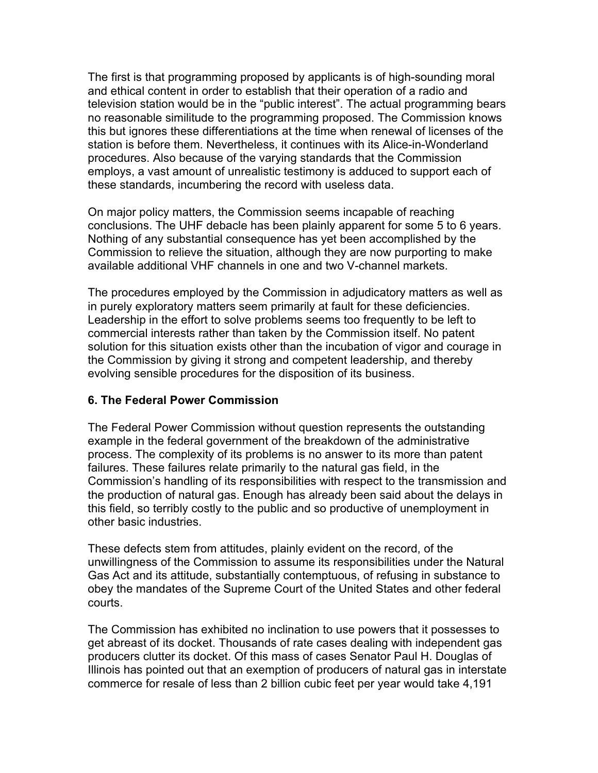The first is that programming proposed by applicants is of high-sounding moral and ethical content in order to establish that their operation of a radio and television station would be in the "public interest". The actual programming bears no reasonable similitude to the programming proposed. The Commission knows this but ignores these differentiations at the time when renewal of licenses of the station is before them. Nevertheless, it continues with its Alice-in-Wonderland procedures. Also because of the varying standards that the Commission employs, a vast amount of unrealistic testimony is adduced to support each of these standards, incumbering the record with useless data.

On major policy matters, the Commission seems incapable of reaching conclusions. The UHF debacle has been plainly apparent for some 5 to 6 years. Nothing of any substantial consequence has yet been accomplished by the Commission to relieve the situation, although they are now purporting to make available additional VHF channels in one and two V-channel markets.

The procedures employed by the Commission in adjudicatory matters as well as in purely exploratory matters seem primarily at fault for these deficiencies. Leadership in the effort to solve problems seems too frequently to be left to commercial interests rather than taken by the Commission itself. No patent solution for this situation exists other than the incubation of vigor and courage in the Commission by giving it strong and competent leadership, and thereby evolving sensible procedures for the disposition of its business.

## **6. The Federal Power Commission**

The Federal Power Commission without question represents the outstanding example in the federal government of the breakdown of the administrative process. The complexity of its problems is no answer to its more than patent failures. These failures relate primarily to the natural gas field, in the Commission's handling of its responsibilities with respect to the transmission and the production of natural gas. Enough has already been said about the delays in this field, so terribly costly to the public and so productive of unemployment in other basic industries.

These defects stem from attitudes, plainly evident on the record, of the unwillingness of the Commission to assume its responsibilities under the Natural Gas Act and its attitude, substantially contemptuous, of refusing in substance to obey the mandates of the Supreme Court of the United States and other federal courts.

The Commission has exhibited no inclination to use powers that it possesses to get abreast of its docket. Thousands of rate cases dealing with independent gas producers clutter its docket. Of this mass of cases Senator Paul H. Douglas of Illinois has pointed out that an exemption of producers of natural gas in interstate commerce for resale of less than 2 billion cubic feet per year would take 4,191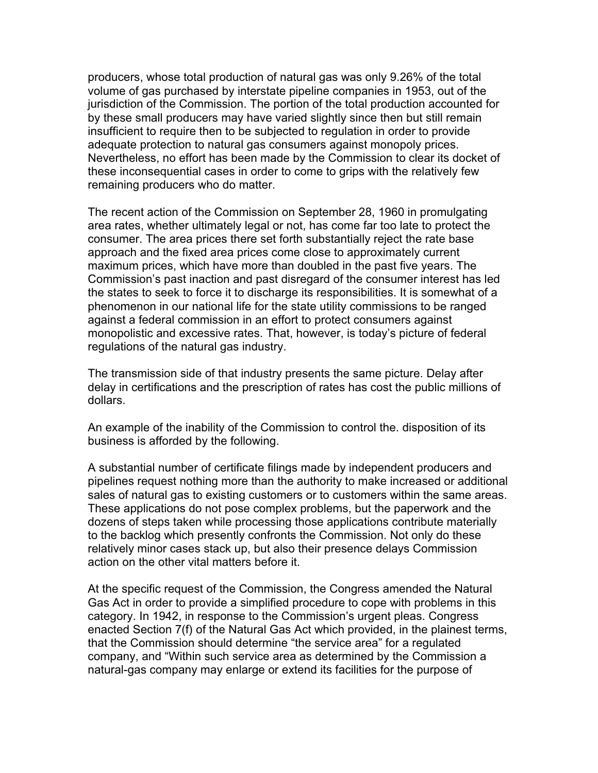producers, whose total production of natural gas was only 9.26% of the total volume of gas purchased by interstate pipeline companies in 1953, out of the jurisdiction of the Commission. The portion of the total production accounted for by these small producers may have varied slightly since then but still remain insufficient to require then to be subjected to regulation in order to provide adequate protection to natural gas consumers against monopoly prices. Nevertheless, no effort has been made by the Commission to clear its docket of these inconsequential cases in order to come to grips with the relatively few remaining producers who do matter.

The recent action of the Commission on September 28, 1960 in promulgating area rates, whether ultimately legal or not, has come far too late to protect the consumer. The area prices there set forth substantially reject the rate base approach and the fixed area prices come close to approximately current maximum prices, which have more than doubled in the past five years. The Commission's past inaction and past disregard of the consumer interest has led the states to seek to force it to discharge its responsibilities. It is somewhat of a phenomenon in our national life for the state utility commissions to be ranged against a federal commission in an effort to protect consumers against monopolistic and excessive rates. That, however, is today's picture of federal regulations of the natural gas industry.

The transmission side of that industry presents the same picture. Delay after delay in certifications and the prescription of rates has cost the public millions of dollars.

An example of the inability of the Commission to control the. disposition of its business is afforded by the following.

A substantial number of certificate filings made by independent producers and pipelines request nothing more than the authority to make increased or additional sales of natural gas to existing customers or to customers within the same areas. These applications do not pose complex problems, but the paperwork and the dozens of steps taken while processing those applications contribute materially to the backlog which presently confronts the Commission. Not only do these relatively minor cases stack up, but also their presence delays Commission action on the other vital matters before it.

At the specific request of the Commission, the Congress amended the Natural Gas Act in order to provide a simplified procedure to cope with problems in this category. In 1942, in response to the Commission's urgent pleas. Congress enacted Section 7(f) of the Natural Gas Act which provided, in the plainest terms, that the Commission should determine "the service area" for a regulated company, and "Within such service area as determined by the Commission a natural-gas company may enlarge or extend its facilities for the purpose of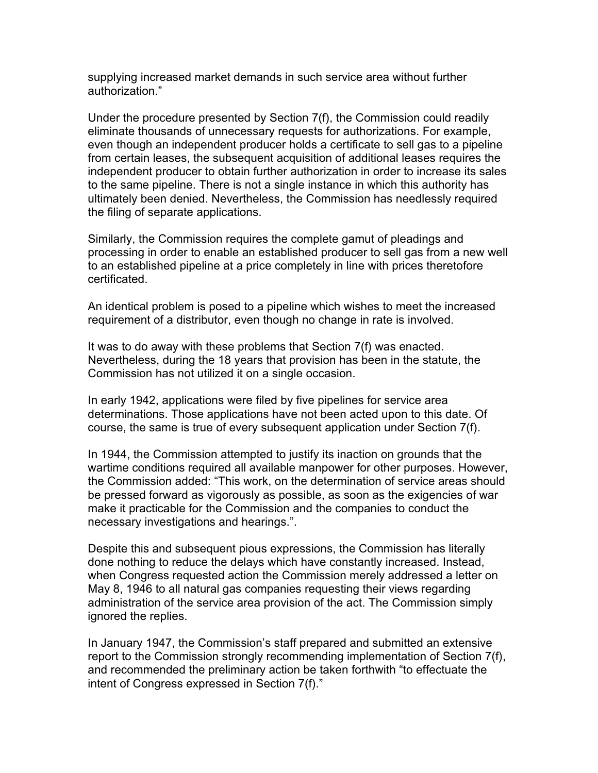supplying increased market demands in such service area without further authorization."

Under the procedure presented by Section 7(f), the Commission could readily eliminate thousands of unnecessary requests for authorizations. For example, even though an independent producer holds a certificate to sell gas to a pipeline from certain leases, the subsequent acquisition of additional leases requires the independent producer to obtain further authorization in order to increase its sales to the same pipeline. There is not a single instance in which this authority has ultimately been denied. Nevertheless, the Commission has needlessly required the filing of separate applications.

Similarly, the Commission requires the complete gamut of pleadings and processing in order to enable an established producer to sell gas from a new well to an established pipeline at a price completely in line with prices theretofore certificated.

An identical problem is posed to a pipeline which wishes to meet the increased requirement of a distributor, even though no change in rate is involved.

It was to do away with these problems that Section 7(f) was enacted. Nevertheless, during the 18 years that provision has been in the statute, the Commission has not utilized it on a single occasion.

In early 1942, applications were filed by five pipelines for service area determinations. Those applications have not been acted upon to this date. Of course, the same is true of every subsequent application under Section 7(f).

In 1944, the Commission attempted to justify its inaction on grounds that the wartime conditions required all available manpower for other purposes. However, the Commission added: "This work, on the determination of service areas should be pressed forward as vigorously as possible, as soon as the exigencies of war make it practicable for the Commission and the companies to conduct the necessary investigations and hearings.".

Despite this and subsequent pious expressions, the Commission has literally done nothing to reduce the delays which have constantly increased. Instead, when Congress requested action the Commission merely addressed a letter on May 8, 1946 to all natural gas companies requesting their views regarding administration of the service area provision of the act. The Commission simply ignored the replies.

In January 1947, the Commission's staff prepared and submitted an extensive report to the Commission strongly recommending implementation of Section 7(f), and recommended the preliminary action be taken forthwith "to effectuate the intent of Congress expressed in Section 7(f)."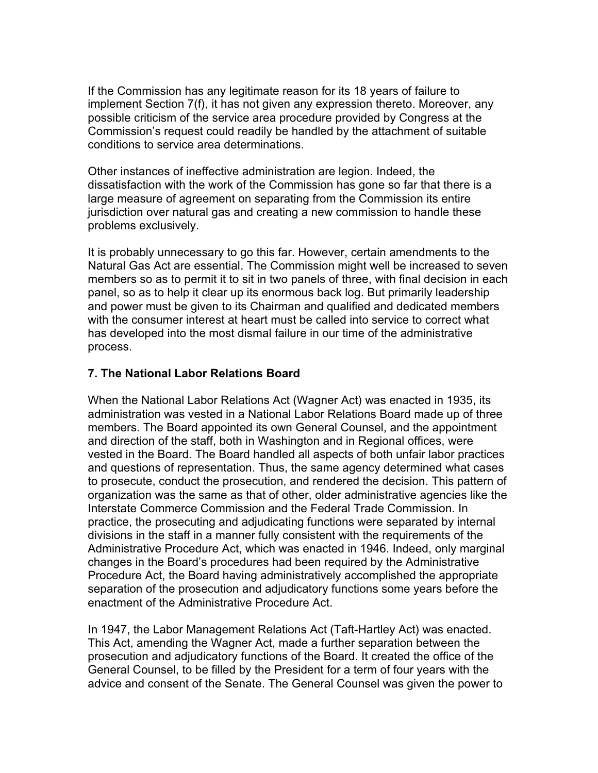If the Commission has any legitimate reason for its 18 years of failure to implement Section 7(f), it has not given any expression thereto. Moreover, any possible criticism of the service area procedure provided by Congress at the Commission's request could readily be handled by the attachment of suitable conditions to service area determinations.

Other instances of ineffective administration are legion. Indeed, the dissatisfaction with the work of the Commission has gone so far that there is a large measure of agreement on separating from the Commission its entire jurisdiction over natural gas and creating a new commission to handle these problems exclusively.

It is probably unnecessary to go this far. However, certain amendments to the Natural Gas Act are essential. The Commission might well be increased to seven members so as to permit it to sit in two panels of three, with final decision in each panel, so as to help it clear up its enormous back log. But primarily leadership and power must be given to its Chairman and qualified and dedicated members with the consumer interest at heart must be called into service to correct what has developed into the most dismal failure in our time of the administrative process.

# **7. The National Labor Relations Board**

When the National Labor Relations Act (Wagner Act) was enacted in 1935, its administration was vested in a National Labor Relations Board made up of three members. The Board appointed its own General Counsel, and the appointment and direction of the staff, both in Washington and in Regional offices, were vested in the Board. The Board handled all aspects of both unfair labor practices and questions of representation. Thus, the same agency determined what cases to prosecute, conduct the prosecution, and rendered the decision. This pattern of organization was the same as that of other, older administrative agencies like the Interstate Commerce Commission and the Federal Trade Commission. In practice, the prosecuting and adjudicating functions were separated by internal divisions in the staff in a manner fully consistent with the requirements of the Administrative Procedure Act, which was enacted in 1946. Indeed, only marginal changes in the Board's procedures had been required by the Administrative Procedure Act, the Board having administratively accomplished the appropriate separation of the prosecution and adjudicatory functions some years before the enactment of the Administrative Procedure Act.

In 1947, the Labor Management Relations Act (Taft-Hartley Act) was enacted. This Act, amending the Wagner Act, made a further separation between the prosecution and adjudicatory functions of the Board. It created the office of the General Counsel, to be filled by the President for a term of four years with the advice and consent of the Senate. The General Counsel was given the power to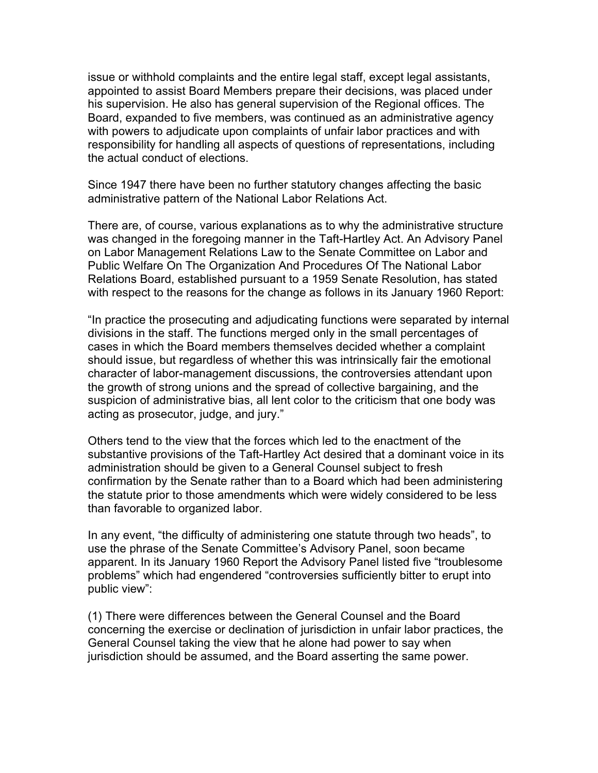issue or withhold complaints and the entire legal staff, except legal assistants, appointed to assist Board Members prepare their decisions, was placed under his supervision. He also has general supervision of the Regional offices. The Board, expanded to five members, was continued as an administrative agency with powers to adjudicate upon complaints of unfair labor practices and with responsibility for handling all aspects of questions of representations, including the actual conduct of elections.

Since 1947 there have been no further statutory changes affecting the basic administrative pattern of the National Labor Relations Act.

There are, of course, various explanations as to why the administrative structure was changed in the foregoing manner in the Taft-Hartley Act. An Advisory Panel on Labor Management Relations Law to the Senate Committee on Labor and Public Welfare On The Organization And Procedures Of The National Labor Relations Board, established pursuant to a 1959 Senate Resolution, has stated with respect to the reasons for the change as follows in its January 1960 Report:

"In practice the prosecuting and adjudicating functions were separated by internal divisions in the staff. The functions merged only in the small percentages of cases in which the Board members themselves decided whether a complaint should issue, but regardless of whether this was intrinsically fair the emotional character of labor-management discussions, the controversies attendant upon the growth of strong unions and the spread of collective bargaining, and the suspicion of administrative bias, all lent color to the criticism that one body was acting as prosecutor, judge, and jury."

Others tend to the view that the forces which led to the enactment of the substantive provisions of the Taft-Hartley Act desired that a dominant voice in its administration should be given to a General Counsel subject to fresh confirmation by the Senate rather than to a Board which had been administering the statute prior to those amendments which were widely considered to be less than favorable to organized labor.

In any event, "the difficulty of administering one statute through two heads", to use the phrase of the Senate Committee's Advisory Panel, soon became apparent. In its January 1960 Report the Advisory Panel listed five "troublesome problems" which had engendered "controversies sufficiently bitter to erupt into public view":

(1) There were differences between the General Counsel and the Board concerning the exercise or declination of jurisdiction in unfair labor practices, the General Counsel taking the view that he alone had power to say when jurisdiction should be assumed, and the Board asserting the same power.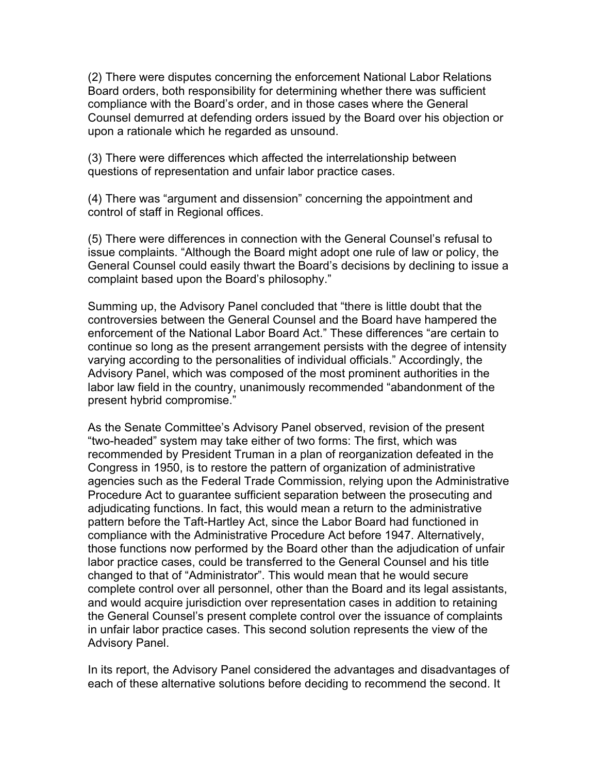(2) There were disputes concerning the enforcement National Labor Relations Board orders, both responsibility for determining whether there was sufficient compliance with the Board's order, and in those cases where the General Counsel demurred at defending orders issued by the Board over his objection or upon a rationale which he regarded as unsound.

(3) There were differences which affected the interrelationship between questions of representation and unfair labor practice cases.

(4) There was "argument and dissension" concerning the appointment and control of staff in Regional offices.

(5) There were differences in connection with the General Counsel's refusal to issue complaints. "Although the Board might adopt one rule of law or policy, the General Counsel could easily thwart the Board's decisions by declining to issue a complaint based upon the Board's philosophy."

Summing up, the Advisory Panel concluded that "there is little doubt that the controversies between the General Counsel and the Board have hampered the enforcement of the National Labor Board Act." These differences "are certain to continue so long as the present arrangement persists with the degree of intensity varying according to the personalities of individual officials." Accordingly, the Advisory Panel, which was composed of the most prominent authorities in the labor law field in the country, unanimously recommended "abandonment of the present hybrid compromise."

As the Senate Committee's Advisory Panel observed, revision of the present "two-headed" system may take either of two forms: The first, which was recommended by President Truman in a plan of reorganization defeated in the Congress in 1950, is to restore the pattern of organization of administrative agencies such as the Federal Trade Commission, relying upon the Administrative Procedure Act to guarantee sufficient separation between the prosecuting and adjudicating functions. In fact, this would mean a return to the administrative pattern before the Taft-Hartley Act, since the Labor Board had functioned in compliance with the Administrative Procedure Act before 1947. Alternatively, those functions now performed by the Board other than the adjudication of unfair labor practice cases, could be transferred to the General Counsel and his title changed to that of "Administrator". This would mean that he would secure complete control over all personnel, other than the Board and its legal assistants, and would acquire jurisdiction over representation cases in addition to retaining the General Counsel's present complete control over the issuance of complaints in unfair labor practice cases. This second solution represents the view of the Advisory Panel.

In its report, the Advisory Panel considered the advantages and disadvantages of each of these alternative solutions before deciding to recommend the second. It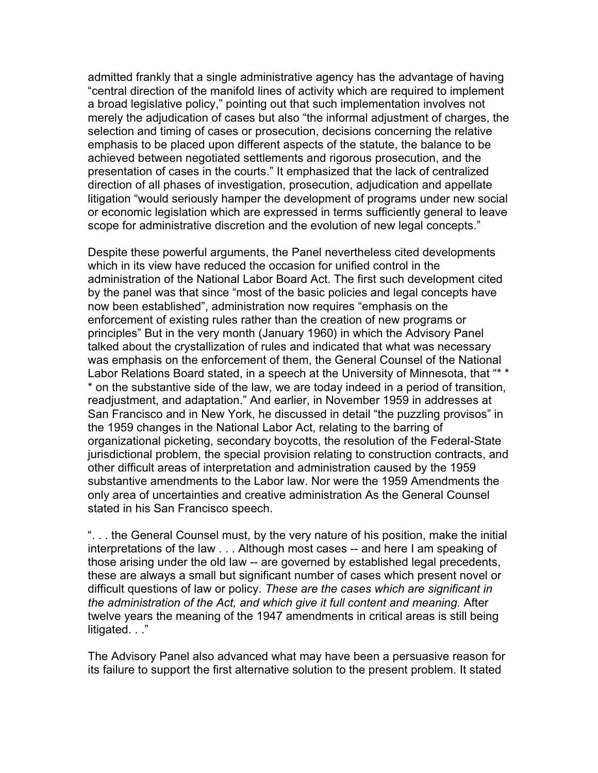admitted frankly that a single administrative agency has the advantage of having "central direction of the manifold lines of activity which are required to implement a broad legislative policy," pointing out that such implementation involves not merely the adjudication of cases but also "the informal adjustment of charges, the selection and timing of cases or prosecution, decisions concerning the relative emphasis to be placed upon different aspects of the statute, the balance to be achieved between negotiated settlements and rigorous prosecution, and the presentation of cases in the courts." It emphasized that the lack of centralized direction of all phases of investigation, prosecution, adjudication and appellate litigation "would seriously hamper the development of programs under new social or economic legislation which are expressed in terms sufficiently general to leave scope for administrative discretion and the evolution of new legal concepts."

Despite these powerful arguments, the Panel nevertheless cited developments which in its view have reduced the occasion for unified control in the administration of the National Labor Board Act. The first such development cited by the panel was that since "most of the basic policies and legal concepts have now been established", administration now requires "emphasis on the enforcement of existing rules rather than the creation of new programs or principles" But in the very month (January 1960) in which the Advisory Panel talked about the crystallization of rules and indicated that what was necessary was emphasis on the enforcement of them, the General Counsel of the National Labor Relations Board stated, in a speech at the University of Minnesota, that "\*\* \* on the substantive side of the law, we are today indeed in a period of transition, readjustment, and adaptation." And earlier, in November 1959 in addresses at San Francisco and in New York, he discussed in detail "the puzzling provisos" in the 1959 changes in the National Labor Act, relating to the barring of organizational picketing, secondary boycotts, the resolution of the Federal-State jurisdictional problem, the special provision relating to construction contracts, and other difficult areas of interpretation and administration caused by the 1959 substantive amendments to the Labor law. Nor were the 1959 Amendments the only area of uncertainties and creative administration As the General Counsel stated in his San Francisco speech.

". . . the General Counsel must, by the very nature of his position, make the initial interpretations of the law . . . Although most cases -- and here I am speaking of those arising under the old law -- are governed by established legal precedents, these are always a small but significant number of cases which present novel or difficult questions of law or policy. *These are the cases which are significant in the administration of the Act, and which give it full content and meaning.* After twelve years the meaning of the 1947 amendments in critical areas is still being litigated. . ."

The Advisory Panel also advanced what may have been a persuasive reason for its failure to support the first alternative solution to the present problem. It stated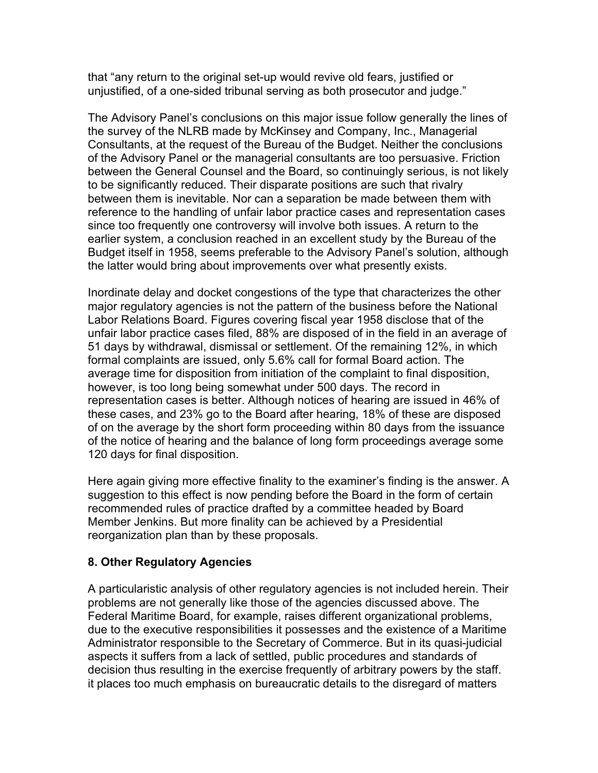that "any return to the original set-up would revive old fears, justified or unjustified, of a one-sided tribunal serving as both prosecutor and judge."

The Advisory Panel's conclusions on this major issue follow generally the lines of the survey of the NLRB made by McKinsey and Company, Inc., Managerial Consultants, at the request of the Bureau of the Budget. Neither the conclusions of the Advisory Panel or the managerial consultants are too persuasive. Friction between the General Counsel and the Board, so continuingly serious, is not likely to be significantly reduced. Their disparate positions are such that rivalry between them is inevitable. Nor can a separation be made between them with reference to the handling of unfair labor practice cases and representation cases since too frequently one controversy will involve both issues. A return to the earlier system, a conclusion reached in an excellent study by the Bureau of the Budget itself in 1958, seems preferable to the Advisory Panel's solution, although the latter would bring about improvements over what presently exists.

Inordinate delay and docket congestions of the type that characterizes the other major regulatory agencies is not the pattern of the business before the National Labor Relations Board. Figures covering fiscal year 1958 disclose that of the unfair labor practice cases filed, 88% are disposed of in the field in an average of 51 days by withdrawal, dismissal or settlement. Of the remaining 12%, in which formal complaints are issued, only 5.6% call for formal Board action. The average time for disposition from initiation of the complaint to final disposition, however, is too long being somewhat under 500 days. The record in representation cases is better. Although notices of hearing are issued in 46% of these cases, and 23% go to the Board after hearing, 18% of these are disposed of on the average by the short form proceeding within 80 days from the issuance of the notice of hearing and the balance of long form proceedings average some 120 days for final disposition.

Here again giving more effective finality to the examiner's finding is the answer. A suggestion to this effect is now pending before the Board in the form of certain recommended rules of practice drafted by a committee headed by Board Member Jenkins. But more finality can be achieved by a Presidential reorganization plan than by these proposals.

# **8. Other Regulatory Agencies**

A particularistic analysis of other regulatory agencies is not included herein. Their problems are not generally like those of the agencies discussed above. The Federal Maritime Board, for example, raises different organizational problems, due to the executive responsibilities it possesses and the existence of a Maritime Administrator responsible to the Secretary of Commerce. But in its quasi-judicial aspects it suffers from a lack of settled, public procedures and standards of decision thus resulting in the exercise frequently of arbitrary powers by the staff. it places too much emphasis on bureaucratic details to the disregard of matters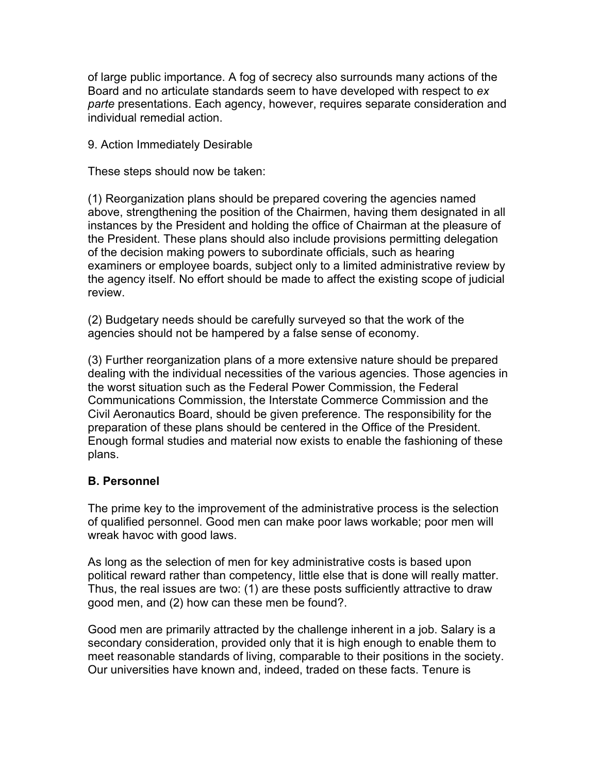of large public importance. A fog of secrecy also surrounds many actions of the Board and no articulate standards seem to have developed with respect to *ex parte* presentations. Each agency, however, requires separate consideration and individual remedial action.

### 9. Action Immediately Desirable

These steps should now be taken:

(1) Reorganization plans should be prepared covering the agencies named above, strengthening the position of the Chairmen, having them designated in all instances by the President and holding the office of Chairman at the pleasure of the President. These plans should also include provisions permitting delegation of the decision making powers to subordinate officials, such as hearing examiners or employee boards, subject only to a limited administrative review by the agency itself. No effort should be made to affect the existing scope of judicial review.

(2) Budgetary needs should be carefully surveyed so that the work of the agencies should not be hampered by a false sense of economy.

(3) Further reorganization plans of a more extensive nature should be prepared dealing with the individual necessities of the various agencies. Those agencies in the worst situation such as the Federal Power Commission, the Federal Communications Commission, the Interstate Commerce Commission and the Civil Aeronautics Board, should be given preference. The responsibility for the preparation of these plans should be centered in the Office of the President. Enough formal studies and material now exists to enable the fashioning of these plans.

## **B. Personnel**

The prime key to the improvement of the administrative process is the selection of qualified personnel. Good men can make poor laws workable; poor men will wreak havoc with good laws.

As long as the selection of men for key administrative costs is based upon political reward rather than competency, little else that is done will really matter. Thus, the real issues are two: (1) are these posts sufficiently attractive to draw good men, and (2) how can these men be found?.

Good men are primarily attracted by the challenge inherent in a job. Salary is a secondary consideration, provided only that it is high enough to enable them to meet reasonable standards of living, comparable to their positions in the society. Our universities have known and, indeed, traded on these facts. Tenure is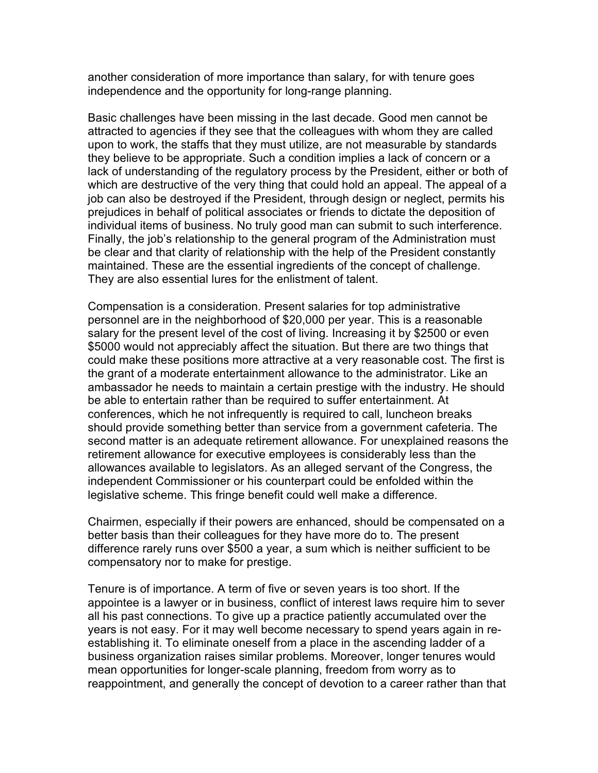another consideration of more importance than salary, for with tenure goes independence and the opportunity for long-range planning.

Basic challenges have been missing in the last decade. Good men cannot be attracted to agencies if they see that the colleagues with whom they are called upon to work, the staffs that they must utilize, are not measurable by standards they believe to be appropriate. Such a condition implies a lack of concern or a lack of understanding of the regulatory process by the President, either or both of which are destructive of the very thing that could hold an appeal. The appeal of a job can also be destroyed if the President, through design or neglect, permits his prejudices in behalf of political associates or friends to dictate the deposition of individual items of business. No truly good man can submit to such interference. Finally, the job's relationship to the general program of the Administration must be clear and that clarity of relationship with the help of the President constantly maintained. These are the essential ingredients of the concept of challenge. They are also essential lures for the enlistment of talent.

Compensation is a consideration. Present salaries for top administrative personnel are in the neighborhood of \$20,000 per year. This is a reasonable salary for the present level of the cost of living. Increasing it by \$2500 or even \$5000 would not appreciably affect the situation. But there are two things that could make these positions more attractive at a very reasonable cost. The first is the grant of a moderate entertainment allowance to the administrator. Like an ambassador he needs to maintain a certain prestige with the industry. He should be able to entertain rather than be required to suffer entertainment. At conferences, which he not infrequently is required to call, luncheon breaks should provide something better than service from a government cafeteria. The second matter is an adequate retirement allowance. For unexplained reasons the retirement allowance for executive employees is considerably less than the allowances available to legislators. As an alleged servant of the Congress, the independent Commissioner or his counterpart could be enfolded within the legislative scheme. This fringe benefit could well make a difference.

Chairmen, especially if their powers are enhanced, should be compensated on a better basis than their colleagues for they have more do to. The present difference rarely runs over \$500 a year, a sum which is neither sufficient to be compensatory nor to make for prestige.

Tenure is of importance. A term of five or seven years is too short. If the appointee is a lawyer or in business, conflict of interest laws require him to sever all his past connections. To give up a practice patiently accumulated over the years is not easy. For it may well become necessary to spend years again in reestablishing it. To eliminate oneself from a place in the ascending ladder of a business organization raises similar problems. Moreover, longer tenures would mean opportunities for longer-scale planning, freedom from worry as to reappointment, and generally the concept of devotion to a career rather than that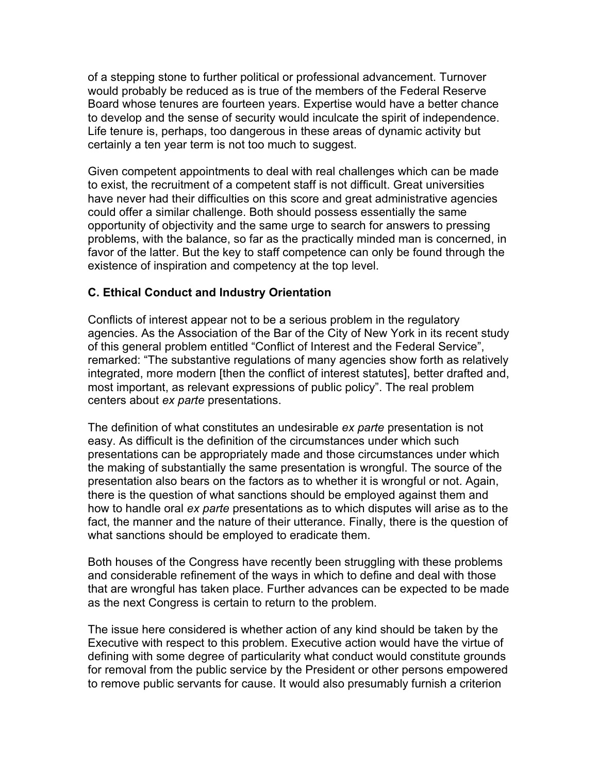of a stepping stone to further political or professional advancement. Turnover would probably be reduced as is true of the members of the Federal Reserve Board whose tenures are fourteen years. Expertise would have a better chance to develop and the sense of security would inculcate the spirit of independence. Life tenure is, perhaps, too dangerous in these areas of dynamic activity but certainly a ten year term is not too much to suggest.

Given competent appointments to deal with real challenges which can be made to exist, the recruitment of a competent staff is not difficult. Great universities have never had their difficulties on this score and great administrative agencies could offer a similar challenge. Both should possess essentially the same opportunity of objectivity and the same urge to search for answers to pressing problems, with the balance, so far as the practically minded man is concerned, in favor of the latter. But the key to staff competence can only be found through the existence of inspiration and competency at the top level.

# **C. Ethical Conduct and Industry Orientation**

Conflicts of interest appear not to be a serious problem in the regulatory agencies. As the Association of the Bar of the City of New York in its recent study of this general problem entitled "Conflict of Interest and the Federal Service", remarked: "The substantive regulations of many agencies show forth as relatively integrated, more modern [then the conflict of interest statutes], better drafted and, most important, as relevant expressions of public policy". The real problem centers about *ex parte* presentations.

The definition of what constitutes an undesirable *ex parte* presentation is not easy. As difficult is the definition of the circumstances under which such presentations can be appropriately made and those circumstances under which the making of substantially the same presentation is wrongful. The source of the presentation also bears on the factors as to whether it is wrongful or not. Again, there is the question of what sanctions should be employed against them and how to handle oral *ex parte* presentations as to which disputes will arise as to the fact, the manner and the nature of their utterance. Finally, there is the question of what sanctions should be employed to eradicate them.

Both houses of the Congress have recently been struggling with these problems and considerable refinement of the ways in which to define and deal with those that are wrongful has taken place. Further advances can be expected to be made as the next Congress is certain to return to the problem.

The issue here considered is whether action of any kind should be taken by the Executive with respect to this problem. Executive action would have the virtue of defining with some degree of particularity what conduct would constitute grounds for removal from the public service by the President or other persons empowered to remove public servants for cause. It would also presumably furnish a criterion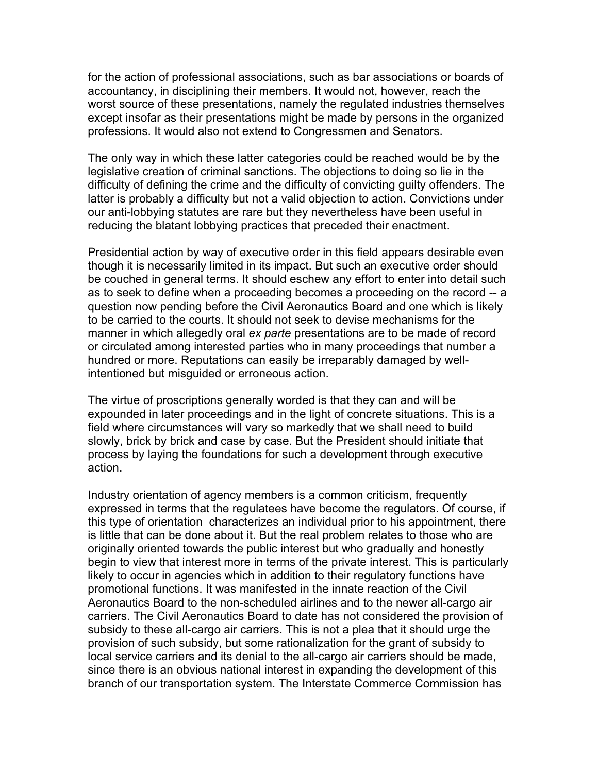for the action of professional associations, such as bar associations or boards of accountancy, in disciplining their members. It would not, however, reach the worst source of these presentations, namely the regulated industries themselves except insofar as their presentations might be made by persons in the organized professions. It would also not extend to Congressmen and Senators.

The only way in which these latter categories could be reached would be by the legislative creation of criminal sanctions. The objections to doing so lie in the difficulty of defining the crime and the difficulty of convicting guilty offenders. The latter is probably a difficulty but not a valid objection to action. Convictions under our anti-lobbying statutes are rare but they nevertheless have been useful in reducing the blatant lobbying practices that preceded their enactment.

Presidential action by way of executive order in this field appears desirable even though it is necessarily limited in its impact. But such an executive order should be couched in general terms. It should eschew any effort to enter into detail such as to seek to define when a proceeding becomes a proceeding on the record -- a question now pending before the Civil Aeronautics Board and one which is likely to be carried to the courts. It should not seek to devise mechanisms for the manner in which allegedly oral *ex parte* presentations are to be made of record or circulated among interested parties who in many proceedings that number a hundred or more. Reputations can easily be irreparably damaged by wellintentioned but misguided or erroneous action.

The virtue of proscriptions generally worded is that they can and will be expounded in later proceedings and in the light of concrete situations. This is a field where circumstances will vary so markedly that we shall need to build slowly, brick by brick and case by case. But the President should initiate that process by laying the foundations for such a development through executive action.

Industry orientation of agency members is a common criticism, frequently expressed in terms that the regulatees have become the regulators. Of course, if this type of orientation characterizes an individual prior to his appointment, there is little that can be done about it. But the real problem relates to those who are originally oriented towards the public interest but who gradually and honestly begin to view that interest more in terms of the private interest. This is particularly likely to occur in agencies which in addition to their regulatory functions have promotional functions. It was manifested in the innate reaction of the Civil Aeronautics Board to the non-scheduled airlines and to the newer all-cargo air carriers. The Civil Aeronautics Board to date has not considered the provision of subsidy to these all-cargo air carriers. This is not a plea that it should urge the provision of such subsidy, but some rationalization for the grant of subsidy to local service carriers and its denial to the all-cargo air carriers should be made, since there is an obvious national interest in expanding the development of this branch of our transportation system. The Interstate Commerce Commission has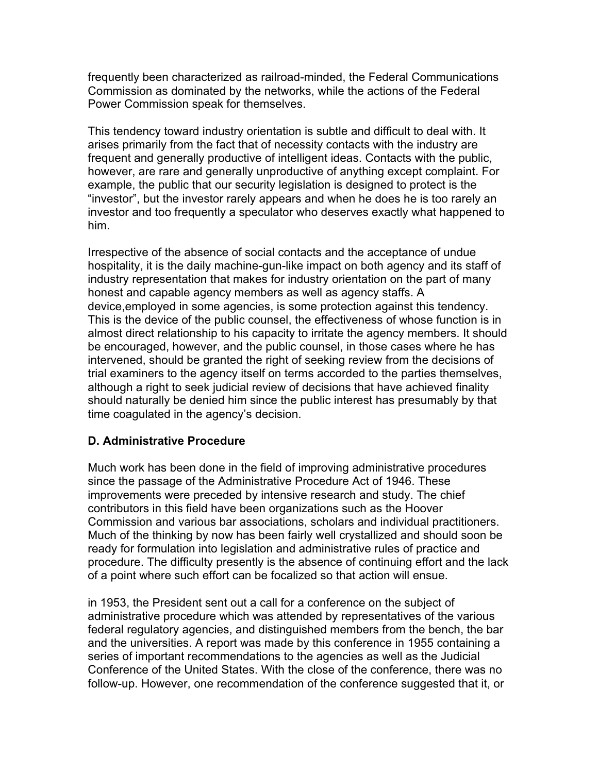frequently been characterized as railroad-minded, the Federal Communications Commission as dominated by the networks, while the actions of the Federal Power Commission speak for themselves.

This tendency toward industry orientation is subtle and difficult to deal with. It arises primarily from the fact that of necessity contacts with the industry are frequent and generally productive of intelligent ideas. Contacts with the public, however, are rare and generally unproductive of anything except complaint. For example, the public that our security legislation is designed to protect is the "investor", but the investor rarely appears and when he does he is too rarely an investor and too frequently a speculator who deserves exactly what happened to him.

Irrespective of the absence of social contacts and the acceptance of undue hospitality, it is the daily machine-gun-like impact on both agency and its staff of industry representation that makes for industry orientation on the part of many honest and capable agency members as well as agency staffs. A device,employed in some agencies, is some protection against this tendency. This is the device of the public counsel, the effectiveness of whose function is in almost direct relationship to his capacity to irritate the agency members. It should be encouraged, however, and the public counsel, in those cases where he has intervened, should be granted the right of seeking review from the decisions of trial examiners to the agency itself on terms accorded to the parties themselves, although a right to seek judicial review of decisions that have achieved finality should naturally be denied him since the public interest has presumably by that time coagulated in the agency's decision.

# **D. Administrative Procedure**

Much work has been done in the field of improving administrative procedures since the passage of the Administrative Procedure Act of 1946. These improvements were preceded by intensive research and study. The chief contributors in this field have been organizations such as the Hoover Commission and various bar associations, scholars and individual practitioners. Much of the thinking by now has been fairly well crystallized and should soon be ready for formulation into legislation and administrative rules of practice and procedure. The difficulty presently is the absence of continuing effort and the lack of a point where such effort can be focalized so that action will ensue.

in 1953, the President sent out a call for a conference on the subject of administrative procedure which was attended by representatives of the various federal regulatory agencies, and distinguished members from the bench, the bar and the universities. A report was made by this conference in 1955 containing a series of important recommendations to the agencies as well as the Judicial Conference of the United States. With the close of the conference, there was no follow-up. However, one recommendation of the conference suggested that it, or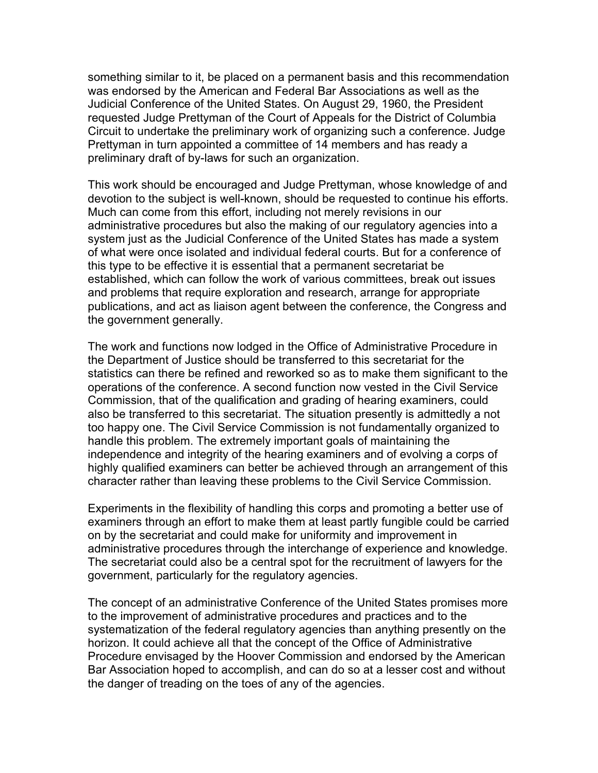something similar to it, be placed on a permanent basis and this recommendation was endorsed by the American and Federal Bar Associations as well as the Judicial Conference of the United States. On August 29, 1960, the President requested Judge Prettyman of the Court of Appeals for the District of Columbia Circuit to undertake the preliminary work of organizing such a conference. Judge Prettyman in turn appointed a committee of 14 members and has ready a preliminary draft of by-laws for such an organization.

This work should be encouraged and Judge Prettyman, whose knowledge of and devotion to the subject is well-known, should be requested to continue his efforts. Much can come from this effort, including not merely revisions in our administrative procedures but also the making of our regulatory agencies into a system just as the Judicial Conference of the United States has made a system of what were once isolated and individual federal courts. But for a conference of this type to be effective it is essential that a permanent secretariat be established, which can follow the work of various committees, break out issues and problems that require exploration and research, arrange for appropriate publications, and act as liaison agent between the conference, the Congress and the government generally.

The work and functions now lodged in the Office of Administrative Procedure in the Department of Justice should be transferred to this secretariat for the statistics can there be refined and reworked so as to make them significant to the operations of the conference. A second function now vested in the Civil Service Commission, that of the qualification and grading of hearing examiners, could also be transferred to this secretariat. The situation presently is admittedly a not too happy one. The Civil Service Commission is not fundamentally organized to handle this problem. The extremely important goals of maintaining the independence and integrity of the hearing examiners and of evolving a corps of highly qualified examiners can better be achieved through an arrangement of this character rather than leaving these problems to the Civil Service Commission.

Experiments in the flexibility of handling this corps and promoting a better use of examiners through an effort to make them at least partly fungible could be carried on by the secretariat and could make for uniformity and improvement in administrative procedures through the interchange of experience and knowledge. The secretariat could also be a central spot for the recruitment of lawyers for the government, particularly for the regulatory agencies.

The concept of an administrative Conference of the United States promises more to the improvement of administrative procedures and practices and to the systematization of the federal regulatory agencies than anything presently on the horizon. It could achieve all that the concept of the Office of Administrative Procedure envisaged by the Hoover Commission and endorsed by the American Bar Association hoped to accomplish, and can do so at a lesser cost and without the danger of treading on the toes of any of the agencies.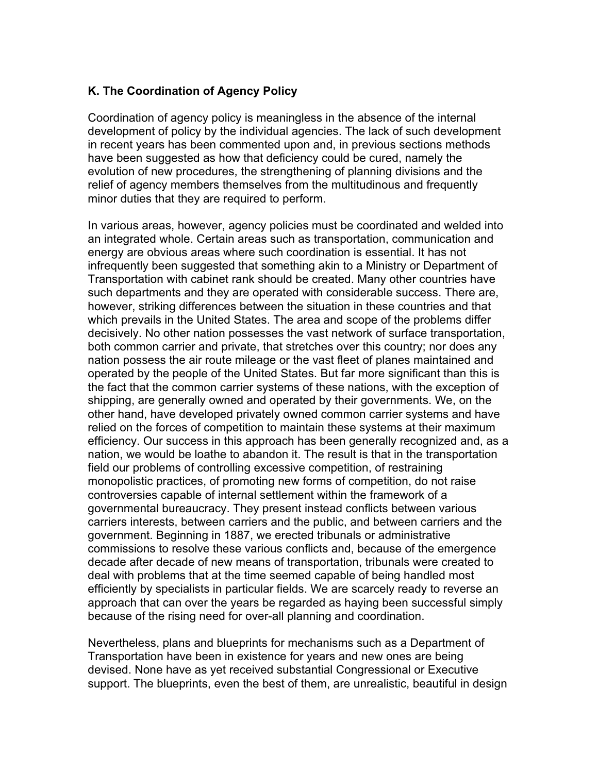# **K. The Coordination of Agency Policy**

Coordination of agency policy is meaningless in the absence of the internal development of policy by the individual agencies. The lack of such development in recent years has been commented upon and, in previous sections methods have been suggested as how that deficiency could be cured, namely the evolution of new procedures, the strengthening of planning divisions and the relief of agency members themselves from the multitudinous and frequently minor duties that they are required to perform.

In various areas, however, agency policies must be coordinated and welded into an integrated whole. Certain areas such as transportation, communication and energy are obvious areas where such coordination is essential. It has not infrequently been suggested that something akin to a Ministry or Department of Transportation with cabinet rank should be created. Many other countries have such departments and they are operated with considerable success. There are, however, striking differences between the situation in these countries and that which prevails in the United States. The area and scope of the problems differ decisively. No other nation possesses the vast network of surface transportation, both common carrier and private, that stretches over this country; nor does any nation possess the air route mileage or the vast fleet of planes maintained and operated by the people of the United States. But far more significant than this is the fact that the common carrier systems of these nations, with the exception of shipping, are generally owned and operated by their governments. We, on the other hand, have developed privately owned common carrier systems and have relied on the forces of competition to maintain these systems at their maximum efficiency. Our success in this approach has been generally recognized and, as a nation, we would be loathe to abandon it. The result is that in the transportation field our problems of controlling excessive competition, of restraining monopolistic practices, of promoting new forms of competition, do not raise controversies capable of internal settlement within the framework of a governmental bureaucracy. They present instead conflicts between various carriers interests, between carriers and the public, and between carriers and the government. Beginning in 1887, we erected tribunals or administrative commissions to resolve these various conflicts and, because of the emergence decade after decade of new means of transportation, tribunals were created to deal with problems that at the time seemed capable of being handled most efficiently by specialists in particular fields. We are scarcely ready to reverse an approach that can over the years be regarded as haying been successful simply because of the rising need for over-all planning and coordination.

Nevertheless, plans and blueprints for mechanisms such as a Department of Transportation have been in existence for years and new ones are being devised. None have as yet received substantial Congressional or Executive support. The blueprints, even the best of them, are unrealistic, beautiful in design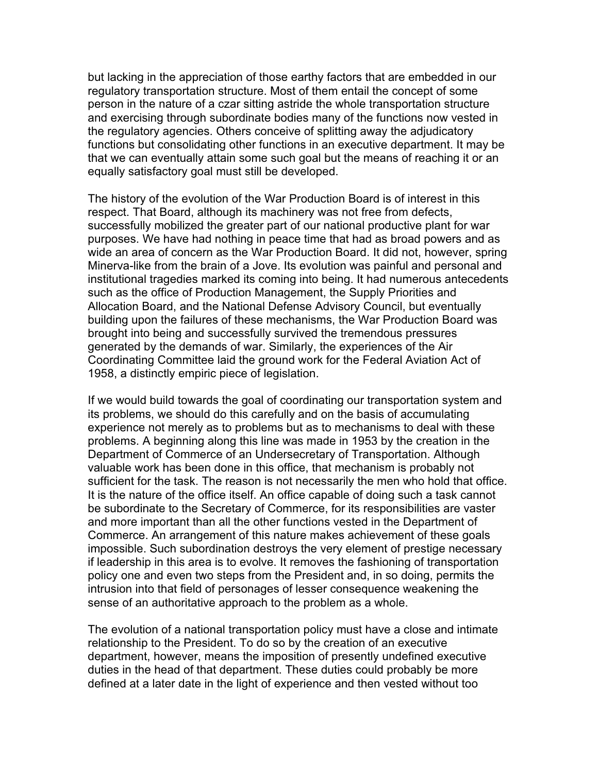but lacking in the appreciation of those earthy factors that are embedded in our regulatory transportation structure. Most of them entail the concept of some person in the nature of a czar sitting astride the whole transportation structure and exercising through subordinate bodies many of the functions now vested in the regulatory agencies. Others conceive of splitting away the adjudicatory functions but consolidating other functions in an executive department. It may be that we can eventually attain some such goal but the means of reaching it or an equally satisfactory goal must still be developed.

The history of the evolution of the War Production Board is of interest in this respect. That Board, although its machinery was not free from defects, successfully mobilized the greater part of our national productive plant for war purposes. We have had nothing in peace time that had as broad powers and as wide an area of concern as the War Production Board. It did not, however, spring Minerva-like from the brain of a Jove. Its evolution was painful and personal and institutional tragedies marked its coming into being. It had numerous antecedents such as the office of Production Management, the Supply Priorities and Allocation Board, and the National Defense Advisory Council, but eventually building upon the failures of these mechanisms, the War Production Board was brought into being and successfully survived the tremendous pressures generated by the demands of war. Similarly, the experiences of the Air Coordinating Committee laid the ground work for the Federal Aviation Act of 1958, a distinctly empiric piece of legislation.

If we would build towards the goal of coordinating our transportation system and its problems, we should do this carefully and on the basis of accumulating experience not merely as to problems but as to mechanisms to deal with these problems. A beginning along this line was made in 1953 by the creation in the Department of Commerce of an Undersecretary of Transportation. Although valuable work has been done in this office, that mechanism is probably not sufficient for the task. The reason is not necessarily the men who hold that office. It is the nature of the office itself. An office capable of doing such a task cannot be subordinate to the Secretary of Commerce, for its responsibilities are vaster and more important than all the other functions vested in the Department of Commerce. An arrangement of this nature makes achievement of these goals impossible. Such subordination destroys the very element of prestige necessary if leadership in this area is to evolve. It removes the fashioning of transportation policy one and even two steps from the President and, in so doing, permits the intrusion into that field of personages of lesser consequence weakening the sense of an authoritative approach to the problem as a whole.

The evolution of a national transportation policy must have a close and intimate relationship to the President. To do so by the creation of an executive department, however, means the imposition of presently undefined executive duties in the head of that department. These duties could probably be more defined at a later date in the light of experience and then vested without too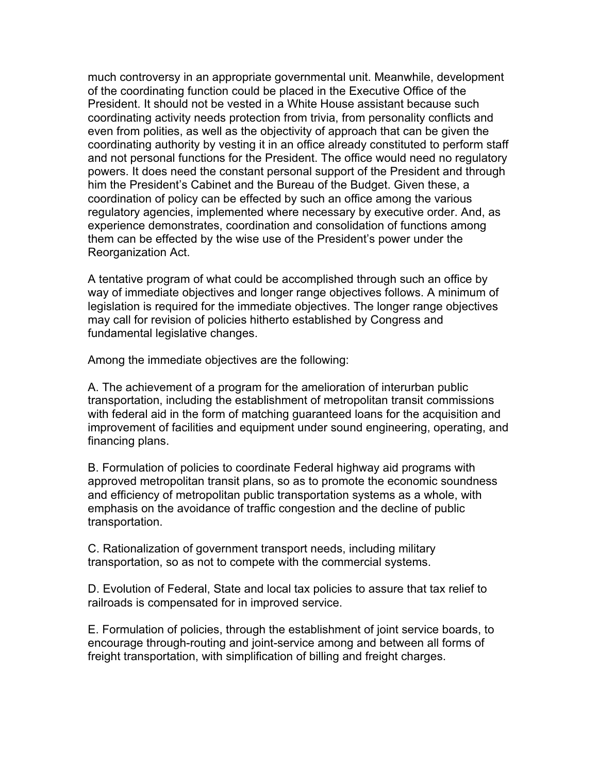much controversy in an appropriate governmental unit. Meanwhile, development of the coordinating function could be placed in the Executive Office of the President. It should not be vested in a White House assistant because such coordinating activity needs protection from trivia, from personality conflicts and even from polities, as well as the objectivity of approach that can be given the coordinating authority by vesting it in an office already constituted to perform staff and not personal functions for the President. The office would need no regulatory powers. It does need the constant personal support of the President and through him the President's Cabinet and the Bureau of the Budget. Given these, a coordination of policy can be effected by such an office among the various regulatory agencies, implemented where necessary by executive order. And, as experience demonstrates, coordination and consolidation of functions among them can be effected by the wise use of the President's power under the Reorganization Act.

A tentative program of what could be accomplished through such an office by way of immediate objectives and longer range objectives follows. A minimum of legislation is required for the immediate objectives. The longer range objectives may call for revision of policies hitherto established by Congress and fundamental legislative changes.

Among the immediate objectives are the following:

A. The achievement of a program for the amelioration of interurban public transportation, including the establishment of metropolitan transit commissions with federal aid in the form of matching guaranteed loans for the acquisition and improvement of facilities and equipment under sound engineering, operating, and financing plans.

B. Formulation of policies to coordinate Federal highway aid programs with approved metropolitan transit plans, so as to promote the economic soundness and efficiency of metropolitan public transportation systems as a whole, with emphasis on the avoidance of traffic congestion and the decline of public transportation.

C. Rationalization of government transport needs, including military transportation, so as not to compete with the commercial systems.

D. Evolution of Federal, State and local tax policies to assure that tax relief to railroads is compensated for in improved service.

E. Formulation of policies, through the establishment of joint service boards, to encourage through-routing and joint-service among and between all forms of freight transportation, with simplification of billing and freight charges.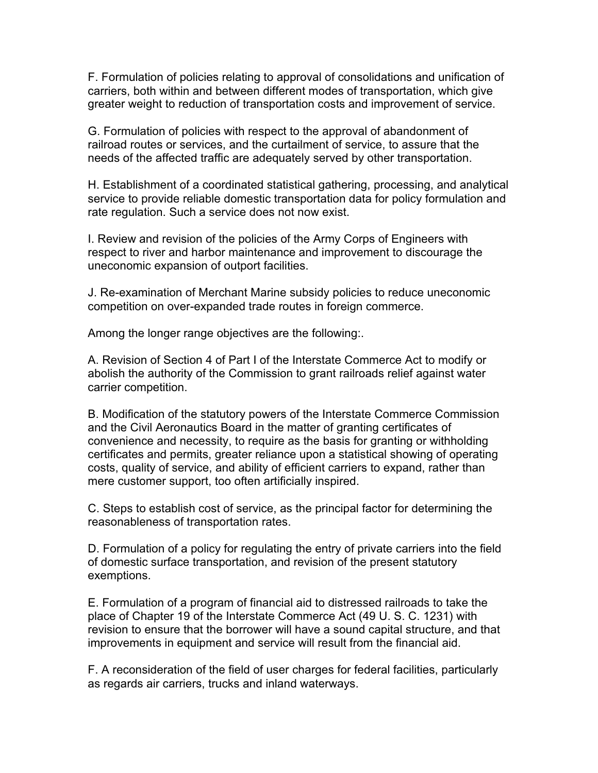F. Formulation of policies relating to approval of consolidations and unification of carriers, both within and between different modes of transportation, which give greater weight to reduction of transportation costs and improvement of service.

G. Formulation of policies with respect to the approval of abandonment of railroad routes or services, and the curtailment of service, to assure that the needs of the affected traffic are adequately served by other transportation.

H. Establishment of a coordinated statistical gathering, processing, and analytical service to provide reliable domestic transportation data for policy formulation and rate regulation. Such a service does not now exist.

I. Review and revision of the policies of the Army Corps of Engineers with respect to river and harbor maintenance and improvement to discourage the uneconomic expansion of outport facilities.

J. Re-examination of Merchant Marine subsidy policies to reduce uneconomic competition on over-expanded trade routes in foreign commerce.

Among the longer range objectives are the following:.

A. Revision of Section 4 of Part I of the Interstate Commerce Act to modify or abolish the authority of the Commission to grant railroads relief against water carrier competition.

B. Modification of the statutory powers of the Interstate Commerce Commission and the Civil Aeronautics Board in the matter of granting certificates of convenience and necessity, to require as the basis for granting or withholding certificates and permits, greater reliance upon a statistical showing of operating costs, quality of service, and ability of efficient carriers to expand, rather than mere customer support, too often artificially inspired.

C. Steps to establish cost of service, as the principal factor for determining the reasonableness of transportation rates.

D. Formulation of a policy for regulating the entry of private carriers into the field of domestic surface transportation, and revision of the present statutory exemptions.

E. Formulation of a program of financial aid to distressed railroads to take the place of Chapter 19 of the Interstate Commerce Act (49 U. S. C. 1231) with revision to ensure that the borrower will have a sound capital structure, and that improvements in equipment and service will result from the financial aid.

F. A reconsideration of the field of user charges for federal facilities, particularly as regards air carriers, trucks and inland waterways.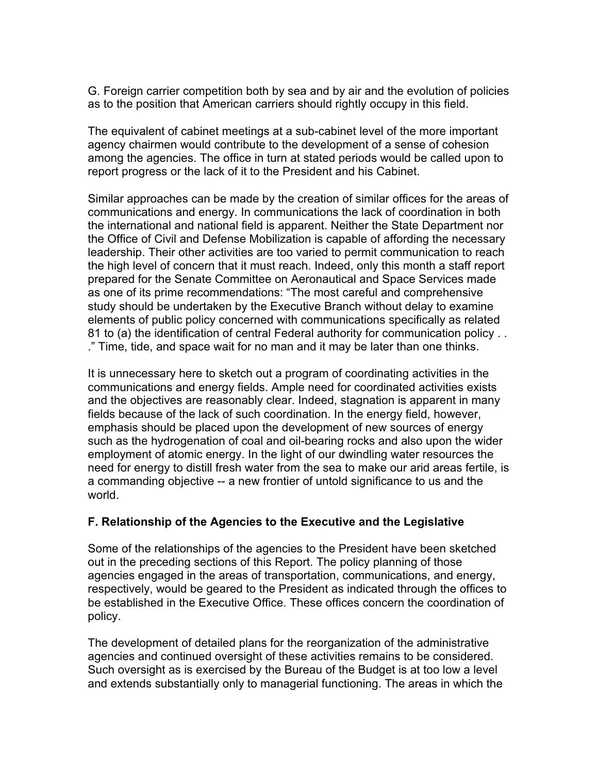G. Foreign carrier competition both by sea and by air and the evolution of policies as to the position that American carriers should rightly occupy in this field.

The equivalent of cabinet meetings at a sub-cabinet level of the more important agency chairmen would contribute to the development of a sense of cohesion among the agencies. The office in turn at stated periods would be called upon to report progress or the lack of it to the President and his Cabinet.

Similar approaches can be made by the creation of similar offices for the areas of communications and energy. In communications the lack of coordination in both the international and national field is apparent. Neither the State Department nor the Office of Civil and Defense Mobilization is capable of affording the necessary leadership. Their other activities are too varied to permit communication to reach the high level of concern that it must reach. Indeed, only this month a staff report prepared for the Senate Committee on Aeronautical and Space Services made as one of its prime recommendations: "The most careful and comprehensive study should be undertaken by the Executive Branch without delay to examine elements of public policy concerned with communications specifically as related 81 to (a) the identification of central Federal authority for communication policy . . ." Time, tide, and space wait for no man and it may be later than one thinks.

It is unnecessary here to sketch out a program of coordinating activities in the communications and energy fields. Ample need for coordinated activities exists and the objectives are reasonably clear. Indeed, stagnation is apparent in many fields because of the lack of such coordination. In the energy field, however, emphasis should be placed upon the development of new sources of energy such as the hydrogenation of coal and oil-bearing rocks and also upon the wider employment of atomic energy. In the light of our dwindling water resources the need for energy to distill fresh water from the sea to make our arid areas fertile, is a commanding objective -- a new frontier of untold significance to us and the world.

## **F. Relationship of the Agencies to the Executive and the Legislative**

Some of the relationships of the agencies to the President have been sketched out in the preceding sections of this Report. The policy planning of those agencies engaged in the areas of transportation, communications, and energy, respectively, would be geared to the President as indicated through the offices to be established in the Executive Office. These offices concern the coordination of policy.

The development of detailed plans for the reorganization of the administrative agencies and continued oversight of these activities remains to be considered. Such oversight as is exercised by the Bureau of the Budget is at too low a level and extends substantially only to managerial functioning. The areas in which the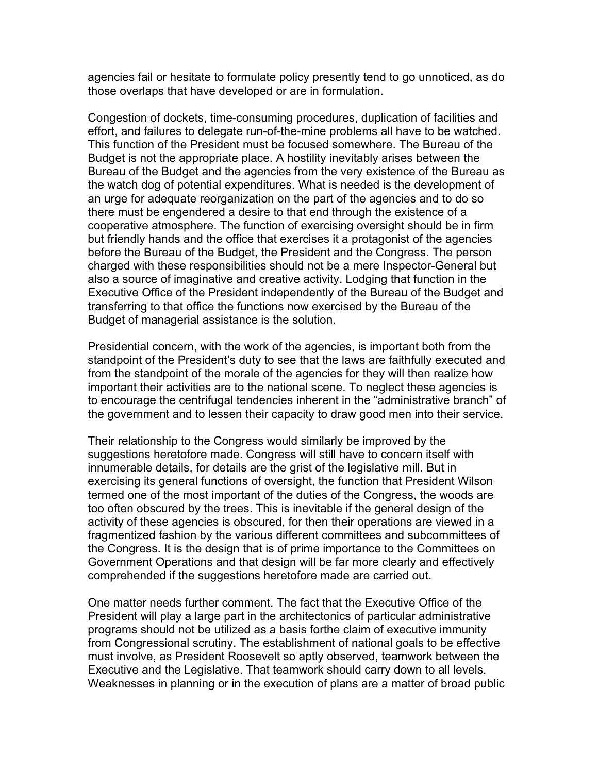agencies fail or hesitate to formulate policy presently tend to go unnoticed, as do those overlaps that have developed or are in formulation.

Congestion of dockets, time-consuming procedures, duplication of facilities and effort, and failures to delegate run-of-the-mine problems all have to be watched. This function of the President must be focused somewhere. The Bureau of the Budget is not the appropriate place. A hostility inevitably arises between the Bureau of the Budget and the agencies from the very existence of the Bureau as the watch dog of potential expenditures. What is needed is the development of an urge for adequate reorganization on the part of the agencies and to do so there must be engendered a desire to that end through the existence of a cooperative atmosphere. The function of exercising oversight should be in firm but friendly hands and the office that exercises it a protagonist of the agencies before the Bureau of the Budget, the President and the Congress. The person charged with these responsibilities should not be a mere Inspector-General but also a source of imaginative and creative activity. Lodging that function in the Executive Office of the President independently of the Bureau of the Budget and transferring to that office the functions now exercised by the Bureau of the Budget of managerial assistance is the solution.

Presidential concern, with the work of the agencies, is important both from the standpoint of the President's duty to see that the laws are faithfully executed and from the standpoint of the morale of the agencies for they will then realize how important their activities are to the national scene. To neglect these agencies is to encourage the centrifugal tendencies inherent in the "administrative branch" of the government and to lessen their capacity to draw good men into their service.

Their relationship to the Congress would similarly be improved by the suggestions heretofore made. Congress will still have to concern itself with innumerable details, for details are the grist of the legislative mill. But in exercising its general functions of oversight, the function that President Wilson termed one of the most important of the duties of the Congress, the woods are too often obscured by the trees. This is inevitable if the general design of the activity of these agencies is obscured, for then their operations are viewed in a fragmentized fashion by the various different committees and subcommittees of the Congress. It is the design that is of prime importance to the Committees on Government Operations and that design will be far more clearly and effectively comprehended if the suggestions heretofore made are carried out.

One matter needs further comment. The fact that the Executive Office of the President will play a large part in the architectonics of particular administrative programs should not be utilized as a basis forthe claim of executive immunity from Congressional scrutiny. The establishment of national goals to be effective must involve, as President Roosevelt so aptly observed, teamwork between the Executive and the Legislative. That teamwork should carry down to all levels. Weaknesses in planning or in the execution of plans are a matter of broad public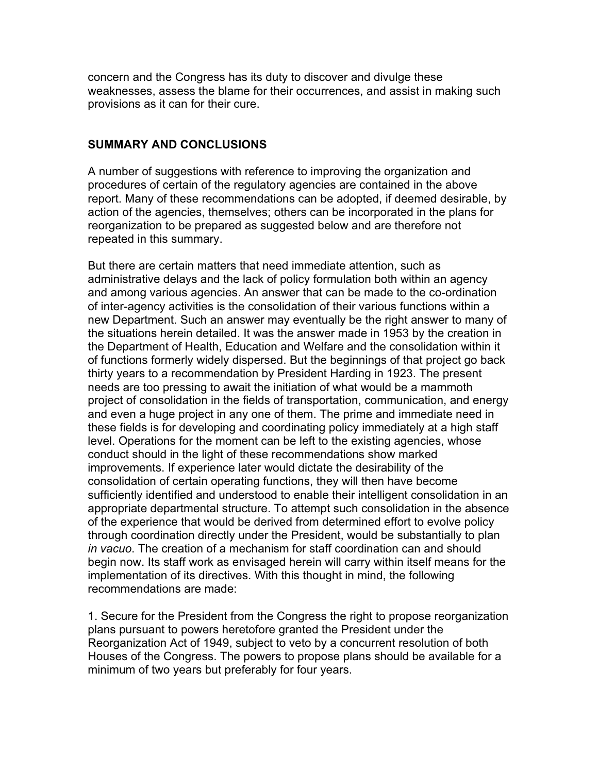concern and the Congress has its duty to discover and divulge these weaknesses, assess the blame for their occurrences, and assist in making such provisions as it can for their cure.

### **SUMMARY AND CONCLUSIONS**

A number of suggestions with reference to improving the organization and procedures of certain of the regulatory agencies are contained in the above report. Many of these recommendations can be adopted, if deemed desirable, by action of the agencies, themselves; others can be incorporated in the plans for reorganization to be prepared as suggested below and are therefore not repeated in this summary.

But there are certain matters that need immediate attention, such as administrative delays and the lack of policy formulation both within an agency and among various agencies. An answer that can be made to the co-ordination of inter-agency activities is the consolidation of their various functions within a new Department. Such an answer may eventually be the right answer to many of the situations herein detailed. It was the answer made in 1953 by the creation in the Department of Health, Education and Welfare and the consolidation within it of functions formerly widely dispersed. But the beginnings of that project go back thirty years to a recommendation by President Harding in 1923. The present needs are too pressing to await the initiation of what would be a mammoth project of consolidation in the fields of transportation, communication, and energy and even a huge project in any one of them. The prime and immediate need in these fields is for developing and coordinating policy immediately at a high staff level. Operations for the moment can be left to the existing agencies, whose conduct should in the light of these recommendations show marked improvements. If experience later would dictate the desirability of the consolidation of certain operating functions, they will then have become sufficiently identified and understood to enable their intelligent consolidation in an appropriate departmental structure. To attempt such consolidation in the absence of the experience that would be derived from determined effort to evolve policy through coordination directly under the President, would be substantially to plan *in vacuo*. The creation of a mechanism for staff coordination can and should begin now. Its staff work as envisaged herein will carry within itself means for the implementation of its directives. With this thought in mind, the following recommendations are made:

1. Secure for the President from the Congress the right to propose reorganization plans pursuant to powers heretofore granted the President under the Reorganization Act of 1949, subject to veto by a concurrent resolution of both Houses of the Congress. The powers to propose plans should be available for a minimum of two years but preferably for four years.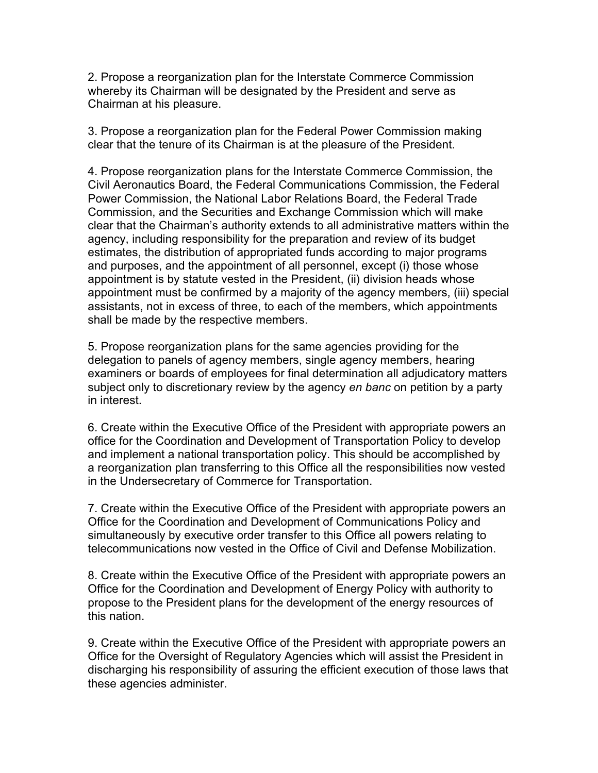2. Propose a reorganization plan for the Interstate Commerce Commission whereby its Chairman will be designated by the President and serve as Chairman at his pleasure.

3. Propose a reorganization plan for the Federal Power Commission making clear that the tenure of its Chairman is at the pleasure of the President.

4. Propose reorganization plans for the Interstate Commerce Commission, the Civil Aeronautics Board, the Federal Communications Commission, the Federal Power Commission, the National Labor Relations Board, the Federal Trade Commission, and the Securities and Exchange Commission which will make clear that the Chairman's authority extends to all administrative matters within the agency, including responsibility for the preparation and review of its budget estimates, the distribution of appropriated funds according to major programs and purposes, and the appointment of all personnel, except (i) those whose appointment is by statute vested in the President, (ii) division heads whose appointment must be confirmed by a majority of the agency members, (iii) special assistants, not in excess of three, to each of the members, which appointments shall be made by the respective members.

5. Propose reorganization plans for the same agencies providing for the delegation to panels of agency members, single agency members, hearing examiners or boards of employees for final determination all adjudicatory matters subject only to discretionary review by the agency *en banc* on petition by a party in interest.

6. Create within the Executive Office of the President with appropriate powers an office for the Coordination and Development of Transportation Policy to develop and implement a national transportation policy. This should be accomplished by a reorganization plan transferring to this Office all the responsibilities now vested in the Undersecretary of Commerce for Transportation.

7. Create within the Executive Office of the President with appropriate powers an Office for the Coordination and Development of Communications Policy and simultaneously by executive order transfer to this Office all powers relating to telecommunications now vested in the Office of Civil and Defense Mobilization.

8. Create within the Executive Office of the President with appropriate powers an Office for the Coordination and Development of Energy Policy with authority to propose to the President plans for the development of the energy resources of this nation.

9. Create within the Executive Office of the President with appropriate powers an Office for the Oversight of Regulatory Agencies which will assist the President in discharging his responsibility of assuring the efficient execution of those laws that these agencies administer.